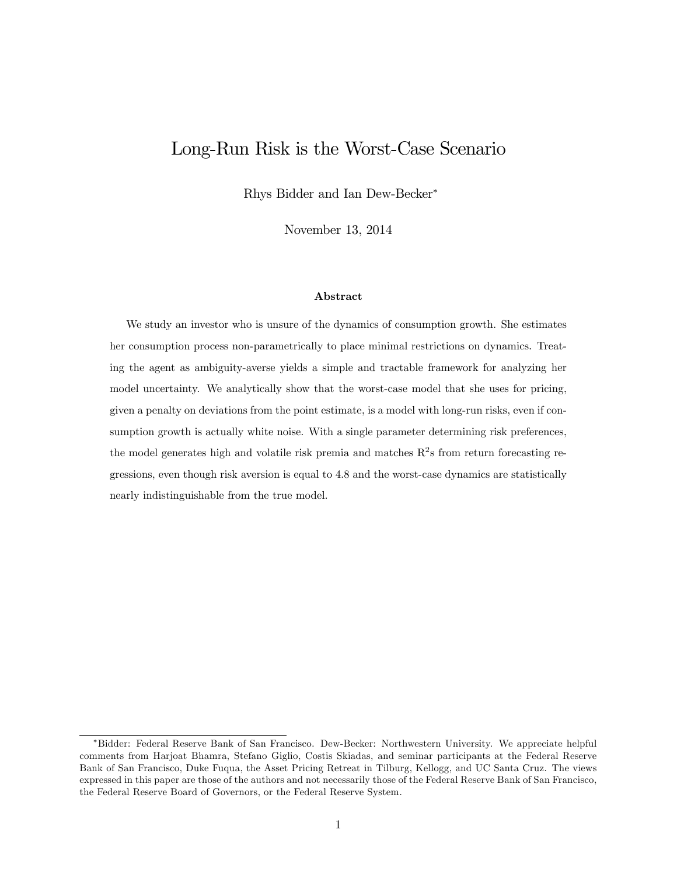# Long-Run Risk is the Worst-Case Scenario

Rhys Bidder and Ian Dew-Becker

November 13, 2014

#### Abstract

We study an investor who is unsure of the dynamics of consumption growth. She estimates her consumption process non-parametrically to place minimal restrictions on dynamics. Treating the agent as ambiguity-averse yields a simple and tractable framework for analyzing her model uncertainty. We analytically show that the worst-case model that she uses for pricing, given a penalty on deviations from the point estimate, is a model with long-run risks, even if consumption growth is actually white noise. With a single parameter determining risk preferences, the model generates high and volatile risk premia and matches  $R^2$ s from return forecasting regressions, even though risk aversion is equal to 4.8 and the worst-case dynamics are statistically nearly indistinguishable from the true model.

Bidder: Federal Reserve Bank of San Francisco. Dew-Becker: Northwestern University. We appreciate helpful comments from Harjoat Bhamra, Stefano Giglio, Costis Skiadas, and seminar participants at the Federal Reserve Bank of San Francisco, Duke Fuqua, the Asset Pricing Retreat in Tilburg, Kellogg, and UC Santa Cruz. The views expressed in this paper are those of the authors and not necessarily those of the Federal Reserve Bank of San Francisco, the Federal Reserve Board of Governors, or the Federal Reserve System.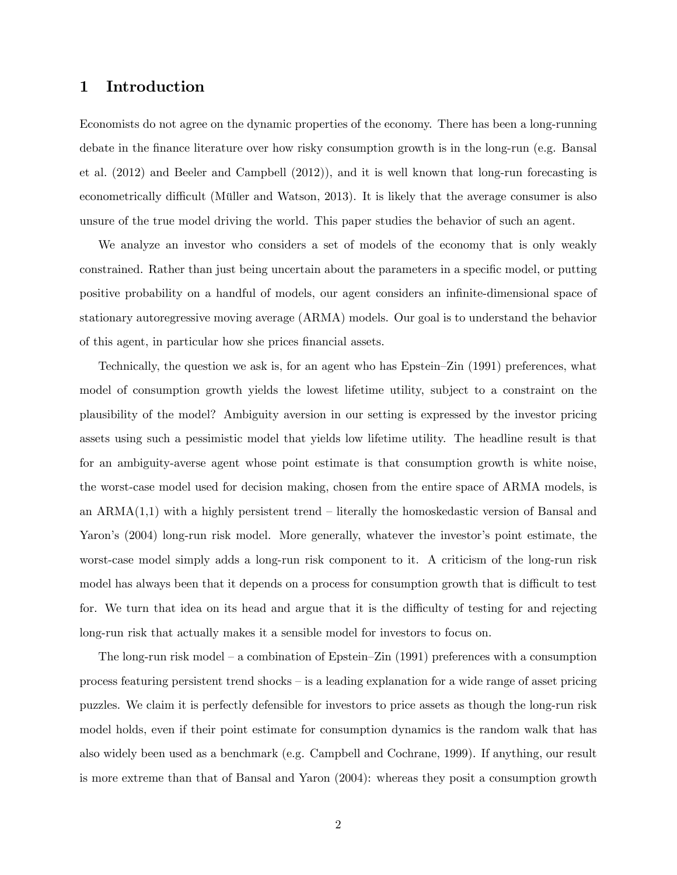# 1 Introduction

Economists do not agree on the dynamic properties of the economy. There has been a long-running debate in the Önance literature over how risky consumption growth is in the long-run (e.g. Bansal et al. (2012) and Beeler and Campbell (2012)), and it is well known that long-run forecasting is econometrically difficult (Müller and Watson, 2013). It is likely that the average consumer is also unsure of the true model driving the world. This paper studies the behavior of such an agent.

We analyze an investor who considers a set of models of the economy that is only weakly constrained. Rather than just being uncertain about the parameters in a specific model, or putting positive probability on a handful of models, our agent considers an infinite-dimensional space of stationary autoregressive moving average (ARMA) models. Our goal is to understand the behavior of this agent, in particular how she prices financial assets.

Technically, the question we ask is, for an agent who has  $E$ pstein $-Z$ in (1991) preferences, what model of consumption growth yields the lowest lifetime utility, subject to a constraint on the plausibility of the model? Ambiguity aversion in our setting is expressed by the investor pricing assets using such a pessimistic model that yields low lifetime utility. The headline result is that for an ambiguity-averse agent whose point estimate is that consumption growth is white noise, the worst-case model used for decision making, chosen from the entire space of ARMA models, is an  $ARMA(1,1)$  with a highly persistent trend – literally the homoskedastic version of Bansal and Yaron's (2004) long-run risk model. More generally, whatever the investor's point estimate, the worst-case model simply adds a long-run risk component to it. A criticism of the long-run risk model has always been that it depends on a process for consumption growth that is difficult to test for. We turn that idea on its head and argue that it is the difficulty of testing for and rejecting long-run risk that actually makes it a sensible model for investors to focus on.

The long-run risk model – a combination of Epstein–Zin (1991) preferences with a consumption process featuring persistent trend shocks  $-\bar{\text{is}}$  a leading explanation for a wide range of asset pricing puzzles. We claim it is perfectly defensible for investors to price assets as though the long-run risk model holds, even if their point estimate for consumption dynamics is the random walk that has also widely been used as a benchmark (e.g. Campbell and Cochrane, 1999). If anything, our result is more extreme than that of Bansal and Yaron (2004): whereas they posit a consumption growth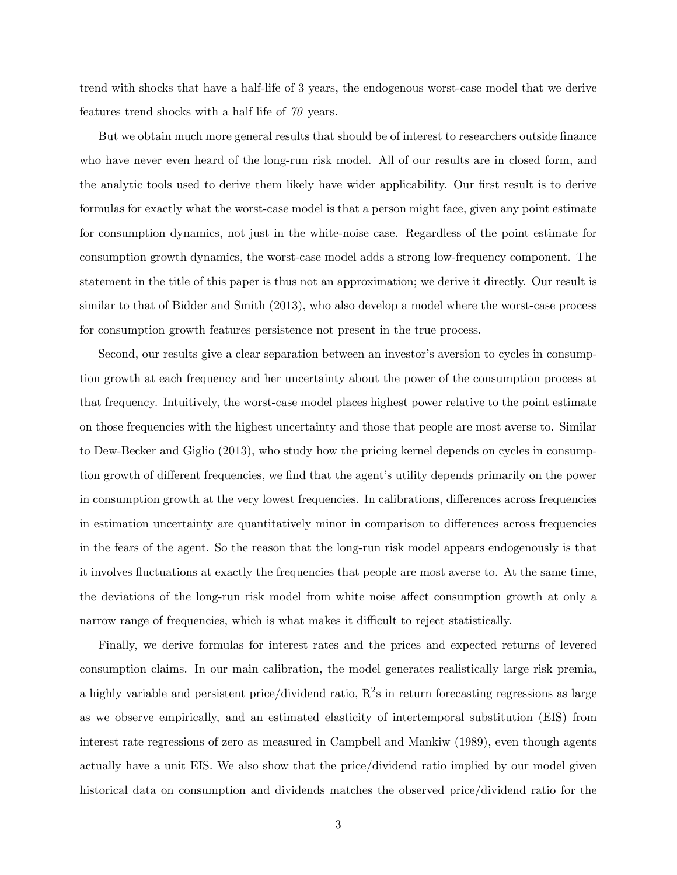trend with shocks that have a half-life of 3 years, the endogenous worst-case model that we derive features trend shocks with a half life of 70 years.

But we obtain much more general results that should be of interest to researchers outside finance who have never even heard of the long-run risk model. All of our results are in closed form, and the analytic tools used to derive them likely have wider applicability. Our first result is to derive formulas for exactly what the worst-case model is that a person might face, given any point estimate for consumption dynamics, not just in the white-noise case. Regardless of the point estimate for consumption growth dynamics, the worst-case model adds a strong low-frequency component. The statement in the title of this paper is thus not an approximation; we derive it directly. Our result is similar to that of Bidder and Smith (2013), who also develop a model where the worst-case process for consumption growth features persistence not present in the true process.

Second, our results give a clear separation between an investor's aversion to cycles in consumption growth at each frequency and her uncertainty about the power of the consumption process at that frequency. Intuitively, the worst-case model places highest power relative to the point estimate on those frequencies with the highest uncertainty and those that people are most averse to. Similar to Dew-Becker and Giglio (2013), who study how the pricing kernel depends on cycles in consumption growth of different frequencies, we find that the agent's utility depends primarily on the power in consumption growth at the very lowest frequencies. In calibrations, differences across frequencies in estimation uncertainty are quantitatively minor in comparison to differences across frequencies in the fears of the agent. So the reason that the long-run risk model appears endogenously is that it involves fluctuations at exactly the frequencies that people are most averse to. At the same time, the deviations of the long-run risk model from white noise affect consumption growth at only a narrow range of frequencies, which is what makes it difficult to reject statistically.

Finally, we derive formulas for interest rates and the prices and expected returns of levered consumption claims. In our main calibration, the model generates realistically large risk premia, a highly variable and persistent price/dividend ratio,  $R^2$ s in return forecasting regressions as large as we observe empirically, and an estimated elasticity of intertemporal substitution (EIS) from interest rate regressions of zero as measured in Campbell and Mankiw (1989), even though agents actually have a unit EIS. We also show that the price/dividend ratio implied by our model given historical data on consumption and dividends matches the observed price/dividend ratio for the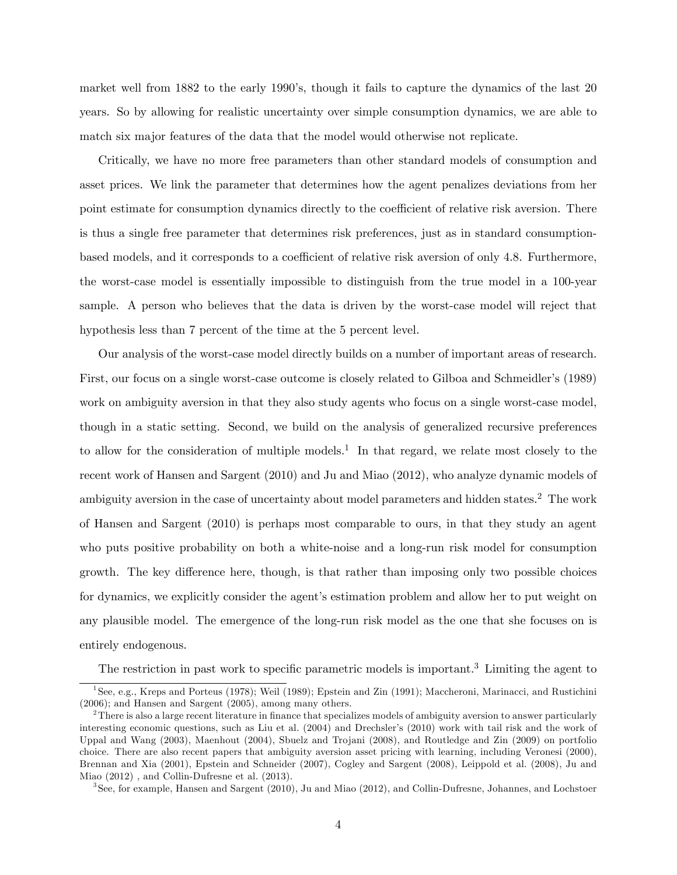market well from 1882 to the early 1990's, though it fails to capture the dynamics of the last 20 years. So by allowing for realistic uncertainty over simple consumption dynamics, we are able to match six major features of the data that the model would otherwise not replicate.

Critically, we have no more free parameters than other standard models of consumption and asset prices. We link the parameter that determines how the agent penalizes deviations from her point estimate for consumption dynamics directly to the coefficient of relative risk aversion. There is thus a single free parameter that determines risk preferences, just as in standard consumptionbased models, and it corresponds to a coefficient of relative risk aversion of only 4.8. Furthermore, the worst-case model is essentially impossible to distinguish from the true model in a 100-year sample. A person who believes that the data is driven by the worst-case model will reject that hypothesis less than 7 percent of the time at the 5 percent level.

Our analysis of the worst-case model directly builds on a number of important areas of research. First, our focus on a single worst-case outcome is closely related to Gilboa and Schmeidler's (1989) work on ambiguity aversion in that they also study agents who focus on a single worst-case model, though in a static setting. Second, we build on the analysis of generalized recursive preferences to allow for the consideration of multiple models.<sup>1</sup> In that regard, we relate most closely to the recent work of Hansen and Sargent (2010) and Ju and Miao (2012), who analyze dynamic models of ambiguity aversion in the case of uncertainty about model parameters and hidden states.<sup>2</sup> The work of Hansen and Sargent (2010) is perhaps most comparable to ours, in that they study an agent who puts positive probability on both a white-noise and a long-run risk model for consumption growth. The key difference here, though, is that rather than imposing only two possible choices for dynamics, we explicitly consider the agent's estimation problem and allow her to put weight on any plausible model. The emergence of the long-run risk model as the one that she focuses on is entirely endogenous.

The restriction in past work to specific parametric models is important.<sup>3</sup> Limiting the agent to

<sup>1</sup> See, e.g., Kreps and Porteus (1978); Weil (1989); Epstein and Zin (1991); Maccheroni, Marinacci, and Rustichini (2006); and Hansen and Sargent (2005), among many others.

<sup>&</sup>lt;sup>2</sup>There is also a large recent literature in finance that specializes models of ambiguity aversion to answer particularly interesting economic questions, such as Liu et al. (2004) and Drechsler's (2010) work with tail risk and the work of Uppal and Wang (2003), Maenhout (2004), Sbuelz and Trojani (2008), and Routledge and Zin (2009) on portfolio choice. There are also recent papers that ambiguity aversion asset pricing with learning, including Veronesi (2000), Brennan and Xia (2001), Epstein and Schneider (2007), Cogley and Sargent (2008), Leippold et al. (2008), Ju and Miao (2012) , and Collin-Dufresne et al. (2013).

<sup>3</sup> See, for example, Hansen and Sargent (2010), Ju and Miao (2012), and Collin-Dufresne, Johannes, and Lochstoer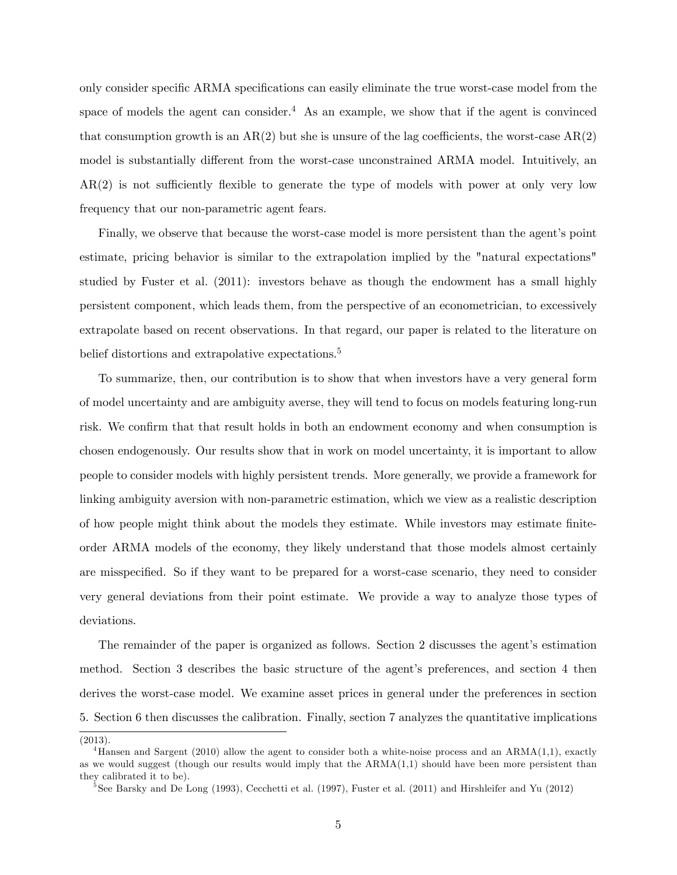only consider specific ARMA specifications can easily eliminate the true worst-case model from the space of models the agent can consider.<sup>4</sup> As an example, we show that if the agent is convinced that consumption growth is an  $AR(2)$  but she is unsure of the lag coefficients, the worst-case  $AR(2)$ model is substantially different from the worst-case unconstrained ARMA model. Intuitively, an  $AR(2)$  is not sufficiently flexible to generate the type of models with power at only very low frequency that our non-parametric agent fears.

Finally, we observe that because the worst-case model is more persistent than the agent's point estimate, pricing behavior is similar to the extrapolation implied by the "natural expectations" studied by Fuster et al. (2011): investors behave as though the endowment has a small highly persistent component, which leads them, from the perspective of an econometrician, to excessively extrapolate based on recent observations. In that regard, our paper is related to the literature on belief distortions and extrapolative expectations.<sup>5</sup>

To summarize, then, our contribution is to show that when investors have a very general form of model uncertainty and are ambiguity averse, they will tend to focus on models featuring long-run risk. We confirm that that result holds in both an endowment economy and when consumption is chosen endogenously. Our results show that in work on model uncertainty, it is important to allow people to consider models with highly persistent trends. More generally, we provide a framework for linking ambiguity aversion with non-parametric estimation, which we view as a realistic description of how people might think about the models they estimate. While investors may estimate finiteorder ARMA models of the economy, they likely understand that those models almost certainly are misspecified. So if they want to be prepared for a worst-case scenario, they need to consider very general deviations from their point estimate. We provide a way to analyze those types of deviations.

The remainder of the paper is organized as follows. Section 2 discusses the agent's estimation method. Section 3 describes the basic structure of the agent's preferences, and section 4 then derives the worst-case model. We examine asset prices in general under the preferences in section 5. Section 6 then discusses the calibration. Finally, section 7 analyzes the quantitative implications

<sup>(2013).</sup>

<sup>&</sup>lt;sup>4</sup>Hansen and Sargent (2010) allow the agent to consider both a white-noise process and an  $ARMA(1,1)$ , exactly as we would suggest (though our results would imply that the ARMA(1,1) should have been more persistent than they calibrated it to be).

<sup>5</sup> See Barsky and De Long (1993), Cecchetti et al. (1997), Fuster et al. (2011) and Hirshleifer and Yu (2012)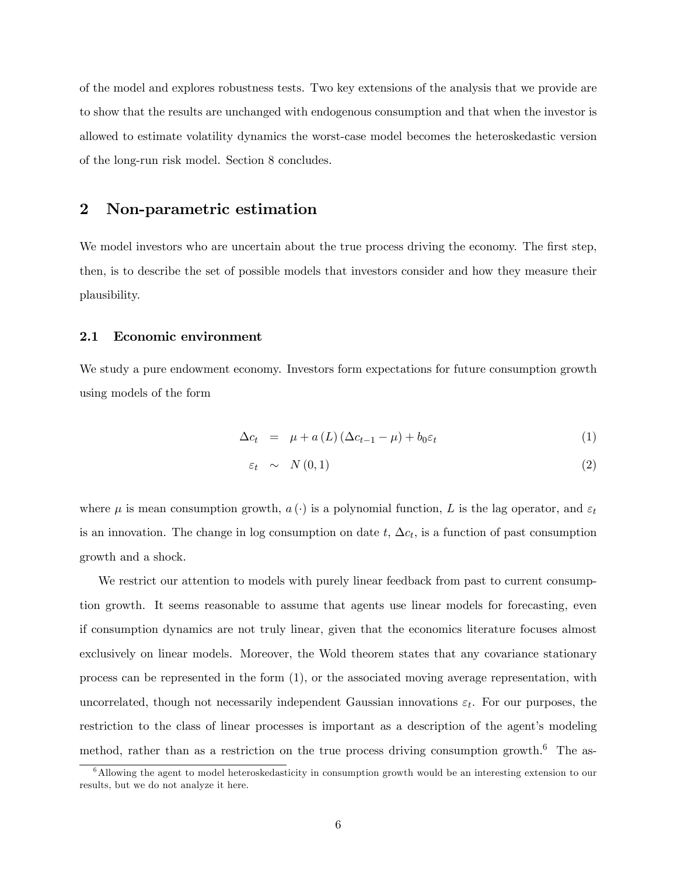of the model and explores robustness tests. Two key extensions of the analysis that we provide are to show that the results are unchanged with endogenous consumption and that when the investor is allowed to estimate volatility dynamics the worst-case model becomes the heteroskedastic version of the long-run risk model. Section 8 concludes.

# 2 Non-parametric estimation

We model investors who are uncertain about the true process driving the economy. The first step, then, is to describe the set of possible models that investors consider and how they measure their plausibility.

#### 2.1 Economic environment

We study a pure endowment economy. Investors form expectations for future consumption growth using models of the form

$$
\Delta c_t = \mu + a(L) \left( \Delta c_{t-1} - \mu \right) + b_0 \varepsilon_t \tag{1}
$$

$$
\varepsilon_t \sim N(0,1) \tag{2}
$$

where  $\mu$  is mean consumption growth,  $a(\cdot)$  is a polynomial function, L is the lag operator, and  $\varepsilon_t$ is an innovation. The change in log consumption on date  $t$ ,  $\Delta c_t$ , is a function of past consumption growth and a shock.

We restrict our attention to models with purely linear feedback from past to current consumption growth. It seems reasonable to assume that agents use linear models for forecasting, even if consumption dynamics are not truly linear, given that the economics literature focuses almost exclusively on linear models. Moreover, the Wold theorem states that any covariance stationary process can be represented in the form (1), or the associated moving average representation, with uncorrelated, though not necessarily independent Gaussian innovations  $\varepsilon_t$ . For our purposes, the restriction to the class of linear processes is important as a description of the agent's modeling method, rather than as a restriction on the true process driving consumption growth.<sup>6</sup> The as-

<sup>&</sup>lt;sup>6</sup>Allowing the agent to model heteroskedasticity in consumption growth would be an interesting extension to our results, but we do not analyze it here.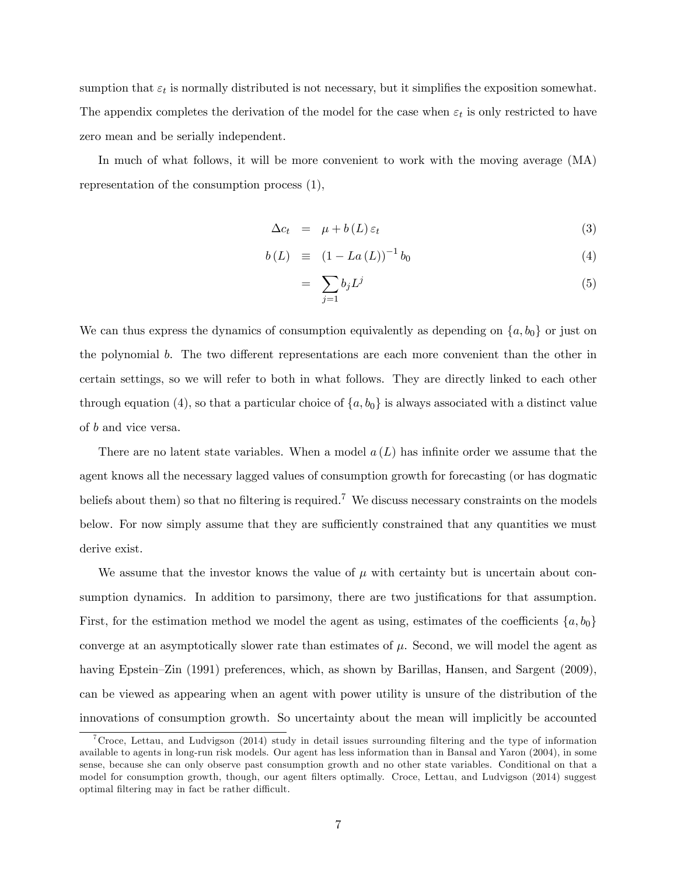sumption that  $\varepsilon_t$  is normally distributed is not necessary, but it simplifies the exposition somewhat. The appendix completes the derivation of the model for the case when  $\varepsilon_t$  is only restricted to have zero mean and be serially independent.

In much of what follows, it will be more convenient to work with the moving average (MA) representation of the consumption process (1),

$$
\Delta c_t = \mu + b(L) \varepsilon_t \tag{3}
$$

$$
b(L) \equiv (1 - La(L))^{-1} b_0 \tag{4}
$$

$$
= \sum_{j=1} b_j L^j \tag{5}
$$

We can thus express the dynamics of consumption equivalently as depending on  $\{a, b_0\}$  or just on the polynomial b. The two different representations are each more convenient than the other in certain settings, so we will refer to both in what follows. They are directly linked to each other through equation (4), so that a particular choice of  $\{a, b_0\}$  is always associated with a distinct value of b and vice versa.

There are no latent state variables. When a model  $a(L)$  has infinite order we assume that the agent knows all the necessary lagged values of consumption growth for forecasting (or has dogmatic beliefs about them) so that no filtering is required.<sup>7</sup> We discuss necessary constraints on the models below. For now simply assume that they are sufficiently constrained that any quantities we must derive exist.

We assume that the investor knows the value of  $\mu$  with certainty but is uncertain about consumption dynamics. In addition to parsimony, there are two justifications for that assumption. First, for the estimation method we model the agent as using, estimates of the coefficients  $\{a, b_0\}$ converge at an asymptotically slower rate than estimates of  $\mu$ . Second, we will model the agent as having Epstein–Zin  $(1991)$  preferences, which, as shown by Barillas, Hansen, and Sargent  $(2009)$ , can be viewed as appearing when an agent with power utility is unsure of the distribution of the innovations of consumption growth. So uncertainty about the mean will implicitly be accounted

<sup>&</sup>lt;sup>7</sup>Croce, Lettau, and Ludvigson (2014) study in detail issues surrounding filtering and the type of information available to agents in long-run risk models. Our agent has less information than in Bansal and Yaron (2004), in some sense, because she can only observe past consumption growth and no other state variables. Conditional on that a model for consumption growth, though, our agent filters optimally. Croce, Lettau, and Ludvigson (2014) suggest optimal filtering may in fact be rather difficult.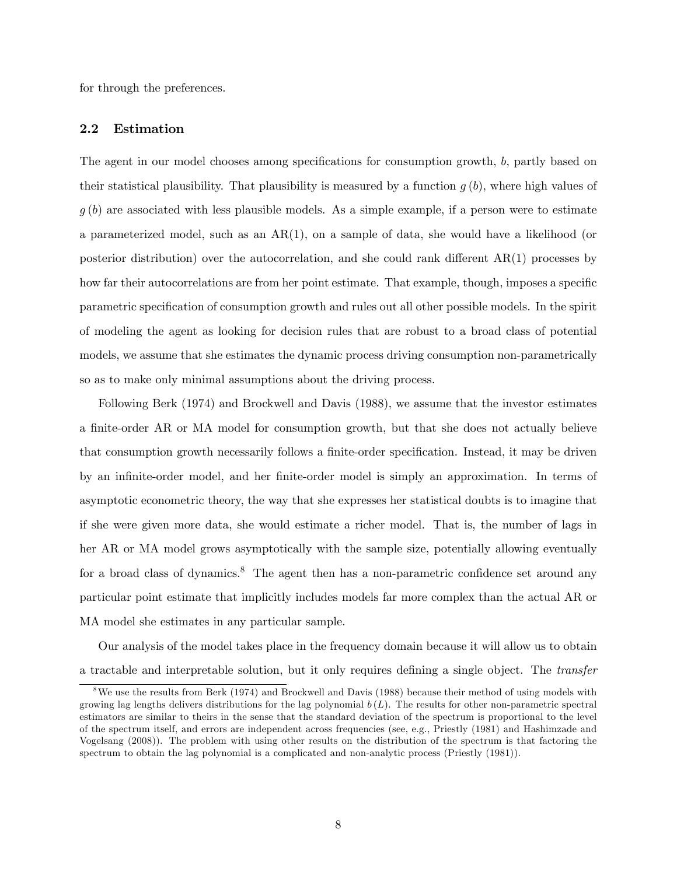for through the preferences.

### 2.2 Estimation

The agent in our model chooses among specifications for consumption growth, b, partly based on their statistical plausibility. That plausibility is measured by a function  $q(b)$ , where high values of  $g(b)$  are associated with less plausible models. As a simple example, if a person were to estimate a parameterized model, such as an  $AR(1)$ , on a sample of data, she would have a likelihood (or posterior distribution) over the autocorrelation, and she could rank different  $AR(1)$  processes by how far their autocorrelations are from her point estimate. That example, though, imposes a specific parametric specification of consumption growth and rules out all other possible models. In the spirit of modeling the agent as looking for decision rules that are robust to a broad class of potential models, we assume that she estimates the dynamic process driving consumption non-parametrically so as to make only minimal assumptions about the driving process.

Following Berk (1974) and Brockwell and Davis (1988), we assume that the investor estimates a finite-order AR or MA model for consumption growth, but that she does not actually believe that consumption growth necessarily follows a finite-order specification. Instead, it may be driven by an infinite-order model, and her finite-order model is simply an approximation. In terms of asymptotic econometric theory, the way that she expresses her statistical doubts is to imagine that if she were given more data, she would estimate a richer model. That is, the number of lags in her AR or MA model grows asymptotically with the sample size, potentially allowing eventually for a broad class of dynamics.<sup>8</sup> The agent then has a non-parametric confidence set around any particular point estimate that implicitly includes models far more complex than the actual AR or MA model she estimates in any particular sample.

Our analysis of the model takes place in the frequency domain because it will allow us to obtain a tractable and interpretable solution, but it only requires defining a single object. The transfer

<sup>&</sup>lt;sup>8</sup>We use the results from Berk (1974) and Brockwell and Davis (1988) because their method of using models with growing lag lengths delivers distributions for the lag polynomial  $b(L)$ . The results for other non-parametric spectral estimators are similar to theirs in the sense that the standard deviation of the spectrum is proportional to the level of the spectrum itself, and errors are independent across frequencies (see, e.g., Priestly (1981) and Hashimzade and Vogelsang (2008)). The problem with using other results on the distribution of the spectrum is that factoring the spectrum to obtain the lag polynomial is a complicated and non-analytic process (Priestly (1981)).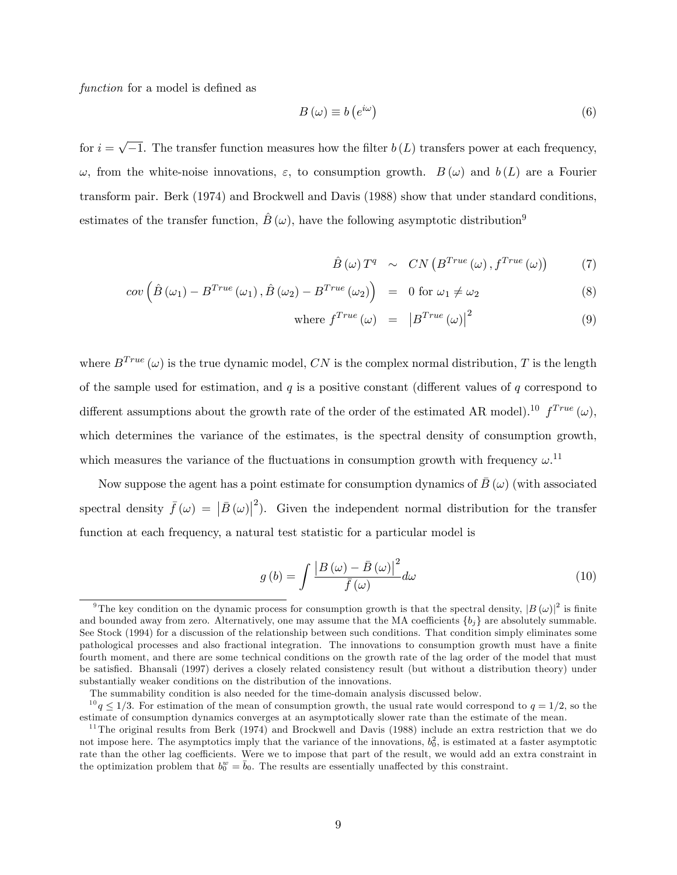function for a model is defined as

$$
B(\omega) \equiv b(e^{i\omega})\tag{6}
$$

for  $i = \sqrt{-1}$ . The transfer function measures how the filter  $b(L)$  transfers power at each frequency,  $\omega$ , from the white-noise innovations,  $\varepsilon$ , to consumption growth.  $B(\omega)$  and  $b(L)$  are a Fourier transform pair. Berk (1974) and Brockwell and Davis (1988) show that under standard conditions, estimates of the transfer function,  $\hat{B}(\omega)$ , have the following asymptotic distribution<sup>9</sup>

$$
\hat{B}(\omega) T^q \sim CN\left(B^{True}(\omega), f^{True}(\omega)\right) \tag{7}
$$

$$
cov\left(\hat{B}\left(\omega_{1}\right)-B^{True}\left(\omega_{1}\right),\hat{B}\left(\omega_{2}\right)-B^{True}\left(\omega_{2}\right)\right) = 0 \text{ for } \omega_{1} \neq \omega_{2}
$$
\n
$$
(8)
$$

where 
$$
f^{True}(\omega) = |B^{True}(\omega)|^2
$$
 (9)

where  $B^{True}(\omega)$  is the true dynamic model, CN is the complex normal distribution, T is the length of the sample used for estimation, and  $q$  is a positive constant (different values of  $q$  correspond to different assumptions about the growth rate of the order of the estimated AR model).<sup>10</sup>  $f^{True} (\omega)$ , which determines the variance of the estimates, is the spectral density of consumption growth, which measures the variance of the fluctuations in consumption growth with frequency  $\omega$ .<sup>11</sup>

Now suppose the agent has a point estimate for consumption dynamics of  $\bar{B}(\omega)$  (with associated spectral density  $\bar{f}(\omega) = |\bar{B}(\omega)|^2$ . Given the independent normal distribution for the transfer function at each frequency, a natural test statistic for a particular model is

$$
g\left(b\right) = \int \frac{\left|B\left(\omega\right) - \bar{B}\left(\omega\right)\right|^2}{\bar{f}\left(\omega\right)} d\omega \tag{10}
$$

<sup>&</sup>lt;sup>9</sup>The key condition on the dynamic process for consumption growth is that the spectral density,  $|B(\omega)|^2$  is finite and bounded away from zero. Alternatively, one may assume that the MA coefficients  $\{b_i\}$  are absolutely summable. See Stock (1994) for a discussion of the relationship between such conditions. That condition simply eliminates some pathological processes and also fractional integration. The innovations to consumption growth must have a finite fourth moment, and there are some technical conditions on the growth rate of the lag order of the model that must be satisfied. Bhansali (1997) derives a closely related consistency result (but without a distribution theory) under substantially weaker conditions on the distribution of the innovations.

The summability condition is also needed for the time-domain analysis discussed below.

 $10 q \le 1/3$ . For estimation of the mean of consumption growth, the usual rate would correspond to  $q = 1/2$ , so the estimate of consumption dynamics converges at an asymptotically slower rate than the estimate of the mean.

<sup>&</sup>lt;sup>11</sup>The original results from Berk (1974) and Brockwell and Davis (1988) include an extra restriction that we do not impose here. The asymptotics imply that the variance of the innovations,  $b_0^2$ , is estimated at a faster asymptotic rate than the other lag coefficients. Were we to impose that part of the result, we would add an extra constraint in the optimization problem that  $b_0^w = \bar{b}_0$ . The results are essentially unaffected by this constraint.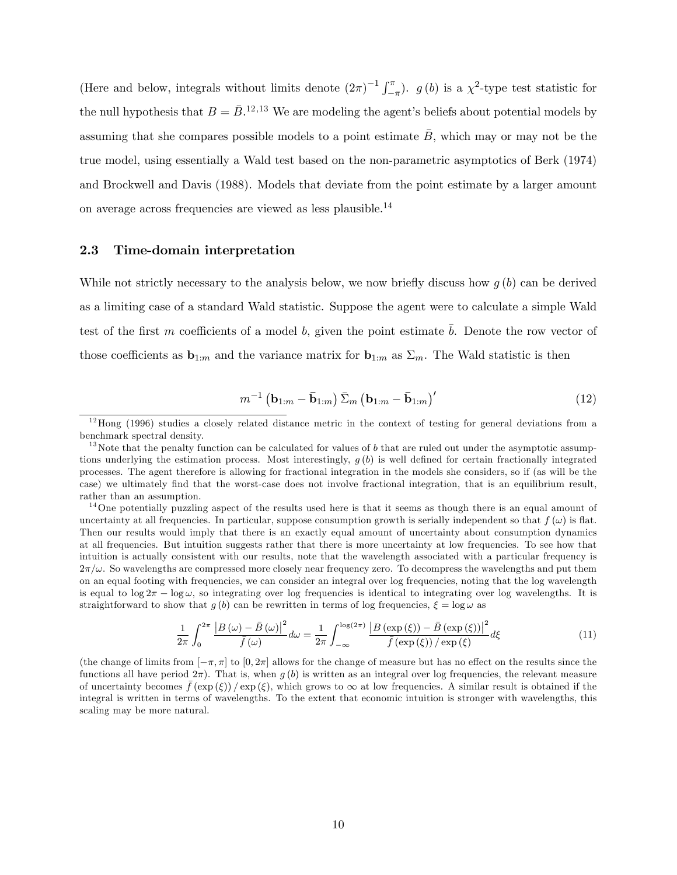(Here and below, integrals without limits denote  $(2\pi)^{-1} \int_{-}^{\pi}$  $(\pi-\pi)$ .  $g(b)$  is a  $\chi^2$ -type test statistic for the null hypothesis that  $B = \bar{B}$ <sup>12,13</sup> We are modeling the agent's beliefs about potential models by assuming that she compares possible models to a point estimate  $\bar{B}$ , which may or may not be the true model, using essentially a Wald test based on the non-parametric asymptotics of Berk (1974) and Brockwell and Davis (1988). Models that deviate from the point estimate by a larger amount on average across frequencies are viewed as less plausible.<sup>14</sup>

#### 2.3 Time-domain interpretation

While not strictly necessary to the analysis below, we now briefly discuss how  $q(b)$  can be derived as a limiting case of a standard Wald statistic. Suppose the agent were to calculate a simple Wald test of the first m coefficients of a model b, given the point estimate  $\bar{b}$ . Denote the row vector of those coefficients as  $\mathbf{b}_{1:m}$  and the variance matrix for  $\mathbf{b}_{1:m}$  as  $\Sigma_m$ . The Wald statistic is then

$$
m^{-1} \left( \mathbf{b}_{1:m} - \bar{\mathbf{b}}_{1:m} \right) \bar{\Sigma}_m \left( \mathbf{b}_{1:m} - \bar{\mathbf{b}}_{1:m} \right)'
$$
 (12)

$$
\frac{1}{2\pi} \int_0^{2\pi} \frac{\left| B\left(\omega\right) - \bar{B}\left(\omega\right) \right|^2}{\bar{f}\left(\omega\right)} d\omega = \frac{1}{2\pi} \int_{-\infty}^{\log(2\pi)} \frac{\left| B\left(\exp\left(\xi\right)\right) - \bar{B}\left(\exp\left(\xi\right)\right) \right|^2}{\bar{f}\left(\exp\left(\xi\right)\right) / \exp\left(\xi\right)} d\xi \tag{11}
$$

(the change of limits from  $[-\pi, \pi]$  to  $[0, 2\pi]$  allows for the change of measure but has no effect on the results since the functions all have period  $2\pi$ ). That is, when g(b) is written as an integral over log frequencies, the relevant measure of uncertainty becomes  $\bar{f}(\exp(\xi)) / \exp(\xi)$ , which grows to  $\infty$  at low frequencies. A similar result is obtained if the integral is written in terms of wavelengths. To the extent that economic intuition is stronger with wavelengths, this scaling may be more natural.

 $12$ Hong (1996) studies a closely related distance metric in the context of testing for general deviations from a benchmark spectral density.

 $13$ Note that the penalty function can be calculated for values of b that are ruled out under the asymptotic assumptions underlying the estimation process. Most interestingly,  $g(b)$  is well defined for certain fractionally integrated processes. The agent therefore is allowing for fractional integration in the models she considers, so if (as will be the case) we ultimately Önd that the worst-case does not involve fractional integration, that is an equilibrium result, rather than an assumption.

<sup>&</sup>lt;sup>14</sup>One potentially puzzling aspect of the results used here is that it seems as though there is an equal amount of uncertainty at all frequencies. In particular, suppose consumption growth is serially independent so that  $f(\omega)$  is flat. Then our results would imply that there is an exactly equal amount of uncertainty about consumption dynamics at all frequencies. But intuition suggests rather that there is more uncertainty at low frequencies. To see how that intuition is actually consistent with our results, note that the wavelength associated with a particular frequency is  $2\pi/\omega$ . So wavelengths are compressed more closely near frequency zero. To decompress the wavelengths and put them on an equal footing with frequencies, we can consider an integral over log frequencies, noting that the log wavelength is equal to  $\log 2\pi - \log \omega$ , so integrating over log frequencies is identical to integrating over log wavelengths. It is straightforward to show that  $g(b)$  can be rewritten in terms of log frequencies,  $\xi = \log \omega$  as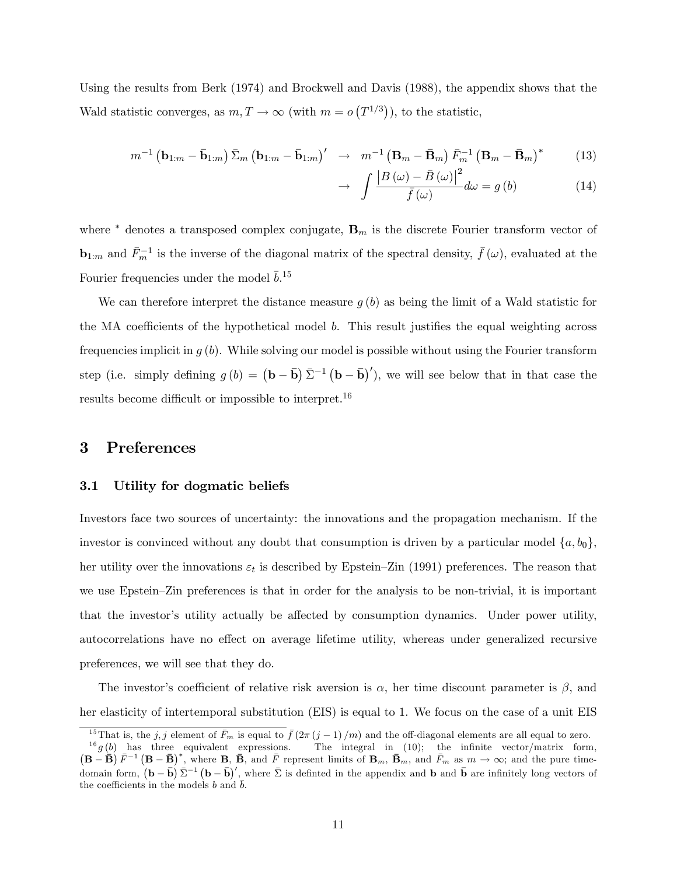Using the results from Berk (1974) and Brockwell and Davis (1988), the appendix shows that the Wald statistic converges, as  $m, T \to \infty$  (with  $m = o(T^{1/3})$ ), to the statistic,

$$
m^{-1} \left( \mathbf{b}_{1:m} - \bar{\mathbf{b}}_{1:m} \right) \bar{\Sigma}_m \left( \mathbf{b}_{1:m} - \bar{\mathbf{b}}_{1:m} \right)' \rightarrow m^{-1} \left( \mathbf{B}_m - \bar{\mathbf{B}}_m \right) \bar{F}_m^{-1} \left( \mathbf{B}_m - \bar{\mathbf{B}}_m \right)^* \tag{13}
$$

$$
\rightarrow \int \frac{\left|B\left(\omega\right) - \bar{B}\left(\omega\right)\right|^2}{\bar{f}\left(\omega\right)} d\omega = g\left(b\right) \tag{14}
$$

where  $*$  denotes a transposed complex conjugate,  $\mathbf{B}_m$  is the discrete Fourier transform vector of **<sub>1:m</sub> and**  $\bar{F}_m^{-1}$  **is the inverse of the diagonal matrix of the spectral density,**  $\bar{f}(\omega)$ **, evaluated at the** Fourier frequencies under the model  $\bar{b}$ <sup>15</sup>

We can therefore interpret the distance measure  $g(b)$  as being the limit of a Wald statistic for the MA coefficients of the hypothetical model  $b$ . This result justifies the equal weighting across frequencies implicit in  $g(b)$ . While solving our model is possible without using the Fourier transform step (i.e. simply defining  $g(b) = (\mathbf{b} - \bar{\mathbf{b}}) \bar{\Sigma}^{-1} (\mathbf{b} - \bar{\mathbf{b}})'$ ), we will see below that in that case the results become difficult or impossible to interpret.<sup>16</sup>

## 3 Preferences

#### 3.1 Utility for dogmatic beliefs

Investors face two sources of uncertainty: the innovations and the propagation mechanism. If the investor is convinced without any doubt that consumption is driven by a particular model  $\{a, b_0\}$ , her utility over the innovations  $\varepsilon_t$  is described by Epstein–Zin (1991) preferences. The reason that we use Epstein–Zin preferences is that in order for the analysis to be non-trivial, it is important that the investor's utility actually be affected by consumption dynamics. Under power utility, autocorrelations have no effect on average lifetime utility, whereas under generalized recursive preferences, we will see that they do.

The investor's coefficient of relative risk aversion is  $\alpha$ , her time discount parameter is  $\beta$ , and her elasticity of intertemporal substitution (EIS) is equal to 1. We focus on the case of a unit EIS

<sup>&</sup>lt;sup>15</sup>That is, the j, j element of  $\bar{F}_m$  is equal to  $\bar{f}(2\pi (j-1)/m)$  and the off-diagonal elements are all equal to zero.

 $^{16}g(b)$  has three equivalent expressions. The integral in (10); the infinite vector/matrix form,  $(\mathbf{B}-\bar{\mathbf{B}})^{\tilde{F}}$   $(\mathbf{B}-\bar{\mathbf{B}})^*$ , where  $\mathbf{B}, \bar{\mathbf{B}},$  and  $\bar{F}$  represent limits of  $\mathbf{B}_m$ ,  $\bar{\mathbf{B}}_m$ , and  $\bar{F}_m$  as  $m \to \infty$ ; and the pure timedomain form,  $(\mathbf{b} - \bar{\mathbf{b}}) \bar{\Sigma}^{-1} (\mathbf{b} - \bar{\mathbf{b}})'$ , where  $\bar{\Sigma}$  is definited in the appendix and  $\mathbf{b}$  and  $\bar{\mathbf{b}}$  are infinitely long vectors of the coefficients in the models b and  $\bar{b}$ .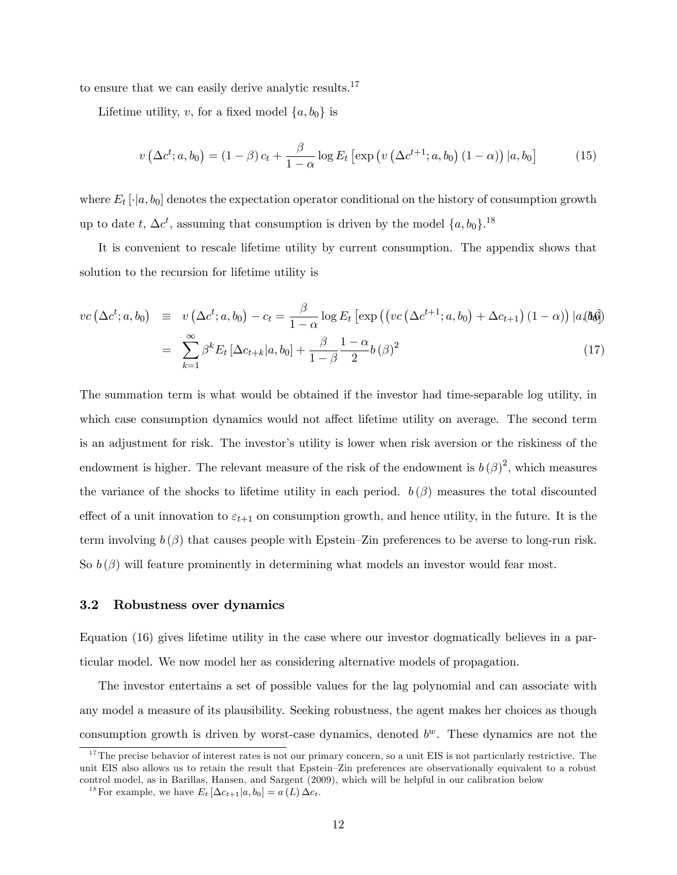to ensure that we can easily derive analytic results.<sup>17</sup>

Lifetime utility, v, for a fixed model  $\{a, b_0\}$  is

$$
v\left(\Delta c^t; a, b_0\right) = \left(1 - \beta\right)c_t + \frac{\beta}{1 - \alpha}\log E_t\left[\exp\left(v\left(\Delta c^{t+1}; a, b_0\right)\left(1 - \alpha\right)\right)|a, b_0\right] \tag{15}
$$

where  $E_t[\cdot]_a$ ,  $b_0$  denotes the expectation operator conditional on the history of consumption growth up to date t,  $\Delta c^t$ , assuming that consumption is driven by the model  $\{a, b_0\}$ .<sup>18</sup>

It is convenient to rescale lifetime utility by current consumption. The appendix shows that solution to the recursion for lifetime utility is

$$
vc\left(\Delta c^t; a, b_0\right) \equiv v\left(\Delta c^t; a, b_0\right) - c_t = \frac{\beta}{1 - \alpha} \log E_t \left[\exp\left(\left(vc\left(\Delta c^{t+1}; a, b_0\right) + \Delta c_{t+1}\right)(1 - \alpha)\right) |a_s(\theta_0)\right]
$$

$$
= \sum_{k=1}^{\infty} \beta^k E_t \left[\Delta c_{t+k}|a, b_0\right] + \frac{\beta}{1 - \beta} \frac{1 - \alpha}{2} b\left(\beta\right)^2 \tag{17}
$$

The summation term is what would be obtained if the investor had time-separable log utility, in which case consumption dynamics would not affect lifetime utility on average. The second term is an adjustment for risk. The investor's utility is lower when risk aversion or the riskiness of the endowment is higher. The relevant measure of the risk of the endowment is  $b(\beta)^2$ , which measures the variance of the shocks to lifetime utility in each period.  $b(\beta)$  measures the total discounted effect of a unit innovation to  $\varepsilon_{t+1}$  on consumption growth, and hence utility, in the future. It is the term involving  $b(\beta)$  that causes people with Epstein–Zin preferences to be averse to long-run risk. So  $b(\beta)$  will feature prominently in determining what models an investor would fear most.

#### 3.2 Robustness over dynamics

Equation (16) gives lifetime utility in the case where our investor dogmatically believes in a particular model. We now model her as considering alternative models of propagation.

The investor entertains a set of possible values for the lag polynomial and can associate with any model a measure of its plausibility. Seeking robustness, the agent makes her choices as though consumption growth is driven by worst-case dynamics, denoted  $b^w$ . These dynamics are not the

 $17$ The precise behavior of interest rates is not our primary concern, so a unit EIS is not particularly restrictive. The unit EIS also allows us to retain the result that Epstein–Zin preferences are observationally equivalent to a robust control model, as in Barillas, Hansen, and Sargent (2009), which will be helpful in our calibration below

<sup>&</sup>lt;sup>18</sup>For example, we have  $E_t \left[\Delta c_{t+1}|a, b_0\right] = a(L) \Delta c_t$ .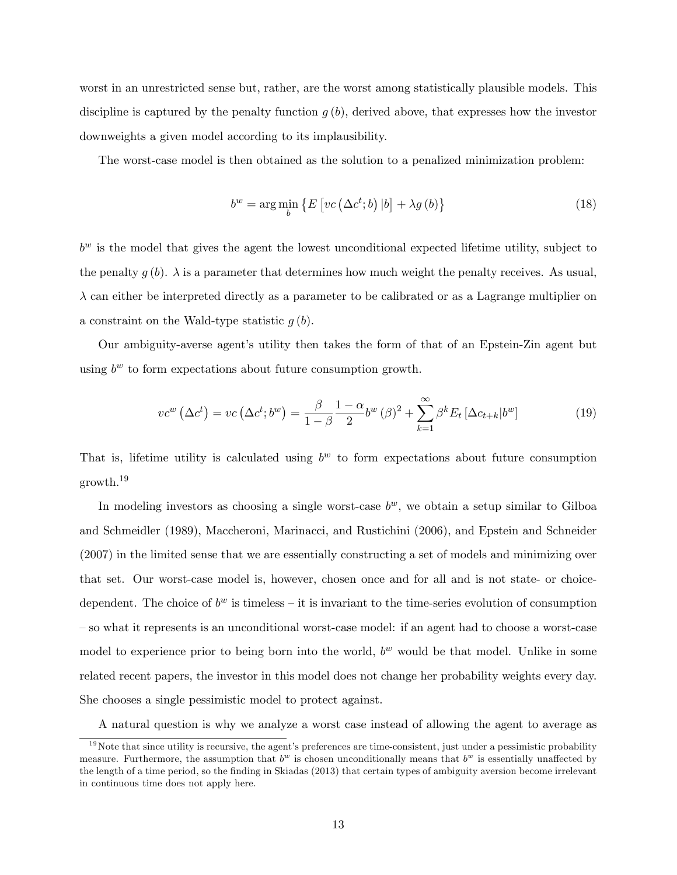worst in an unrestricted sense but, rather, are the worst among statistically plausible models. This discipline is captured by the penalty function  $g(b)$ , derived above, that expresses how the investor downweights a given model according to its implausibility.

The worst-case model is then obtained as the solution to a penalized minimization problem:

$$
b^{w} = \arg\min_{b} \left\{ E \left[ vc \left( \Delta c^{t}; b \right) | b \right] + \lambda g \left( b \right) \right\} \tag{18}
$$

 $b^w$  is the model that gives the agent the lowest unconditional expected lifetime utility, subject to the penalty  $g(b)$ .  $\lambda$  is a parameter that determines how much weight the penalty receives. As usual,  $\lambda$  can either be interpreted directly as a parameter to be calibrated or as a Lagrange multiplier on a constraint on the Wald-type statistic  $g(b)$ .

Our ambiguity-averse agent's utility then takes the form of that of an Epstein-Zin agent but using  $b^w$  to form expectations about future consumption growth.

$$
vc^{w}(\Delta c^{t}) = vc(\Delta c^{t}; b^{w}) = \frac{\beta}{1-\beta} \frac{1-\alpha}{2} b^{w}(\beta)^{2} + \sum_{k=1}^{\infty} \beta^{k} E_{t} [\Delta c_{t+k} | b^{w}]
$$
(19)

That is, lifetime utility is calculated using  $b^w$  to form expectations about future consumption growth.<sup>19</sup>

In modeling investors as choosing a single worst-case  $b^w$ , we obtain a setup similar to Gilboa and Schmeidler (1989), Maccheroni, Marinacci, and Rustichini (2006), and Epstein and Schneider (2007) in the limited sense that we are essentially constructing a set of models and minimizing over that set. Our worst-case model is, however, chosen once and for all and is not state- or choicedependent. The choice of  $b^w$  is timeless – it is invariant to the time-series evolution of consumption – so what it represents is an unconditional worst-case model: if an agent had to choose a worst-case model to experience prior to being born into the world,  $b<sup>w</sup>$  would be that model. Unlike in some related recent papers, the investor in this model does not change her probability weights every day. She chooses a single pessimistic model to protect against.

A natural question is why we analyze a worst case instead of allowing the agent to average as

 $19$ Note that since utility is recursive, the agent's preferences are time-consistent, just under a pessimistic probability measure. Furthermore, the assumption that  $b^w$  is chosen unconditionally means that  $b^w$  is essentially unaffected by the length of a time period, so the finding in Skiadas (2013) that certain types of ambiguity aversion become irrelevant in continuous time does not apply here.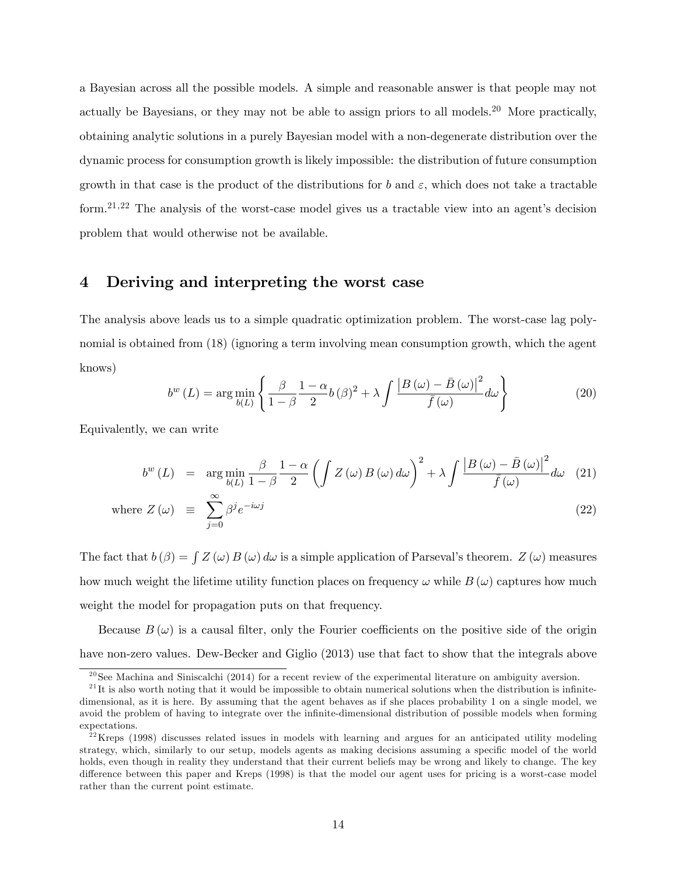a Bayesian across all the possible models. A simple and reasonable answer is that people may not actually be Bayesians, or they may not be able to assign priors to all models.<sup>20</sup> More practically, obtaining analytic solutions in a purely Bayesian model with a non-degenerate distribution over the dynamic process for consumption growth is likely impossible: the distribution of future consumption growth in that case is the product of the distributions for b and  $\varepsilon$ , which does not take a tractable form.<sup>21,22</sup> The analysis of the worst-case model gives us a tractable view into an agent's decision problem that would otherwise not be available.

# 4 Deriving and interpreting the worst case

The analysis above leads us to a simple quadratic optimization problem. The worst-case lag polynomial is obtained from (18) (ignoring a term involving mean consumption growth, which the agent knows)

$$
b^{w}\left(L\right) = \arg\min_{b(L)} \left\{ \frac{\beta}{1-\beta} \frac{1-\alpha}{2} b\left(\beta\right)^{2} + \lambda \int \frac{\left|B\left(\omega\right) - \bar{B}\left(\omega\right)\right|^{2}}{\bar{f}\left(\omega\right)} d\omega \right\}
$$
(20)

Equivalently, we can write

$$
b^{w}(L) = \arg\min_{b(L)} \frac{\beta}{1-\beta} \frac{1-\alpha}{2} \left( \int Z(\omega) B(\omega) d\omega \right)^{2} + \lambda \int \frac{\left|B(\omega) - \bar{B}(\omega)\right|^{2}}{\bar{f}(\omega)} d\omega \quad (21)
$$

where 
$$
Z(\omega) \equiv \sum_{j=0}^{\infty} \beta^j e^{-i\omega j}
$$
 (22)

The fact that  $b(\beta) = \int Z(\omega) B(\omega) d\omega$  is a simple application of Parseval's theorem.  $Z(\omega)$  measures how much weight the lifetime utility function places on frequency  $\omega$  while B  $(\omega)$  captures how much weight the model for propagation puts on that frequency.

Because  $B(\omega)$  is a causal filter, only the Fourier coefficients on the positive side of the origin have non-zero values. Dew-Becker and Giglio (2013) use that fact to show that the integrals above

<sup>&</sup>lt;sup>20</sup>See Machina and Siniscalchi (2014) for a recent review of the experimental literature on ambiguity aversion.

 $^{21}$ It is also worth noting that it would be impossible to obtain numerical solutions when the distribution is infinitedimensional, as it is here. By assuming that the agent behaves as if she places probability 1 on a single model, we avoid the problem of having to integrate over the infinite-dimensional distribution of possible models when forming expectations.

 $^{22}$ Kreps (1998) discusses related issues in models with learning and argues for an anticipated utility modeling strategy, which, similarly to our setup, models agents as making decisions assuming a specific model of the world holds, even though in reality they understand that their current beliefs may be wrong and likely to change. The key difference between this paper and Kreps (1998) is that the model our agent uses for pricing is a worst-case model rather than the current point estimate.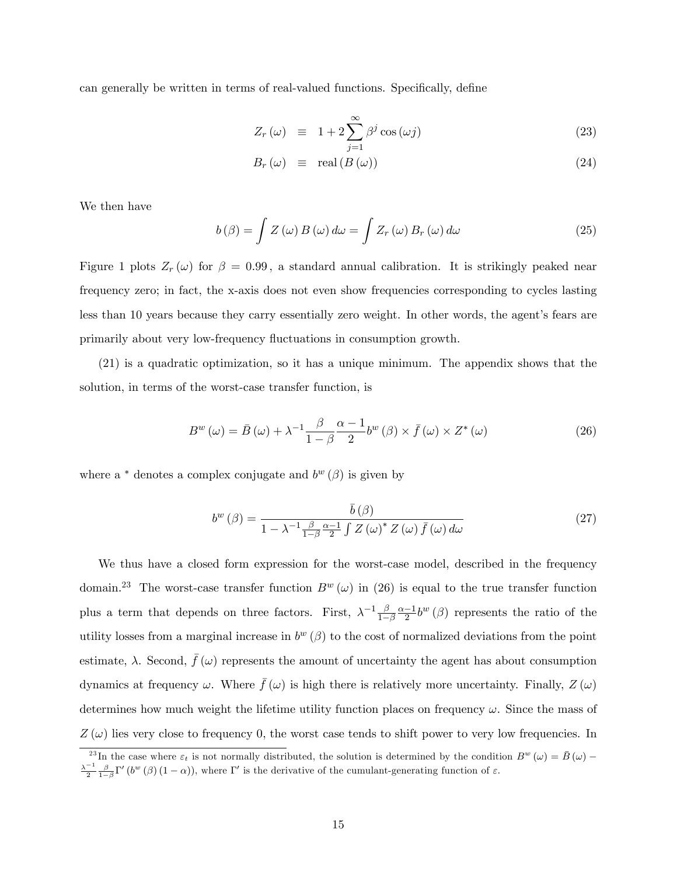can generally be written in terms of real-valued functions. Specifically, define

$$
Z_r(\omega) \equiv 1 + 2 \sum_{j=1}^{\infty} \beta^j \cos(\omega j) \tag{23}
$$

$$
B_r(\omega) \equiv \text{real}(B(\omega)) \tag{24}
$$

We then have

$$
b(\beta) = \int Z(\omega) B(\omega) d\omega = \int Z_r(\omega) B_r(\omega) d\omega \qquad (25)
$$

Figure 1 plots  $Z_r(\omega)$  for  $\beta = 0.99$ , a standard annual calibration. It is strikingly peaked near frequency zero; in fact, the x-axis does not even show frequencies corresponding to cycles lasting less than 10 years because they carry essentially zero weight. In other words, the agent's fears are primarily about very low-frequency fluctuations in consumption growth.

(21) is a quadratic optimization, so it has a unique minimum. The appendix shows that the solution, in terms of the worst-case transfer function, is

$$
B^{w}(\omega) = \bar{B}(\omega) + \lambda^{-1} \frac{\beta}{1-\beta} \frac{\alpha-1}{2} b^{w}(\beta) \times \bar{f}(\omega) \times Z^{*}(\omega)
$$
 (26)

where a  $*$  denotes a complex conjugate and  $b^w(\beta)$  is given by

$$
b^{w}(\beta) = \frac{\bar{b}(\beta)}{1 - \lambda^{-1} \frac{\beta}{1 - \beta} \frac{\alpha - 1}{2} \int Z(\omega)^{*} Z(\omega) \bar{f}(\omega) d\omega}
$$
(27)

We thus have a closed form expression for the worst-case model, described in the frequency domain.<sup>23</sup> The worst-case transfer function  $B^w(\omega)$  in (26) is equal to the true transfer function plus a term that depends on three factors. First,  $\lambda^{-1} \frac{\beta}{1-\beta}$  $1-\beta$  $\frac{\alpha-1}{2}b^w(\beta)$  represents the ratio of the utility losses from a marginal increase in  $b^w(\beta)$  to the cost of normalized deviations from the point estimate,  $\lambda$ . Second,  $\bar{f}(\omega)$  represents the amount of uncertainty the agent has about consumption dynamics at frequency  $\omega$ . Where  $\bar{f}(\omega)$  is high there is relatively more uncertainty. Finally,  $Z(\omega)$ determines how much weight the lifetime utility function places on frequency  $\omega$ . Since the mass of  $Z(\omega)$  lies very close to frequency 0, the worst case tends to shift power to very low frequencies. In

<sup>&</sup>lt;sup>23</sup>In the case where  $\varepsilon_t$  is not normally distributed, the solution is determined by the condition  $B^w(\omega) = \overline{B}(\omega) - \frac{\lambda^{-1}}{2} \frac{\beta}{1-\beta} \Gamma' (b^w(\beta)(1-\alpha))$ , where  $\Gamma'$  is the derivative of the cumulant-generating function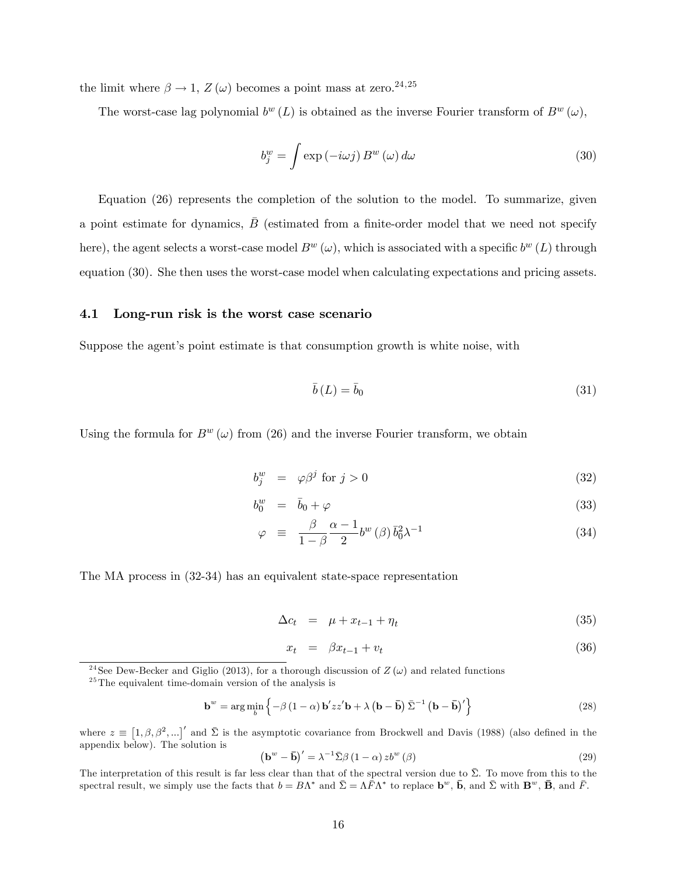the limit where  $\beta \rightarrow 1$ ,  $Z(\omega)$  becomes a point mass at zero.<sup>24,25</sup>

The worst-case lag polynomial  $b^w(L)$  is obtained as the inverse Fourier transform of  $B^w(\omega)$ ,

$$
b_j^w = \int \exp(-i\omega j) B^w(\omega) d\omega \tag{30}
$$

Equation (26) represents the completion of the solution to the model. To summarize, given a point estimate for dynamics,  $\overline{B}$  (estimated from a finite-order model that we need not specify here), the agent selects a worst-case model  $B^w(\omega)$ , which is associated with a specific  $b^w(L)$  through equation (30). She then uses the worst-case model when calculating expectations and pricing assets.

#### 4.1 Long-run risk is the worst case scenario

Suppose the agent's point estimate is that consumption growth is white noise, with

$$
\bar{b}(L) = \bar{b}_0 \tag{31}
$$

Using the formula for  $B^w(\omega)$  from (26) and the inverse Fourier transform, we obtain

$$
b_j^w = \varphi \beta^j \text{ for } j > 0 \tag{32}
$$

$$
b_0^w = \bar{b}_0 + \varphi \tag{33}
$$

$$
\varphi \equiv \frac{\beta}{1-\beta} \frac{\alpha-1}{2} b^w (\beta) \bar{b}_0^2 \lambda^{-1} \tag{34}
$$

The MA process in (32-34) has an equivalent state-space representation

$$
\Delta c_t = \mu + x_{t-1} + \eta_t \tag{35}
$$

$$
x_t = \beta x_{t-1} + v_t \tag{36}
$$

$$
\mathbf{b}^w = \arg\min_{b} \left\{-\beta \left(1 - \alpha\right) \mathbf{b}' z z' \mathbf{b} + \lambda \left(\mathbf{b} - \bar{\mathbf{b}}\right) \bar{\Sigma}^{-1} \left(\mathbf{b} - \bar{\mathbf{b}}\right)' \right\}
$$
(28)

where  $z \equiv [1, \beta, \beta^2, ...]'$  and  $\bar{\Sigma}$  is the asymptotic covariance from Brockwell and Davis (1988) (also defined in the appendix below). The solution is

$$
\left(\mathbf{b}^{w} - \bar{\mathbf{b}}\right)' = \lambda^{-1} \bar{\Sigma} \beta \left(1 - \alpha\right) z b^{w} \left(\beta\right) \tag{29}
$$

The interpretation of this result is far less clear than that of the spectral version due to  $\bar{\Sigma}$ . To move from this to the spectral result, we simply use the facts that  $b = B\Lambda^*$  and  $\bar{\Sigma} = \Lambda \bar{F} \Lambda^*$  to replace  $\mathbf{b}^w$ ,  $\bar{\mathbf{b}}$ , and  $\bar{\Sigma}$  with  $\mathbf{B}^w$ ,  $\bar{\mathbf{B}}$ , and  $\bar{F}$ .

<sup>&</sup>lt;sup>24</sup>See Dew-Becker and Giglio (2013), for a thorough discussion of  $Z(\omega)$  and related functions

 $25$ The equivalent time-domain version of the analysis is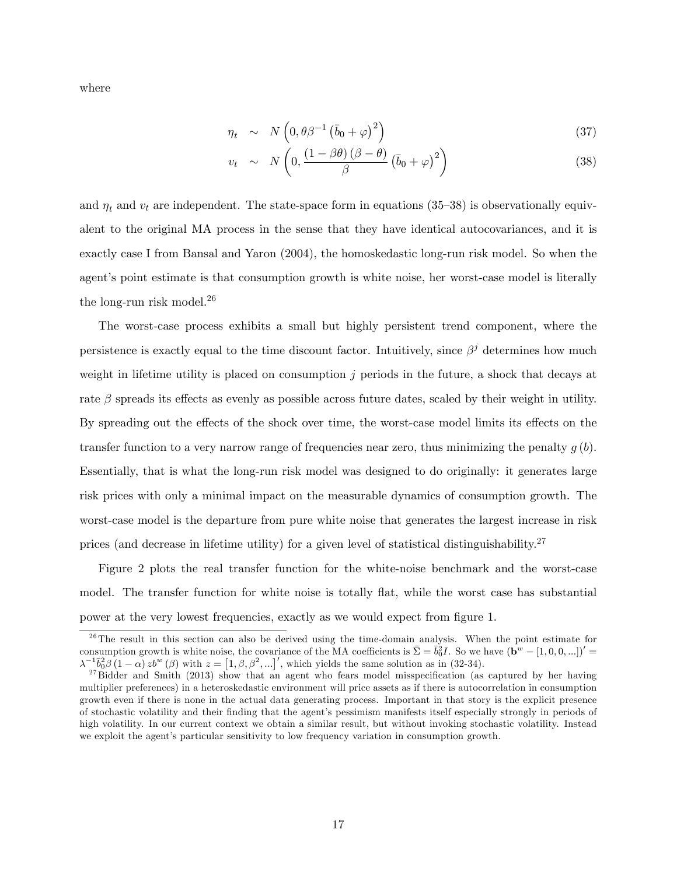where

$$
\eta_t \sim N\left(0, \theta \beta^{-1} \left(\bar{b}_0 + \varphi\right)^2\right) \tag{37}
$$

$$
v_t \sim N\left(0, \frac{\left(1 - \beta\theta\right)\left(\beta - \theta\right)}{\beta}\left(\bar{b}_0 + \varphi\right)^2\right) \tag{38}
$$

and  $\eta_t$  and  $v_t$  are independent. The state-space form in equations (35–38) is observationally equivalent to the original MA process in the sense that they have identical autocovariances, and it is exactly case I from Bansal and Yaron (2004), the homoskedastic long-run risk model. So when the agent's point estimate is that consumption growth is white noise, her worst-case model is literally the long-run risk model.<sup>26</sup>

The worst-case process exhibits a small but highly persistent trend component, where the persistence is exactly equal to the time discount factor. Intuitively, since  $\beta^j$  determines how much weight in lifetime utility is placed on consumption j periods in the future, a shock that decays at rate  $\beta$  spreads its effects as evenly as possible across future dates, scaled by their weight in utility. By spreading out the effects of the shock over time, the worst-case model limits its effects on the transfer function to a very narrow range of frequencies near zero, thus minimizing the penalty  $g(b)$ . Essentially, that is what the long-run risk model was designed to do originally: it generates large risk prices with only a minimal impact on the measurable dynamics of consumption growth. The worst-case model is the departure from pure white noise that generates the largest increase in risk prices (and decrease in lifetime utility) for a given level of statistical distinguishability.<sup>27</sup>

Figure 2 plots the real transfer function for the white-noise benchmark and the worst-case model. The transfer function for white noise is totally flat, while the worst case has substantial power at the very lowest frequencies, exactly as we would expect from Ögure 1.

<sup>&</sup>lt;sup>26</sup>The result in this section can also be derived using the time-domain analysis. When the point estimate for consumption growth is white noise, the covariance of the MA coefficients is  $\bar{\Sigma} = \bar{b}_0^2 I$ . So we have  $(\mathbf{b}^w - [1, 0, 0, \ldots])' =$  $\lambda^{-1} \bar{b}_0^2 \beta (1-\alpha) z b^w (\beta)$  with  $z = [1, \beta, \beta^2, ...]'$ , which yields the same solution as in (32-34).

 $27$ Bidder and Smith (2013) show that an agent who fears model misspecification (as captured by her having multiplier preferences) in a heteroskedastic environment will price assets as if there is autocorrelation in consumption growth even if there is none in the actual data generating process. Important in that story is the explicit presence of stochastic volatility and their finding that the agent's pessimism manifests itself especially strongly in periods of high volatility. In our current context we obtain a similar result, but without invoking stochastic volatility. Instead we exploit the agent's particular sensitivity to low frequency variation in consumption growth.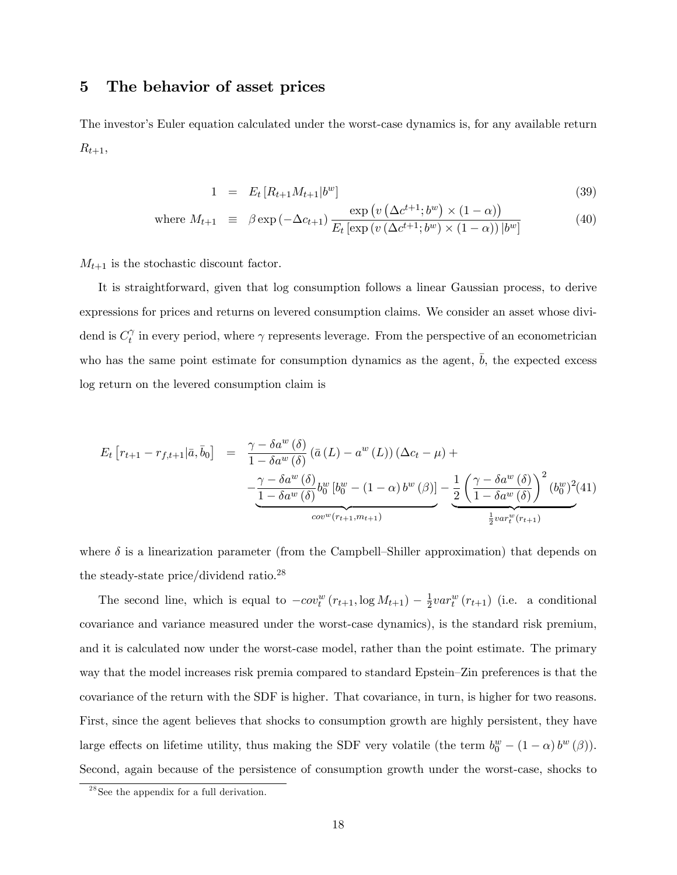# 5 The behavior of asset prices

The investor's Euler equation calculated under the worst-case dynamics is, for any available return  $R_{t+1}$ 

$$
1 = E_t [R_{t+1} M_{t+1} | b^w]
$$
\n(39)

where 
$$
M_{t+1} \equiv \beta \exp\left(-\Delta c_{t+1}\right) \frac{\exp\left(v\left(\Delta c^{t+1}; b^w\right) \times (1-\alpha)\right)}{E_t\left[\exp\left(v\left(\Delta c^{t+1}; b^w\right) \times (1-\alpha)\right)|b^w\right]}
$$
(40)

 $M_{t+1}$  is the stochastic discount factor.

It is straightforward, given that log consumption follows a linear Gaussian process, to derive expressions for prices and returns on levered consumption claims. We consider an asset whose dividend is  $C_t^{\gamma}$  $\gamma$  in every period, where  $\gamma$  represents leverage. From the perspective of an econometrician who has the same point estimate for consumption dynamics as the agent,  $\bar{b}$ , the expected excess log return on the levered consumption claim is

$$
E_t \left[ r_{t+1} - r_{f,t+1} | \bar{a}, \bar{b}_0 \right] = \frac{\gamma - \delta a^w \left( \delta \right)}{1 - \delta a^w \left( \delta \right)} \left( \bar{a} \left( L \right) - a^w \left( L \right) \right) \left( \Delta c_t - \mu \right) +
$$

$$
- \underbrace{\frac{\gamma - \delta a^w \left( \delta \right)}{1 - \delta a^w \left( \delta \right)} b_0^w \left[ b_0^w - \left( 1 - \alpha \right) b^w \left( \beta \right) \right]}_{cov^w \left( r_{t+1}, m_{t+1} \right)} - \underbrace{\frac{1}{2} \left( \frac{\gamma - \delta a^w \left( \delta \right)}{1 - \delta a^w \left( \delta \right)} \right)^2 \left( b_0^w \right)^2}_{\frac{1}{2} var_t^w \left( r_{t+1} \right)} \left( \frac{\delta a^w \left( L \right)}{1 - \delta a^w \left( \delta \right)} \right)^2 \left( b_0^w \right)^2 \left( \frac{\delta a^w \left( L \right)}{1 - \delta a^w \left( \delta \right)} \right)^2}
$$

where  $\delta$  is a linearization parameter (from the Campbell–Shiller approximation) that depends on the steady-state price/dividend ratio.<sup>28</sup>

The second line, which is equal to  $-cov_t^w(r_{t+1}, \log M_{t+1}) - \frac{1}{2}$  $\frac{1}{2}var_t^w(r_{t+1})$  (i.e. a conditional covariance and variance measured under the worst-case dynamics), is the standard risk premium, and it is calculated now under the worst-case model, rather than the point estimate. The primary way that the model increases risk premia compared to standard Epstein–Zin preferences is that the covariance of the return with the SDF is higher. That covariance, in turn, is higher for two reasons. First, since the agent believes that shocks to consumption growth are highly persistent, they have large effects on lifetime utility, thus making the SDF very volatile (the term  $b_0^w - (1 - \alpha) b^w (\beta)$ ). Second, again because of the persistence of consumption growth under the worst-case, shocks to

<sup>28</sup>See the appendix for a full derivation.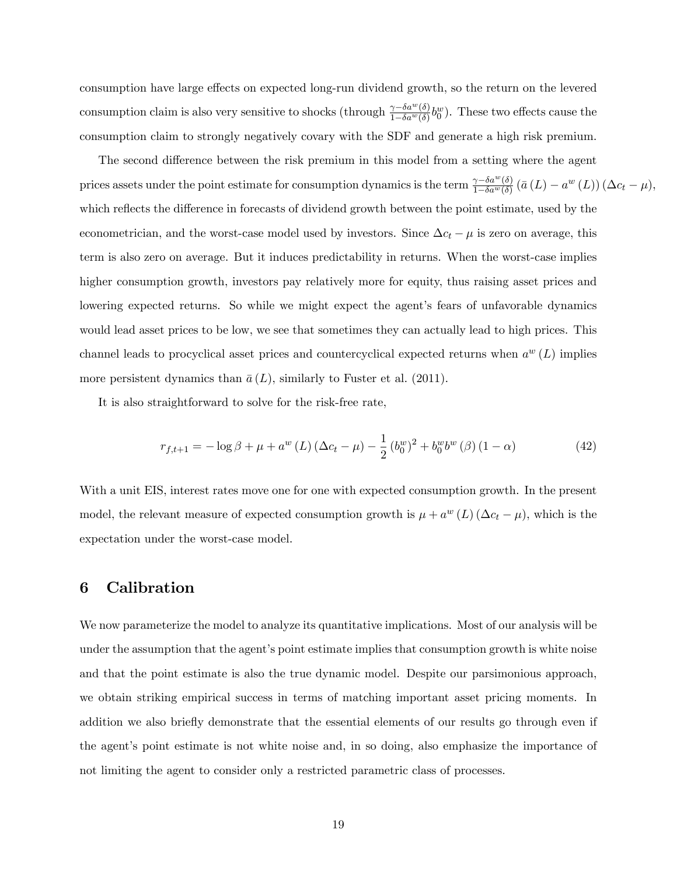consumption have large effects on expected long-run dividend growth, so the return on the levered consumption claim is also very sensitive to shocks (through  $\frac{\gamma-\delta a^w(\delta)}{1-\delta a^w(\delta)}b_0^w$ ). These two effects cause the consumption claim to strongly negatively covary with the SDF and generate a high risk premium.

The second difference between the risk premium in this model from a setting where the agent prices assets under the point estimate for consumption dynamics is the term  $\frac{\gamma-\delta a^w(\delta)}{1-\delta a^w(\delta)}(\bar{a}(L)-a^w(L))(\Delta c_t-\mu)$ , which reflects the difference in forecasts of dividend growth between the point estimate, used by the econometrician, and the worst-case model used by investors. Since  $\Delta c_t - \mu$  is zero on average, this term is also zero on average. But it induces predictability in returns. When the worst-case implies higher consumption growth, investors pay relatively more for equity, thus raising asset prices and lowering expected returns. So while we might expect the agent's fears of unfavorable dynamics would lead asset prices to be low, we see that sometimes they can actually lead to high prices. This channel leads to procyclical asset prices and countercyclical expected returns when  $a^w(L)$  implies more persistent dynamics than  $\bar{a}(L)$ , similarly to Fuster et al. (2011).

It is also straightforward to solve for the risk-free rate,

$$
r_{f,t+1} = -\log \beta + \mu + a^w \left( L \right) \left( \Delta c_t - \mu \right) - \frac{1}{2} \left( b_0^w \right)^2 + b_0^w b^w \left( \beta \right) \left( 1 - \alpha \right) \tag{42}
$$

With a unit EIS, interest rates move one for one with expected consumption growth. In the present model, the relevant measure of expected consumption growth is  $\mu + a^w(L) (\Delta c_t - \mu)$ , which is the expectation under the worst-case model.

# 6 Calibration

We now parameterize the model to analyze its quantitative implications. Most of our analysis will be under the assumption that the agent's point estimate implies that consumption growth is white noise and that the point estimate is also the true dynamic model. Despite our parsimonious approach, we obtain striking empirical success in terms of matching important asset pricing moments. In addition we also briefly demonstrate that the essential elements of our results go through even if the agent's point estimate is not white noise and, in so doing, also emphasize the importance of not limiting the agent to consider only a restricted parametric class of processes.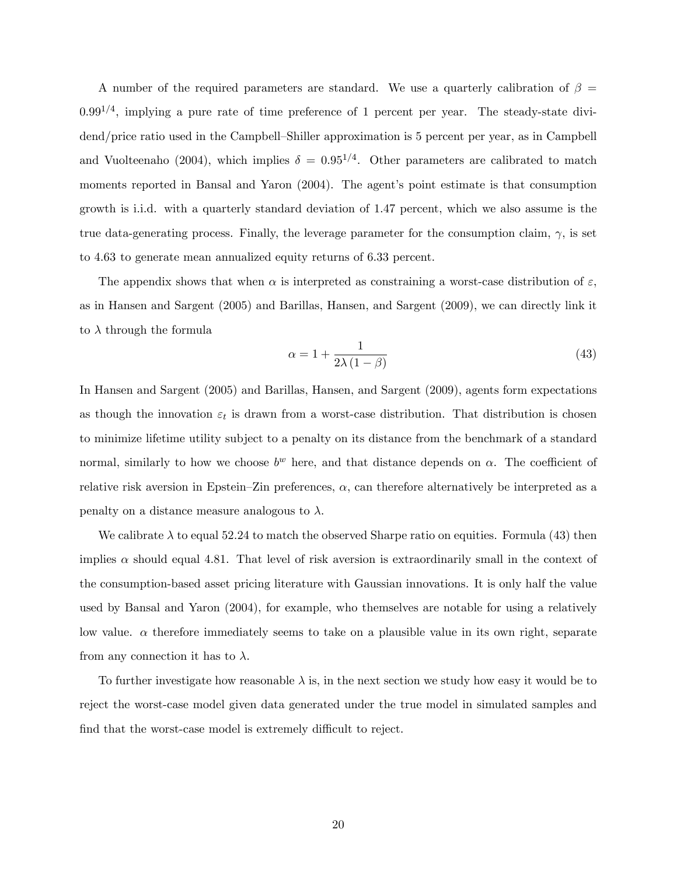A number of the required parameters are standard. We use a quarterly calibration of  $\beta =$  $0.99^{1/4}$ , implying a pure rate of time preference of 1 percent per year. The steady-state dividend/price ratio used in the Campbell–Shiller approximation is 5 percent per year, as in Campbell and Vuolteenaho (2004), which implies  $\delta = 0.95^{1/4}$ . Other parameters are calibrated to match moments reported in Bansal and Yaron (2004). The agent's point estimate is that consumption growth is i.i.d. with a quarterly standard deviation of 1.47 percent, which we also assume is the true data-generating process. Finally, the leverage parameter for the consumption claim,  $\gamma$ , is set to 4.63 to generate mean annualized equity returns of 6.33 percent.

The appendix shows that when  $\alpha$  is interpreted as constraining a worst-case distribution of  $\varepsilon$ , as in Hansen and Sargent (2005) and Barillas, Hansen, and Sargent (2009), we can directly link it to  $\lambda$  through the formula

$$
\alpha = 1 + \frac{1}{2\lambda(1-\beta)}\tag{43}
$$

In Hansen and Sargent (2005) and Barillas, Hansen, and Sargent (2009), agents form expectations as though the innovation  $\varepsilon_t$  is drawn from a worst-case distribution. That distribution is chosen to minimize lifetime utility subject to a penalty on its distance from the benchmark of a standard normal, similarly to how we choose  $b^w$  here, and that distance depends on  $\alpha$ . The coefficient of relative risk aversion in Epstein–Zin preferences,  $\alpha$ , can therefore alternatively be interpreted as a penalty on a distance measure analogous to  $\lambda$ .

We calibrate  $\lambda$  to equal 52.24 to match the observed Sharpe ratio on equities. Formula (43) then implies  $\alpha$  should equal 4.81. That level of risk aversion is extraordinarily small in the context of the consumption-based asset pricing literature with Gaussian innovations. It is only half the value used by Bansal and Yaron (2004), for example, who themselves are notable for using a relatively low value.  $\alpha$  therefore immediately seems to take on a plausible value in its own right, separate from any connection it has to  $\lambda$ .

To further investigate how reasonable  $\lambda$  is, in the next section we study how easy it would be to reject the worst-case model given data generated under the true model in simulated samples and find that the worst-case model is extremely difficult to reject.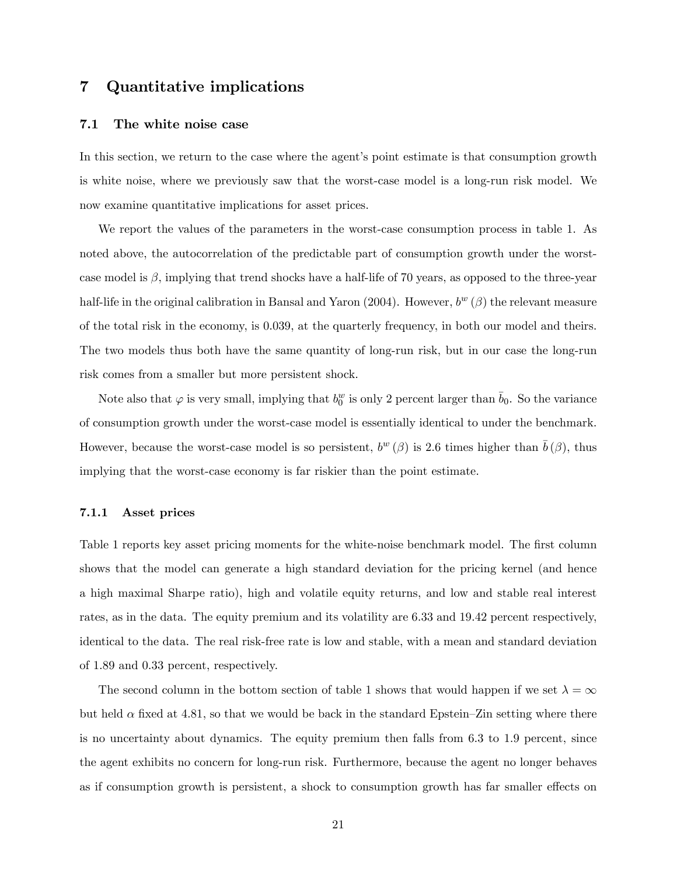# 7 Quantitative implications

#### 7.1 The white noise case

In this section, we return to the case where the agent's point estimate is that consumption growth is white noise, where we previously saw that the worst-case model is a long-run risk model. We now examine quantitative implications for asset prices.

We report the values of the parameters in the worst-case consumption process in table 1. As noted above, the autocorrelation of the predictable part of consumption growth under the worstcase model is  $\beta$ , implying that trend shocks have a half-life of 70 years, as opposed to the three-year half-life in the original calibration in Bansal and Yaron (2004). However,  $b^w(\beta)$  the relevant measure of the total risk in the economy, is 0.039, at the quarterly frequency, in both our model and theirs. The two models thus both have the same quantity of long-run risk, but in our case the long-run risk comes from a smaller but more persistent shock.

Note also that  $\varphi$  is very small, implying that  $b_0^w$  is only 2 percent larger than  $\bar{b}_0$ . So the variance of consumption growth under the worst-case model is essentially identical to under the benchmark. However, because the worst-case model is so persistent,  $b^w(\beta)$  is 2.6 times higher than  $\bar{b}(\beta)$ , thus implying that the worst-case economy is far riskier than the point estimate.

#### 7.1.1 Asset prices

Table 1 reports key asset pricing moments for the white-noise benchmark model. The first column shows that the model can generate a high standard deviation for the pricing kernel (and hence a high maximal Sharpe ratio), high and volatile equity returns, and low and stable real interest rates, as in the data. The equity premium and its volatility are 6.33 and 19.42 percent respectively, identical to the data. The real risk-free rate is low and stable, with a mean and standard deviation of 1.89 and 0.33 percent, respectively.

The second column in the bottom section of table 1 shows that would happen if we set  $\lambda = \infty$ but held  $\alpha$  fixed at 4.81, so that we would be back in the standard Epstein–Zin setting where there is no uncertainty about dynamics. The equity premium then falls from 6.3 to 1.9 percent, since the agent exhibits no concern for long-run risk. Furthermore, because the agent no longer behaves as if consumption growth is persistent, a shock to consumption growth has far smaller effects on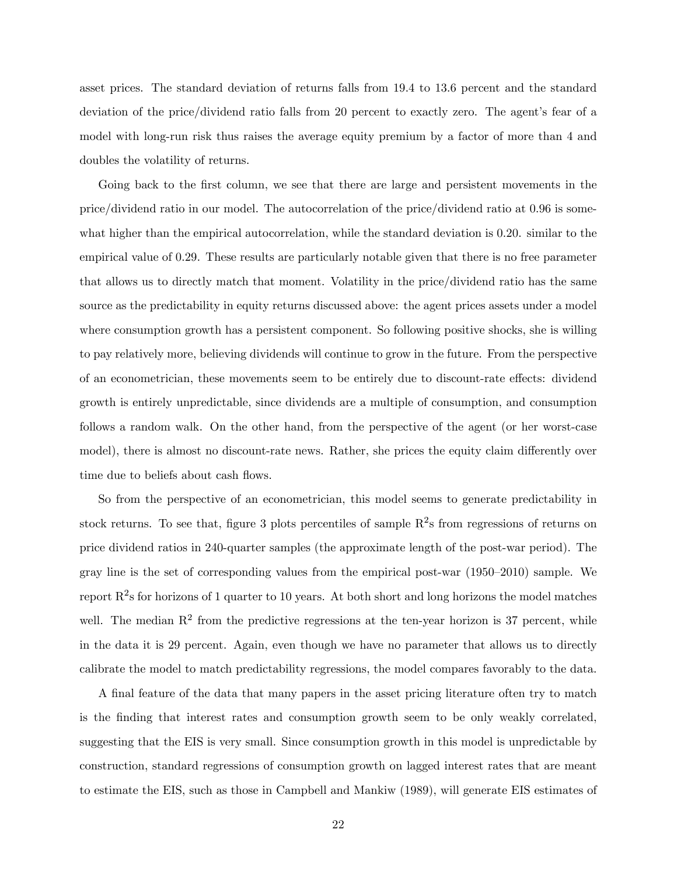asset prices. The standard deviation of returns falls from 19.4 to 13.6 percent and the standard deviation of the price/dividend ratio falls from 20 percent to exactly zero. The agent's fear of a model with long-run risk thus raises the average equity premium by a factor of more than 4 and doubles the volatility of returns.

Going back to the first column, we see that there are large and persistent movements in the price/dividend ratio in our model. The autocorrelation of the price/dividend ratio at 0.96 is somewhat higher than the empirical autocorrelation, while the standard deviation is 0.20. similar to the empirical value of 0.29. These results are particularly notable given that there is no free parameter that allows us to directly match that moment. Volatility in the price/dividend ratio has the same source as the predictability in equity returns discussed above: the agent prices assets under a model where consumption growth has a persistent component. So following positive shocks, she is willing to pay relatively more, believing dividends will continue to grow in the future. From the perspective of an econometrician, these movements seem to be entirely due to discount-rate effects: dividend growth is entirely unpredictable, since dividends are a multiple of consumption, and consumption follows a random walk. On the other hand, from the perspective of the agent (or her worst-case model), there is almost no discount-rate news. Rather, she prices the equity claim differently over time due to beliefs about cash flows.

So from the perspective of an econometrician, this model seems to generate predictability in stock returns. To see that, figure 3 plots percentiles of sample  $\mathbb{R}^2$ s from regressions of returns on price dividend ratios in 240-quarter samples (the approximate length of the post-war period). The gray line is the set of corresponding values from the empirical post-war  $(1950-2010)$  sample. We report  $R^2$ s for horizons of 1 quarter to 10 years. At both short and long horizons the model matches well. The median  $\mathbb{R}^2$  from the predictive regressions at the ten-year horizon is 37 percent, while in the data it is 29 percent. Again, even though we have no parameter that allows us to directly calibrate the model to match predictability regressions, the model compares favorably to the data.

A final feature of the data that many papers in the asset pricing literature often try to match is the Önding that interest rates and consumption growth seem to be only weakly correlated, suggesting that the EIS is very small. Since consumption growth in this model is unpredictable by construction, standard regressions of consumption growth on lagged interest rates that are meant to estimate the EIS, such as those in Campbell and Mankiw (1989), will generate EIS estimates of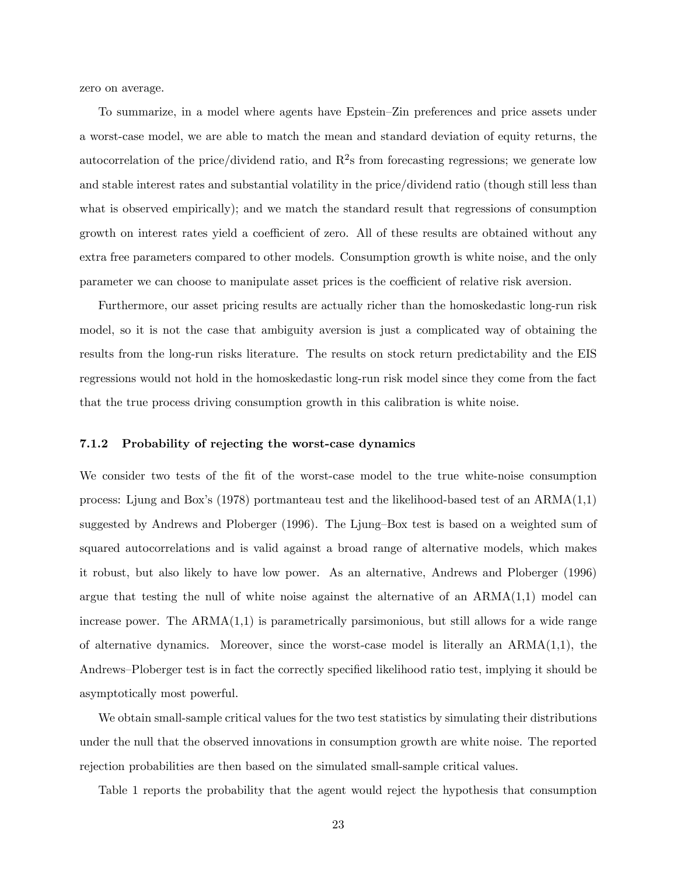zero on average.

To summarize, in a model where agents have Epstein–Zin preferences and price assets under a worst-case model, we are able to match the mean and standard deviation of equity returns, the autocorrelation of the price/dividend ratio, and  $R^2$ s from forecasting regressions; we generate low and stable interest rates and substantial volatility in the price/dividend ratio (though still less than what is observed empirically); and we match the standard result that regressions of consumption growth on interest rates yield a coefficient of zero. All of these results are obtained without any extra free parameters compared to other models. Consumption growth is white noise, and the only parameter we can choose to manipulate asset prices is the coefficient of relative risk aversion.

Furthermore, our asset pricing results are actually richer than the homoskedastic long-run risk model, so it is not the case that ambiguity aversion is just a complicated way of obtaining the results from the long-run risks literature. The results on stock return predictability and the EIS regressions would not hold in the homoskedastic long-run risk model since they come from the fact that the true process driving consumption growth in this calibration is white noise.

#### 7.1.2 Probability of rejecting the worst-case dynamics

We consider two tests of the fit of the worst-case model to the true white-noise consumption process: Ljung and Box's (1978) portmanteau test and the likelihood-based test of an  $ARMA(1,1)$ suggested by Andrews and Ploberger  $(1996)$ . The Ljung–Box test is based on a weighted sum of squared autocorrelations and is valid against a broad range of alternative models, which makes it robust, but also likely to have low power. As an alternative, Andrews and Ploberger (1996) argue that testing the null of white noise against the alternative of an  $ARMA(1,1)$  model can increase power. The  $ARMA(1,1)$  is parametrically parsimonious, but still allows for a wide range of alternative dynamics. Moreover, since the worst-case model is literally an  $ARMA(1,1)$ , the Andrews–Ploberger test is in fact the correctly specified likelihood ratio test, implying it should be asymptotically most powerful.

We obtain small-sample critical values for the two test statistics by simulating their distributions under the null that the observed innovations in consumption growth are white noise. The reported rejection probabilities are then based on the simulated small-sample critical values.

Table 1 reports the probability that the agent would reject the hypothesis that consumption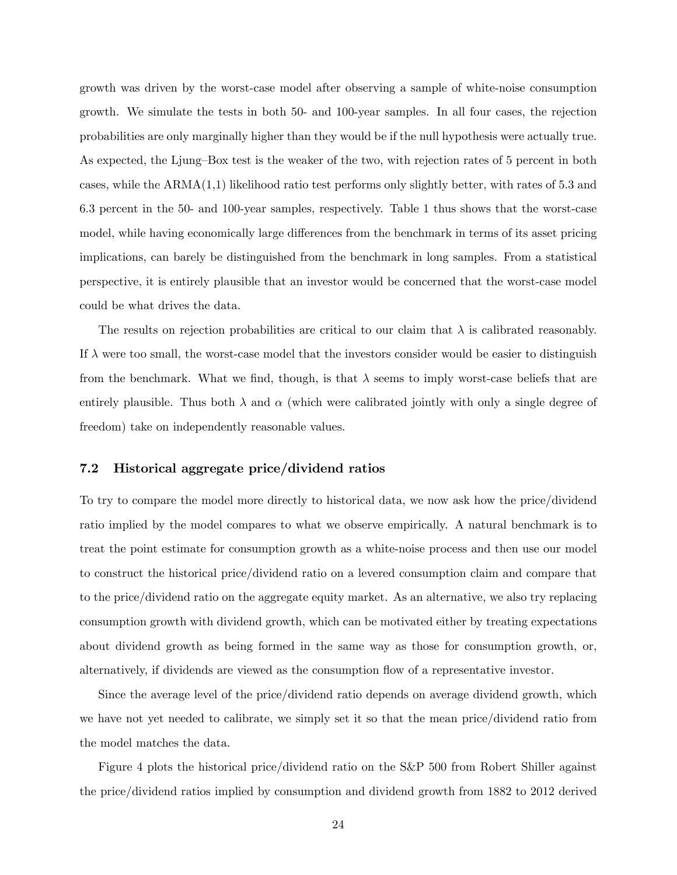growth was driven by the worst-case model after observing a sample of white-noise consumption growth. We simulate the tests in both 50- and 100-year samples. In all four cases, the rejection probabilities are only marginally higher than they would be if the null hypothesis were actually true. As expected, the Ljung–Box test is the weaker of the two, with rejection rates of 5 percent in both cases, while the ARMA(1,1) likelihood ratio test performs only slightly better, with rates of 5.3 and 6.3 percent in the 50- and 100-year samples, respectively. Table 1 thus shows that the worst-case model, while having economically large differences from the benchmark in terms of its asset pricing implications, can barely be distinguished from the benchmark in long samples. From a statistical perspective, it is entirely plausible that an investor would be concerned that the worst-case model could be what drives the data.

The results on rejection probabilities are critical to our claim that  $\lambda$  is calibrated reasonably. If  $\lambda$  were too small, the worst-case model that the investors consider would be easier to distinguish from the benchmark. What we find, though, is that  $\lambda$  seems to imply worst-case beliefs that are entirely plausible. Thus both  $\lambda$  and  $\alpha$  (which were calibrated jointly with only a single degree of freedom) take on independently reasonable values.

#### 7.2 Historical aggregate price/dividend ratios

To try to compare the model more directly to historical data, we now ask how the price/dividend ratio implied by the model compares to what we observe empirically. A natural benchmark is to treat the point estimate for consumption growth as a white-noise process and then use our model to construct the historical price/dividend ratio on a levered consumption claim and compare that to the price/dividend ratio on the aggregate equity market. As an alternative, we also try replacing consumption growth with dividend growth, which can be motivated either by treating expectations about dividend growth as being formed in the same way as those for consumption growth, or, alternatively, if dividends are viewed as the consumption áow of a representative investor.

Since the average level of the price/dividend ratio depends on average dividend growth, which we have not yet needed to calibrate, we simply set it so that the mean price/dividend ratio from the model matches the data.

Figure 4 plots the historical price/dividend ratio on the S&P 500 from Robert Shiller against the price/dividend ratios implied by consumption and dividend growth from 1882 to 2012 derived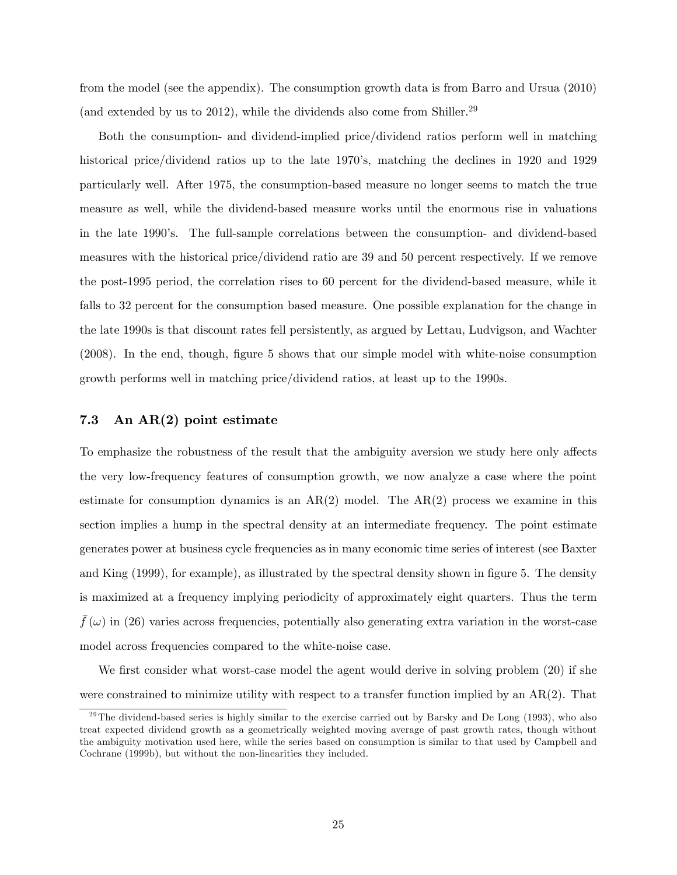from the model (see the appendix). The consumption growth data is from Barro and Ursua (2010) (and extended by us to 2012), while the dividends also come from Shiller.<sup>29</sup>

Both the consumption- and dividend-implied price/dividend ratios perform well in matching historical price/dividend ratios up to the late 1970's, matching the declines in 1920 and 1929 particularly well. After 1975, the consumption-based measure no longer seems to match the true measure as well, while the dividend-based measure works until the enormous rise in valuations in the late 1990's. The full-sample correlations between the consumption- and dividend-based measures with the historical price/dividend ratio are 39 and 50 percent respectively. If we remove the post-1995 period, the correlation rises to 60 percent for the dividend-based measure, while it falls to 32 percent for the consumption based measure. One possible explanation for the change in the late 1990s is that discount rates fell persistently, as argued by Lettau, Ludvigson, and Wachter (2008). In the end, though, Ögure 5 shows that our simple model with white-noise consumption growth performs well in matching price/dividend ratios, at least up to the 1990s.

#### 7.3 An AR(2) point estimate

To emphasize the robustness of the result that the ambiguity aversion we study here only affects the very low-frequency features of consumption growth, we now analyze a case where the point estimate for consumption dynamics is an  $AR(2)$  model. The  $AR(2)$  process we examine in this section implies a hump in the spectral density at an intermediate frequency. The point estimate generates power at business cycle frequencies as in many economic time series of interest (see Baxter and King  $(1999)$ , for example), as illustrated by the spectral density shown in figure 5. The density is maximized at a frequency implying periodicity of approximately eight quarters. Thus the term  $f(\omega)$  in (26) varies across frequencies, potentially also generating extra variation in the worst-case model across frequencies compared to the white-noise case.

We first consider what worst-case model the agent would derive in solving problem (20) if she were constrained to minimize utility with respect to a transfer function implied by an  $AR(2)$ . That

 $^{29}$ The dividend-based series is highly similar to the exercise carried out by Barsky and De Long (1993), who also treat expected dividend growth as a geometrically weighted moving average of past growth rates, though without the ambiguity motivation used here, while the series based on consumption is similar to that used by Campbell and Cochrane (1999b), but without the non-linearities they included.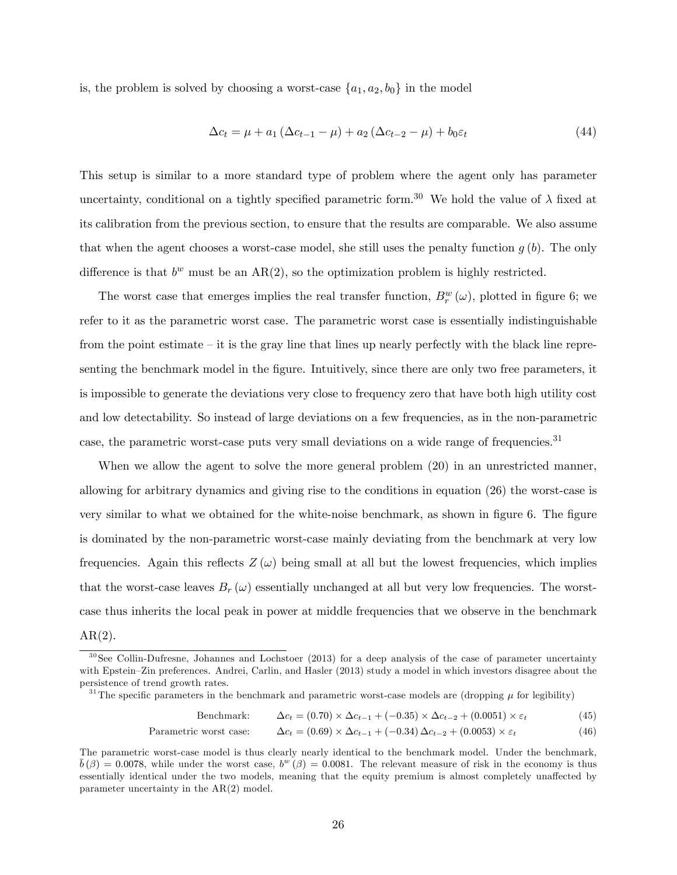is, the problem is solved by choosing a worst-case  $\{a_1, a_2, b_0\}$  in the model

$$
\Delta c_t = \mu + a_1 (\Delta c_{t-1} - \mu) + a_2 (\Delta c_{t-2} - \mu) + b_0 \varepsilon_t
$$
\n(44)

This setup is similar to a more standard type of problem where the agent only has parameter uncertainty, conditional on a tightly specified parametric form.<sup>30</sup> We hold the value of  $\lambda$  fixed at its calibration from the previous section, to ensure that the results are comparable. We also assume that when the agent chooses a worst-case model, she still uses the penalty function  $g(b)$ . The only difference is that  $b^w$  must be an  $AR(2)$ , so the optimization problem is highly restricted.

The worst case that emerges implies the real transfer function,  $B_r^w(\omega)$ , plotted in figure 6; we refer to it as the parametric worst case. The parametric worst case is essentially indistinguishable from the point estimate  $\overline{-}$  it is the gray line that lines up nearly perfectly with the black line representing the benchmark model in the figure. Intuitively, since there are only two free parameters, it is impossible to generate the deviations very close to frequency zero that have both high utility cost and low detectability. So instead of large deviations on a few frequencies, as in the non-parametric case, the parametric worst-case puts very small deviations on a wide range of frequencies.<sup>31</sup>

When we allow the agent to solve the more general problem (20) in an unrestricted manner, allowing for arbitrary dynamics and giving rise to the conditions in equation (26) the worst-case is very similar to what we obtained for the white-noise benchmark, as shown in figure 6. The figure is dominated by the non-parametric worst-case mainly deviating from the benchmark at very low frequencies. Again this reflects  $Z(\omega)$  being small at all but the lowest frequencies, which implies that the worst-case leaves  $B_r(\omega)$  essentially unchanged at all but very low frequencies. The worstcase thus inherits the local peak in power at middle frequencies that we observe in the benchmark

 $AR(2)$ .

<sup>31</sup>The specific parameters in the benchmark and parametric worst-case models are (dropping  $\mu$  for legibility)

Benchmark: 
$$
\Delta c_t = (0.70) \times \Delta c_{t-1} + (-0.35) \times \Delta c_{t-2} + (0.0051) \times \varepsilon_t
$$
 (45)

Parametric worst case: 
$$
\Delta c_t = (0.69) \times \Delta c_{t-1} + (-0.34) \Delta c_{t-2} + (0.0053) \times \varepsilon_t
$$
 (46)

<sup>&</sup>lt;sup>30</sup>See Collin-Dufresne, Johannes and Lochstoer (2013) for a deep analysis of the case of parameter uncertainty with Epstein–Zin preferences. Andrei, Carlin, and Hasler (2013) study a model in which investors disagree about the persistence of trend growth rates.

The parametric worst-case model is thus clearly nearly identical to the benchmark model. Under the benchmark,  $\bar{b}(\beta) = 0.0078$ , while under the worst case,  $b^w(\beta) = 0.0081$ . The relevant measure of risk in the economy is thus essentially identical under the two models, meaning that the equity premium is almost completely unaffected by parameter uncertainty in the AR(2) model.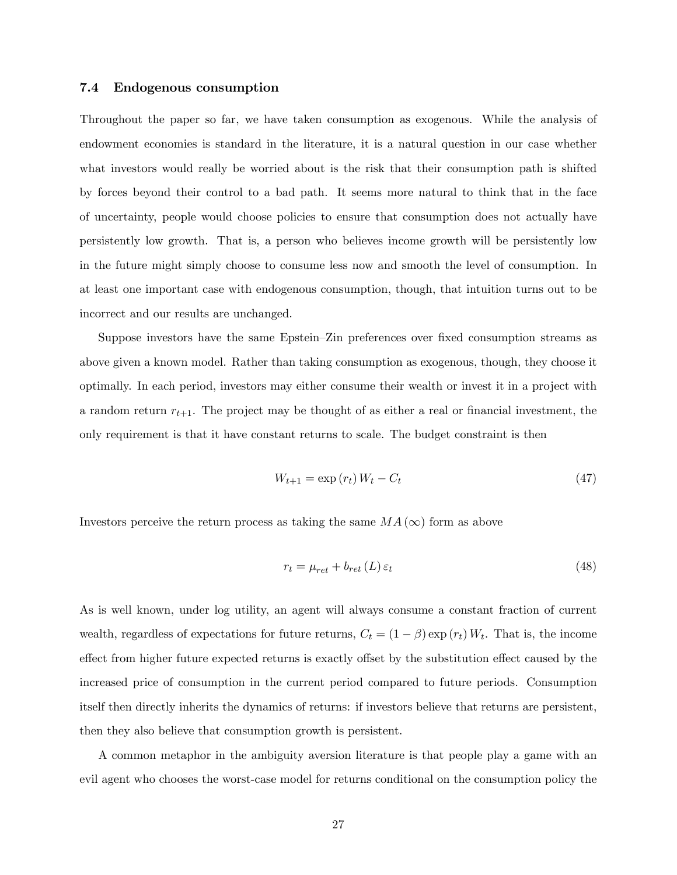#### 7.4 Endogenous consumption

Throughout the paper so far, we have taken consumption as exogenous. While the analysis of endowment economies is standard in the literature, it is a natural question in our case whether what investors would really be worried about is the risk that their consumption path is shifted by forces beyond their control to a bad path. It seems more natural to think that in the face of uncertainty, people would choose policies to ensure that consumption does not actually have persistently low growth. That is, a person who believes income growth will be persistently low in the future might simply choose to consume less now and smooth the level of consumption. In at least one important case with endogenous consumption, though, that intuition turns out to be incorrect and our results are unchanged.

Suppose investors have the same Epstein–Zin preferences over fixed consumption streams as above given a known model. Rather than taking consumption as exogenous, though, they choose it optimally. In each period, investors may either consume their wealth or invest it in a project with a random return  $r_{t+1}$ . The project may be thought of as either a real or financial investment, the only requirement is that it have constant returns to scale. The budget constraint is then

$$
W_{t+1} = \exp(r_t)W_t - C_t \tag{47}
$$

Investors perceive the return process as taking the same  $MA(\infty)$  form as above

$$
r_t = \mu_{ret} + b_{ret} \left( L \right) \varepsilon_t \tag{48}
$$

As is well known, under log utility, an agent will always consume a constant fraction of current wealth, regardless of expectations for future returns,  $C_t = (1 - \beta) \exp(r_t) W_t$ . That is, the income effect from higher future expected returns is exactly offset by the substitution effect caused by the increased price of consumption in the current period compared to future periods. Consumption itself then directly inherits the dynamics of returns: if investors believe that returns are persistent, then they also believe that consumption growth is persistent.

A common metaphor in the ambiguity aversion literature is that people play a game with an evil agent who chooses the worst-case model for returns conditional on the consumption policy the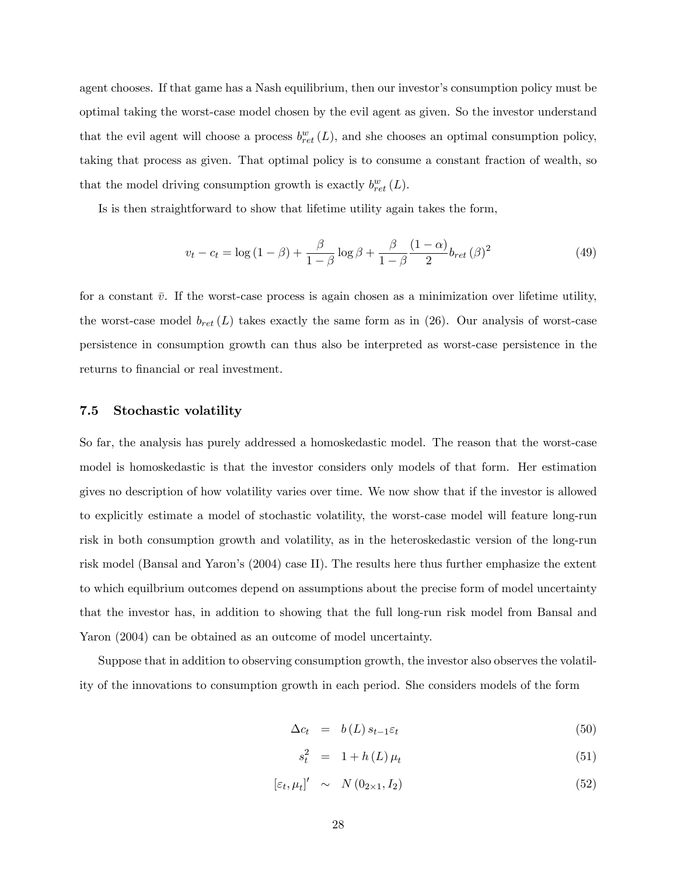agent chooses. If that game has a Nash equilibrium, then our investor's consumption policy must be optimal taking the worst-case model chosen by the evil agent as given. So the investor understand that the evil agent will choose a process  $b_{ret}^w(L)$ , and she chooses an optimal consumption policy, taking that process as given. That optimal policy is to consume a constant fraction of wealth, so that the model driving consumption growth is exactly  $b_{ret}^{w}(L)$ .

Is is then straightforward to show that lifetime utility again takes the form,

$$
v_t - c_t = \log\left(1 - \beta\right) + \frac{\beta}{1 - \beta}\log\beta + \frac{\beta}{1 - \beta}\frac{(1 - \alpha)}{2}b_{ret}\left(\beta\right)^2\tag{49}
$$

for a constant  $\bar{v}$ . If the worst-case process is again chosen as a minimization over lifetime utility, the worst-case model  $b_{ret}(L)$  takes exactly the same form as in (26). Our analysis of worst-case persistence in consumption growth can thus also be interpreted as worst-case persistence in the returns to financial or real investment.

#### 7.5 Stochastic volatility

So far, the analysis has purely addressed a homoskedastic model. The reason that the worst-case model is homoskedastic is that the investor considers only models of that form. Her estimation gives no description of how volatility varies over time. We now show that if the investor is allowed to explicitly estimate a model of stochastic volatility, the worst-case model will feature long-run risk in both consumption growth and volatility, as in the heteroskedastic version of the long-run risk model (Bansal and Yaron's (2004) case II). The results here thus further emphasize the extent to which equilbrium outcomes depend on assumptions about the precise form of model uncertainty that the investor has, in addition to showing that the full long-run risk model from Bansal and Yaron (2004) can be obtained as an outcome of model uncertainty.

Suppose that in addition to observing consumption growth, the investor also observes the volatility of the innovations to consumption growth in each period. She considers models of the form

$$
\Delta c_t = b(L) s_{t-1} \varepsilon_t \tag{50}
$$

$$
s_t^2 = 1 + h(L)\,\mu_t \tag{51}
$$

$$
[\varepsilon_t, \mu_t]' \sim N(0_{2 \times 1}, I_2) \tag{52}
$$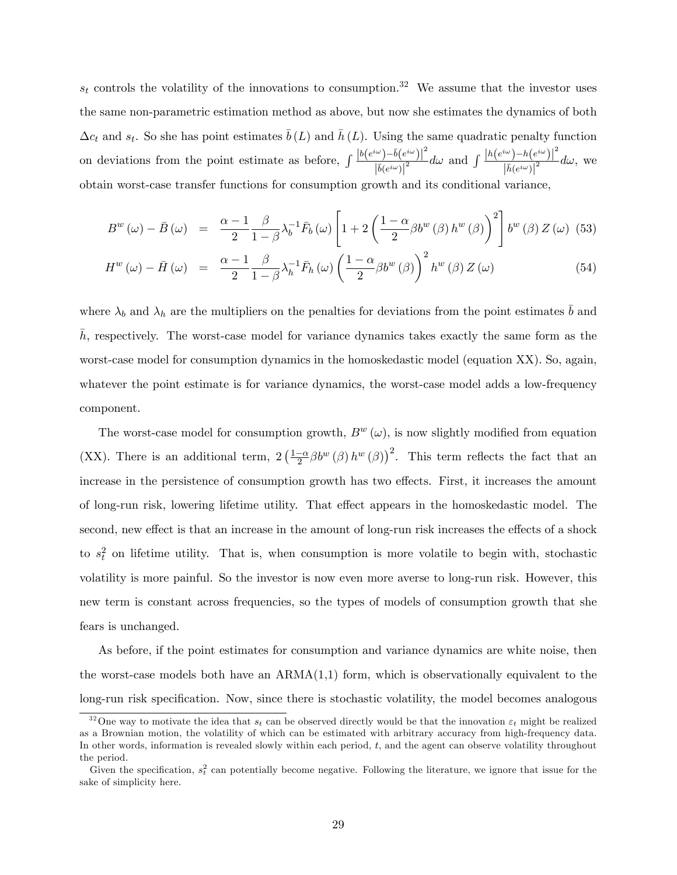$s_t$  controls the volatility of the innovations to consumption.<sup>32</sup> We assume that the investor uses the same non-parametric estimation method as above, but now she estimates the dynamics of both  $\Delta c_t$  and  $s_t$ . So she has point estimates  $\bar{b}(L)$  and  $\bar{h}(L)$ . Using the same quadratic penalty function on deviations from the point estimate as before,  $\int \frac{|b(e^{i\omega})-b(e^{i\omega})|^2}{|\vec{x}|}$  $\left| \bar{b}(e^{i\omega}) \right|$  $\frac{1}{2} \frac{(h(e^{i\omega})-h(e^{i\omega}))^2}{\sqrt{h(e^{i\omega})^2}}$  $\left| \bar{h}(e^{i\omega}) \right|$  $\frac{1}{2}$  d $\omega$ , we obtain worst-case transfer functions for consumption growth and its conditional variance,

$$
B^{w}(\omega) - \bar{B}(\omega) = \frac{\alpha - 1}{2} \frac{\beta}{1 - \beta} \lambda_b^{-1} \bar{F}_b(\omega) \left[ 1 + 2 \left( \frac{1 - \alpha}{2} \beta b^{w}(\beta) h^{w}(\beta) \right)^{2} \right] b^{w}(\beta) Z(\omega)
$$
 (53)

$$
H^{w}(\omega) - \bar{H}(\omega) = \frac{\alpha - 1}{2} \frac{\beta}{1 - \beta} \lambda_h^{-1} \bar{F}_h(\omega) \left(\frac{1 - \alpha}{2} \beta b^{w}(\beta)\right)^2 h^{w}(\beta) Z(\omega)
$$
(54)

where  $\lambda_b$  and  $\lambda_h$  are the multipliers on the penalties for deviations from the point estimates  $\bar{b}$  and h, respectively. The worst-case model for variance dynamics takes exactly the same form as the worst-case model for consumption dynamics in the homoskedastic model (equation XX). So, again, whatever the point estimate is for variance dynamics, the worst-case model adds a low-frequency component.

The worst-case model for consumption growth,  $B^{w}(\omega)$ , is now slightly modified from equation (XX). There is an additional term,  $2(\frac{1-\alpha}{2}\beta b^w(\beta) h^w(\beta))^2$ . This term reflects the fact that an increase in the persistence of consumption growth has two effects. First, it increases the amount of long-run risk, lowering lifetime utility. That effect appears in the homoskedastic model. The second, new effect is that an increase in the amount of long-run risk increases the effects of a shock to  $s_t^2$  on lifetime utility. That is, when consumption is more volatile to begin with, stochastic volatility is more painful. So the investor is now even more averse to long-run risk. However, this new term is constant across frequencies, so the types of models of consumption growth that she fears is unchanged.

As before, if the point estimates for consumption and variance dynamics are white noise, then the worst-case models both have an  $ARMA(1,1)$  form, which is observationally equivalent to the long-run risk specification. Now, since there is stochastic volatility, the model becomes analogous

<sup>&</sup>lt;sup>32</sup>One way to motivate the idea that  $s_t$  can be observed directly would be that the innovation  $\varepsilon_t$  might be realized as a Brownian motion, the volatility of which can be estimated with arbitrary accuracy from high-frequency data. In other words, information is revealed slowly within each period, t, and the agent can observe volatility throughout the period.

Given the specification,  $s_t^2$  can potentially become negative. Following the literature, we ignore that issue for the sake of simplicity here.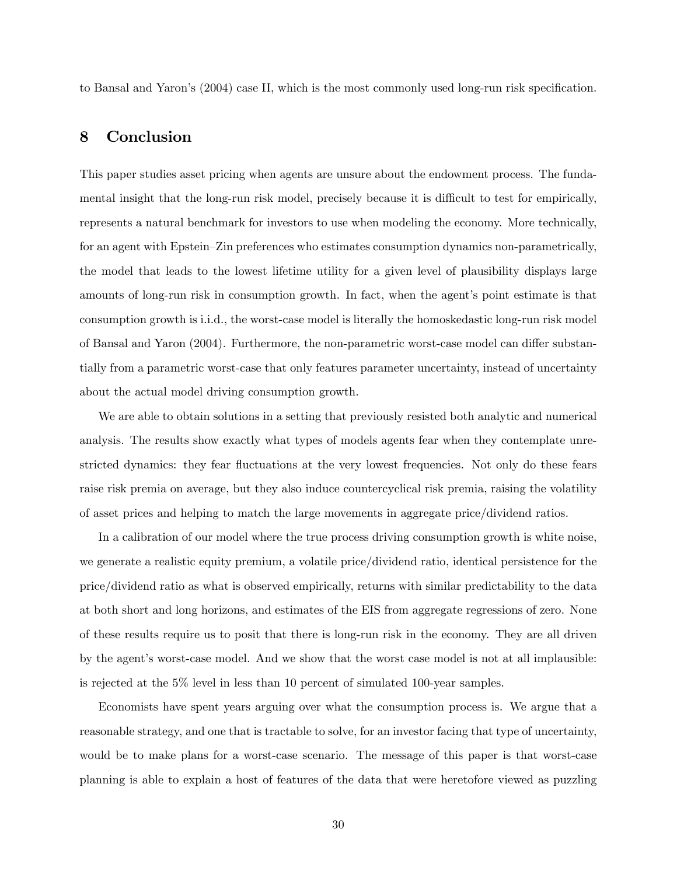to Bansal and Yaron's (2004) case II, which is the most commonly used long-run risk specification.

# 8 Conclusion

This paper studies asset pricing when agents are unsure about the endowment process. The fundamental insight that the long-run risk model, precisely because it is difficult to test for empirically, represents a natural benchmark for investors to use when modeling the economy. More technically, for an agent with Epstein–Zin preferences who estimates consumption dynamics non-parametrically, the model that leads to the lowest lifetime utility for a given level of plausibility displays large amounts of long-run risk in consumption growth. In fact, when the agent's point estimate is that consumption growth is i.i.d., the worst-case model is literally the homoskedastic long-run risk model of Bansal and Yaron (2004). Furthermore, the non-parametric worst-case model can differ substantially from a parametric worst-case that only features parameter uncertainty, instead of uncertainty about the actual model driving consumption growth.

We are able to obtain solutions in a setting that previously resisted both analytic and numerical analysis. The results show exactly what types of models agents fear when they contemplate unrestricted dynamics: they fear fluctuations at the very lowest frequencies. Not only do these fears raise risk premia on average, but they also induce countercyclical risk premia, raising the volatility of asset prices and helping to match the large movements in aggregate price/dividend ratios.

In a calibration of our model where the true process driving consumption growth is white noise, we generate a realistic equity premium, a volatile price/dividend ratio, identical persistence for the price/dividend ratio as what is observed empirically, returns with similar predictability to the data at both short and long horizons, and estimates of the EIS from aggregate regressions of zero. None of these results require us to posit that there is long-run risk in the economy. They are all driven by the agent's worst-case model. And we show that the worst case model is not at all implausible: is rejected at the 5% level in less than 10 percent of simulated 100-year samples.

Economists have spent years arguing over what the consumption process is. We argue that a reasonable strategy, and one that is tractable to solve, for an investor facing that type of uncertainty, would be to make plans for a worst-case scenario. The message of this paper is that worst-case planning is able to explain a host of features of the data that were heretofore viewed as puzzling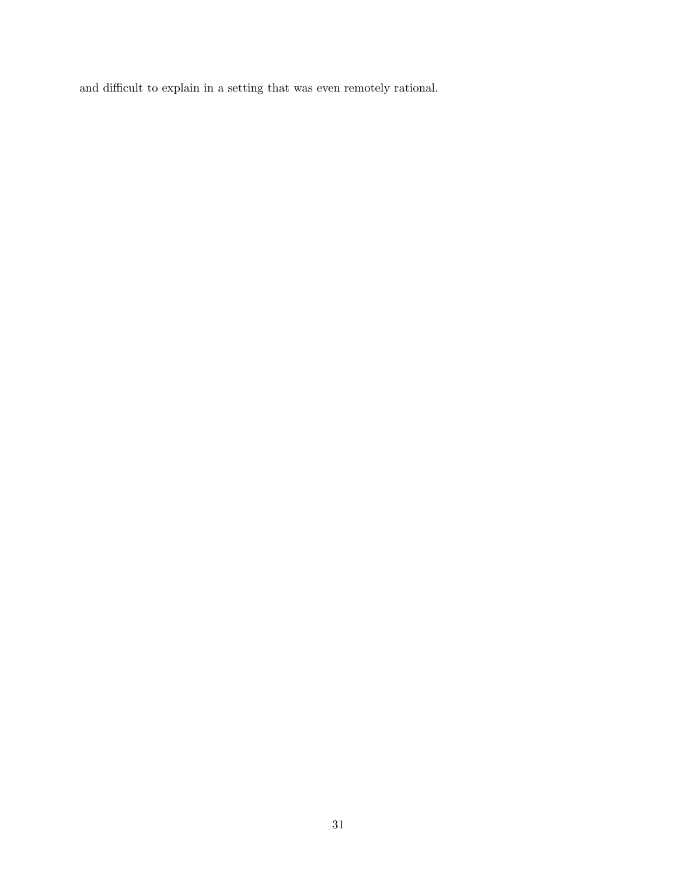and difficult to explain in a setting that was even remotely rational.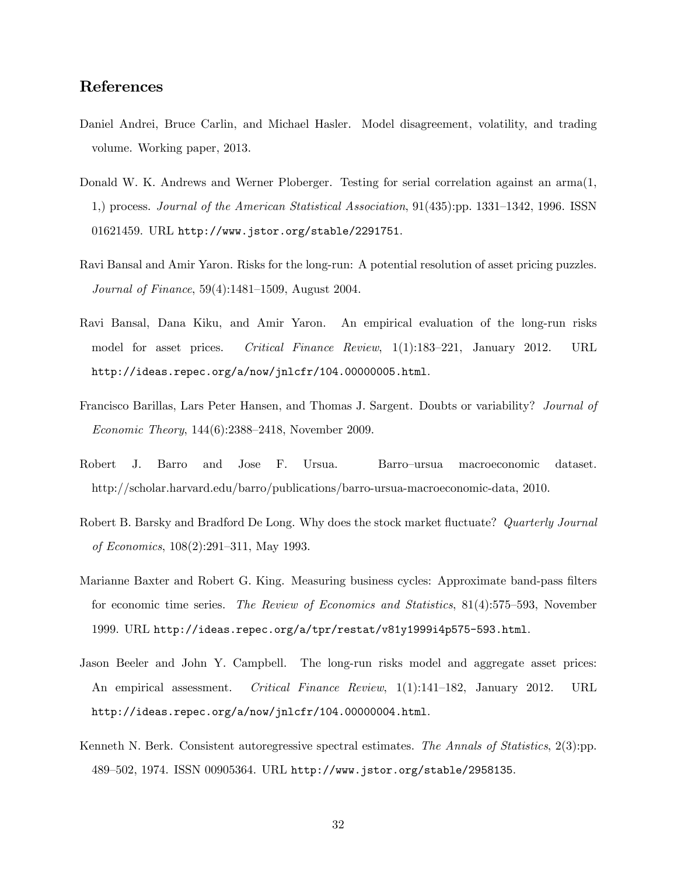# References

- Daniel Andrei, Bruce Carlin, and Michael Hasler. Model disagreement, volatility, and trading volume. Working paper, 2013.
- Donald W. K. Andrews and Werner Ploberger. Testing for serial correlation against an arma(1, 1,) process. Journal of the American Statistical Association,  $91(435)$ :pp. 1331–1342, 1996. ISSN 01621459. URL http://www.jstor.org/stable/2291751.
- Ravi Bansal and Amir Yaron. Risks for the long-run: A potential resolution of asset pricing puzzles. *Journal of Finance*,  $59(4):1481-1509$ , August 2004.
- Ravi Bansal, Dana Kiku, and Amir Yaron. An empirical evaluation of the long-run risks model for asset prices. Critical Finance Review, 1(1):183-221, January 2012. URL http://ideas.repec.org/a/now/jnlcfr/104.00000005.html.
- Francisco Barillas, Lars Peter Hansen, and Thomas J. Sargent. Doubts or variability? Journal of Economic Theory,  $144(6):2388-2418$ , November 2009.
- Robert J. Barro and Jose F. Ursua. Barro-ursua macroeconomic dataset. http://scholar.harvard.edu/barro/publications/barro-ursua-macroeconomic-data, 2010.
- Robert B. Barsky and Bradford De Long. Why does the stock market fluctuate? Quarterly Journal of Economics, 108(2):291-311, May 1993.
- Marianne Baxter and Robert G. King. Measuring business cycles: Approximate band-pass filters for economic time series. The Review of Economics and Statistics,  $81(4):575-593$ , November 1999. URL http://ideas.repec.org/a/tpr/restat/v81y1999i4p575-593.html.
- Jason Beeler and John Y. Campbell. The long-run risks model and aggregate asset prices: An empirical assessment. Critical Finance Review,  $1(1):141-182$ , January 2012. URL http://ideas.repec.org/a/now/jnlcfr/104.00000004.html.
- Kenneth N. Berk. Consistent autoregressive spectral estimates. The Annals of Statistics, 2(3):pp. 489-502, 1974. ISSN 00905364. URL http://www.jstor.org/stable/2958135.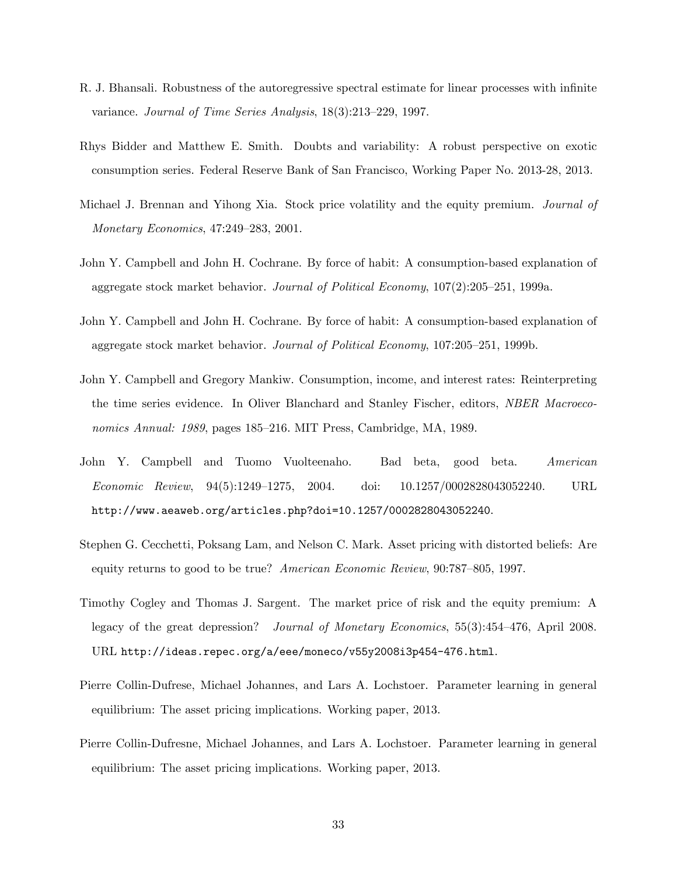- R. J. Bhansali. Robustness of the autoregressive spectral estimate for linear processes with infinite variance. Journal of Time Series Analysis,  $18(3):213-229$ , 1997.
- Rhys Bidder and Matthew E. Smith. Doubts and variability: A robust perspective on exotic consumption series. Federal Reserve Bank of San Francisco, Working Paper No. 2013-28, 2013.
- Michael J. Brennan and Yihong Xia. Stock price volatility and the equity premium. Journal of Monetary Economics, 47:249-283, 2001.
- John Y. Campbell and John H. Cochrane. By force of habit: A consumption-based explanation of aggregate stock market behavior. Journal of Political Economy,  $107(2):205-251$ , 1999a.
- John Y. Campbell and John H. Cochrane. By force of habit: A consumption-based explanation of aggregate stock market behavior. Journal of Political Economy,  $107:205-251$ , 1999b.
- John Y. Campbell and Gregory Mankiw. Consumption, income, and interest rates: Reinterpreting the time series evidence. In Oliver Blanchard and Stanley Fischer, editors, NBER Macroeconomics Annual: 1989, pages 185–216. MIT Press, Cambridge, MA, 1989.
- John Y. Campbell and Tuomo Vuolteenaho. Bad beta, good beta. American  $Economic$   $Review$ ,  $94(5):1249-1275$ ,  $2004$ . doi:  $10.1257/0002828043052240$ . URL http://www.aeaweb.org/articles.php?doi=10.1257/0002828043052240.
- Stephen G. Cecchetti, Poksang Lam, and Nelson C. Mark. Asset pricing with distorted beliefs: Are equity returns to good to be true? American Economic Review,  $90:787-805$ , 1997.
- Timothy Cogley and Thomas J. Sargent. The market price of risk and the equity premium: A legacy of the great depression? Journal of Monetary Economics,  $55(3):454-476$ , April 2008. URL http://ideas.repec.org/a/eee/moneco/v55y2008i3p454-476.html.
- Pierre Collin-Dufrese, Michael Johannes, and Lars A. Lochstoer. Parameter learning in general equilibrium: The asset pricing implications. Working paper, 2013.
- Pierre Collin-Dufresne, Michael Johannes, and Lars A. Lochstoer. Parameter learning in general equilibrium: The asset pricing implications. Working paper, 2013.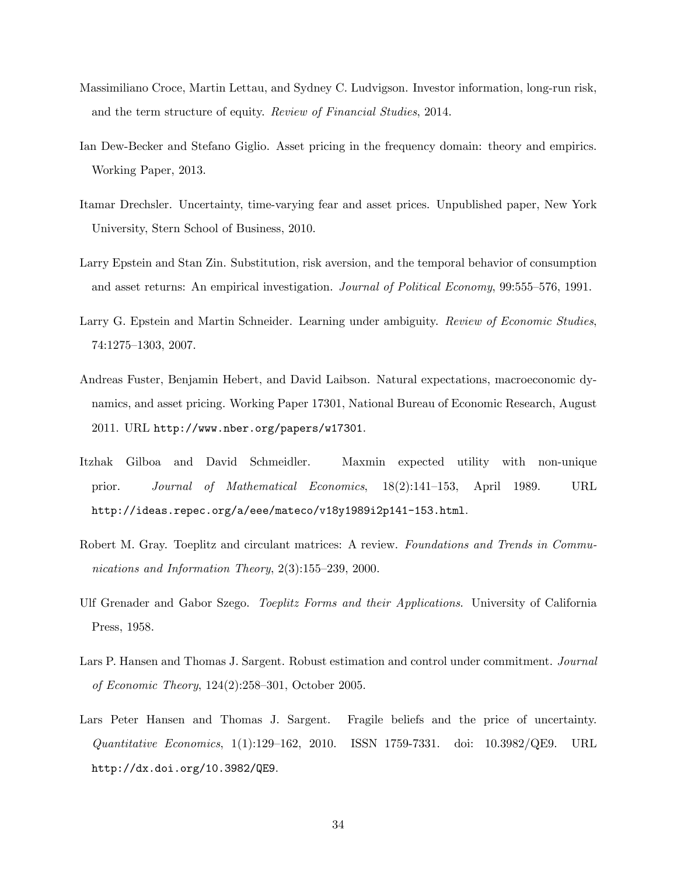- Massimiliano Croce, Martin Lettau, and Sydney C. Ludvigson. Investor information, long-run risk, and the term structure of equity. Review of Financial Studies, 2014.
- Ian Dew-Becker and Stefano Giglio. Asset pricing in the frequency domain: theory and empirics. Working Paper, 2013.
- Itamar Drechsler. Uncertainty, time-varying fear and asset prices. Unpublished paper, New York University, Stern School of Business, 2010.
- Larry Epstein and Stan Zin. Substitution, risk aversion, and the temporal behavior of consumption and asset returns: An empirical investigation. *Journal of Political Economy*, 99:555-576, 1991.
- Larry G. Epstein and Martin Schneider. Learning under ambiguity. Review of Economic Studies, 74:1275–1303, 2007.
- Andreas Fuster, Benjamin Hebert, and David Laibson. Natural expectations, macroeconomic dynamics, and asset pricing. Working Paper 17301, National Bureau of Economic Research, August 2011. URL http://www.nber.org/papers/w17301.
- Itzhak Gilboa and David Schmeidler. Maxmin expected utility with non-unique prior. Journal of Mathematical Economics, 18(2):141–153, April 1989. URL http://ideas.repec.org/a/eee/mateco/v18y1989i2p141-153.html.
- Robert M. Gray. Toeplitz and circulant matrices: A review. Foundations and Trends in Communications and Information Theory,  $2(3):155-239$ , 2000.
- Ulf Grenader and Gabor Szego. Toeplitz Forms and their Applications. University of California Press, 1958.
- Lars P. Hansen and Thomas J. Sargent. Robust estimation and control under commitment. Journal of Economic Theory,  $124(2):258-301$ , October 2005.
- Lars Peter Hansen and Thomas J. Sargent. Fragile beliefs and the price of uncertainty.  $Quantitative\ Economics, 1(1):129-162, 2010. ISSN 1759-7331. doi: 10.3982/QE9. URL$ http://dx.doi.org/10.3982/QE9.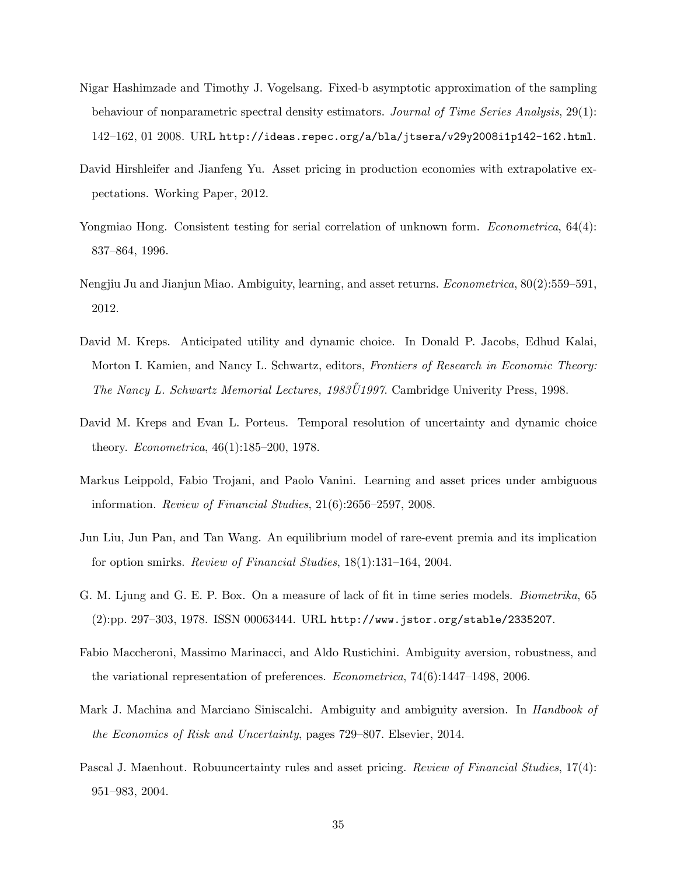- Nigar Hashimzade and Timothy J. Vogelsang. Fixed-b asymptotic approximation of the sampling behaviour of nonparametric spectral density estimators. Journal of Time Series Analysis, 29(1):  $142–162, 01$   $2008$ . URL http://ideas.repec.org/a/bla/jtsera/v29y2008i1p142-162.html.
- David Hirshleifer and Jianfeng Yu. Asset pricing in production economies with extrapolative expectations. Working Paper, 2012.
- Yongmiao Hong. Consistent testing for serial correlation of unknown form. *Econometrica*, 64(4): 837–864, 1996.
- Nengjiu Ju and Jianjun Miao. Ambiguity, learning, and asset returns. *Econometrica*, 80(2):559–591, 2012.
- David M. Kreps. Anticipated utility and dynamic choice. In Donald P. Jacobs, Edhud Kalai, Morton I. Kamien, and Nancy L. Schwartz, editors, Frontiers of Research in Economic Theory: The Nancy L. Schwartz Memorial Lectures,  $1983\ddot{U}1997$ . Cambridge Univerity Press, 1998.
- David M. Kreps and Evan L. Porteus. Temporal resolution of uncertainty and dynamic choice theory. *Econometrica*,  $46(1):185-200$ , 1978.
- Markus Leippold, Fabio Trojani, and Paolo Vanini. Learning and asset prices under ambiguous information. Review of Financial Studies,  $21(6)$ :2656–2597, 2008.
- Jun Liu, Jun Pan, and Tan Wang. An equilibrium model of rare-event premia and its implication for option smirks. Review of Financial Studies,  $18(1):131-164$ , 2004.
- G. M. Ljung and G. E. P. Box. On a measure of lack of fit in time series models. *Biometrika*, 65  $(2):pp. 297-303, 1978.$  ISSN 00063444. URL http://www.jstor.org/stable/2335207.
- Fabio Maccheroni, Massimo Marinacci, and Aldo Rustichini. Ambiguity aversion, robustness, and the variational representation of preferences.  $Econometrica$ ,  $74(6):1447-1498$ , 2006.
- Mark J. Machina and Marciano Siniscalchi. Ambiguity and ambiguity aversion. In *Handbook of* the Economics of Risk and Uncertainty, pages 729–807. Elsevier, 2014.
- Pascal J. Maenhout. Robuuncertainty rules and asset pricing. Review of Financial Studies, 17(4): 951-983, 2004.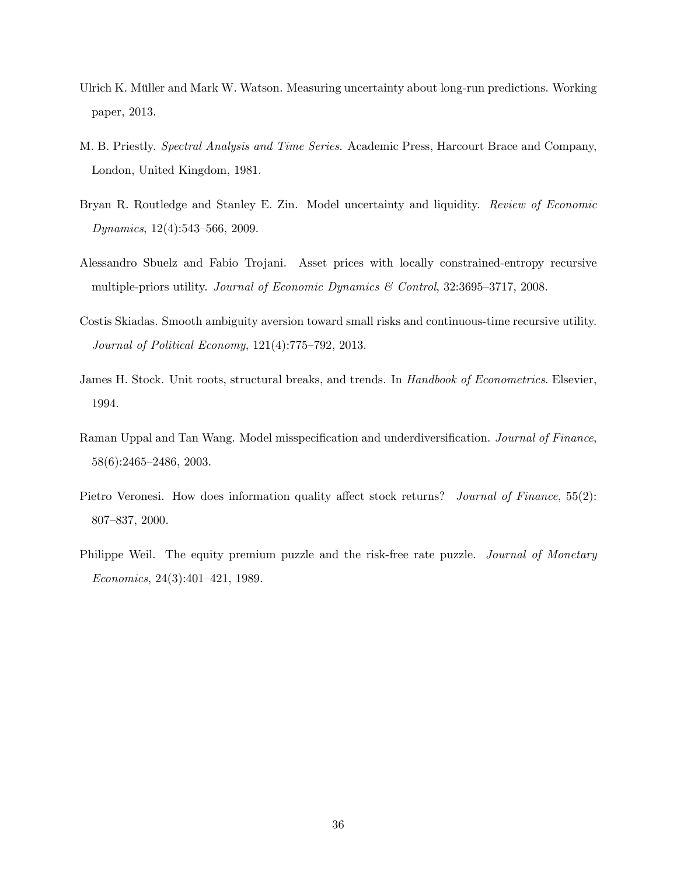- Ulrich K. Müller and Mark W. Watson. Measuring uncertainty about long-run predictions. Working paper, 2013.
- M. B. Priestly. Spectral Analysis and Time Series. Academic Press, Harcourt Brace and Company, London, United Kingdom, 1981.
- Bryan R. Routledge and Stanley E. Zin. Model uncertainty and liquidity. Review of Economic  $Dynamics, 12(4):543–566, 2009.$
- Alessandro Sbuelz and Fabio Trojani. Asset prices with locally constrained-entropy recursive multiple-priors utility. Journal of Economic Dynamics  $\mathcal C$  Control, 32:3695–3717, 2008.
- Costis Skiadas. Smooth ambiguity aversion toward small risks and continuous-time recursive utility. Journal of Political Economy,  $121(4)$ :775-792, 2013.
- James H. Stock. Unit roots, structural breaks, and trends. In *Handbook of Econometrics*. Elsevier, 1994.
- Raman Uppal and Tan Wang. Model misspecification and underdiversification. Journal of Finance,  $58(6):2465-2486, 2003.$
- Pietro Veronesi. How does information quality affect stock returns? Journal of Finance, 55(2): 807–837, 2000.
- Philippe Weil. The equity premium puzzle and the risk-free rate puzzle. Journal of Monetary  $Economics, 24(3):401–421, 1989.$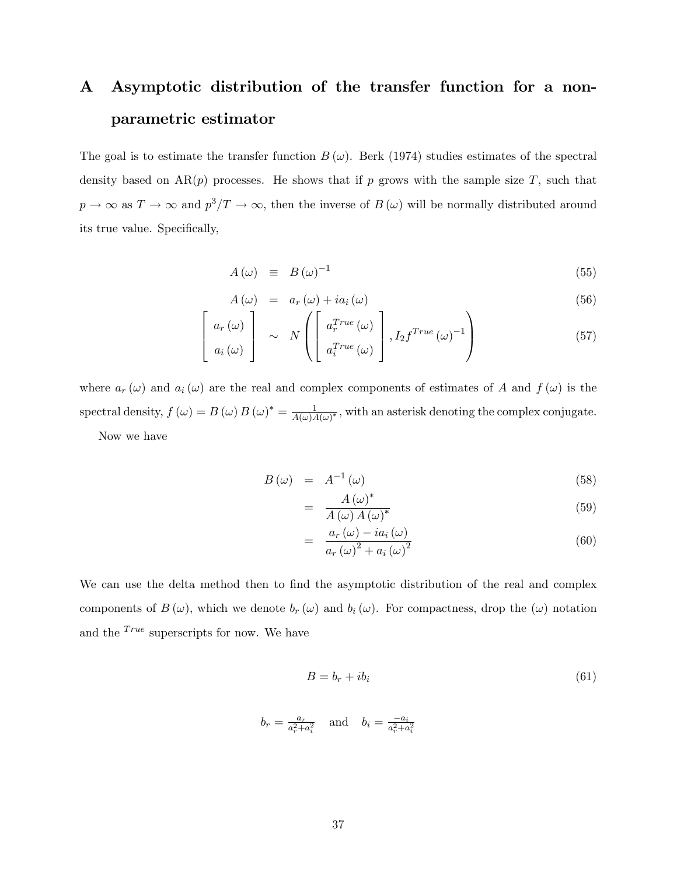# A Asymptotic distribution of the transfer function for a nonparametric estimator

The goal is to estimate the transfer function  $B(\omega)$ . Berk (1974) studies estimates of the spectral density based on  $AR(p)$  processes. He shows that if p grows with the sample size T, such that  $p \to \infty$  as  $T \to \infty$  and  $p^3/T \to \infty$ , then the inverse of  $B(\omega)$  will be normally distributed around its true value. Specifically,

$$
A(\omega) \equiv B(\omega)^{-1} \tag{55}
$$

$$
A(\omega) = a_r(\omega) + ia_i(\omega) \tag{56}
$$

$$
\begin{bmatrix}\n a_r(\omega) \\
 a_i(\omega)\n\end{bmatrix}\n\sim N\left(\begin{bmatrix}\na_r^{True}(\omega) \\
 a_i^{True}(\omega)\n\end{bmatrix}, I_2 f^{True}(\omega)^{-1}\right)
$$
\n(57)

where  $a_r(\omega)$  and  $a_i(\omega)$  are the real and complex components of estimates of A and  $f(\omega)$  is the spectral density,  $f(\omega) = B(\omega) B(\omega)^* = \frac{1}{4(\omega)}$  $\frac{1}{A(\omega)A(\omega)^*}$ , with an asterisk denoting the complex conjugate. Now we have

$$
B(\omega) = A^{-1}(\omega) \tag{58}
$$

$$
= \frac{A(\omega)^*}{A(\omega)A(\omega)^*} \tag{59}
$$

$$
= \frac{a_r(\omega) - ia_i(\omega)}{a_r(\omega)^2 + a_i(\omega)^2} \tag{60}
$$

We can use the delta method then to find the asymptotic distribution of the real and complex components of  $B(\omega)$ , which we denote  $b_r(\omega)$  and  $b_i(\omega)$ . For compactness, drop the  $(\omega)$  notation and the  $^{True}$  superscripts for now. We have

$$
B = b_r + ib_i \tag{61}
$$

$$
b_r = \frac{a_r}{a_r^2 + a_i^2}
$$
 and  $b_i = \frac{-a_i}{a_r^2 + a_i^2}$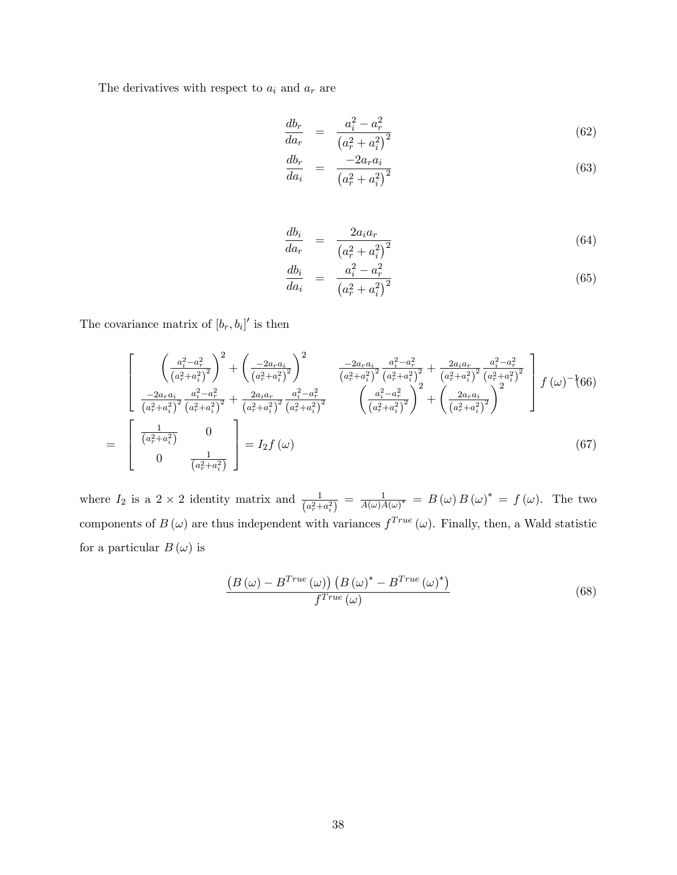The derivatives with respect to  $a_i$  and  $a_r$  are

$$
\frac{db_r}{da_r} = \frac{a_i^2 - a_r^2}{\left(a_r^2 + a_i^2\right)^2} \tag{62}
$$

$$
\frac{db_r}{da_i} = \frac{-2a_r a_i}{\left(a_r^2 + a_i^2\right)^2} \tag{63}
$$

$$
\frac{db_i}{da_r} = \frac{2a_ia_r}{\left(a_r^2 + a_i^2\right)^2} \tag{64}
$$

$$
\frac{db_i}{da_i} = \frac{a_i^2 - a_r^2}{\left(a_r^2 + a_i^2\right)^2} \tag{65}
$$

The covariance matrix of  $[b_r, b_i]'$  is then

$$
\begin{bmatrix}\n\left(\frac{a_i^2 - a_r^2}{(a_r^2 + a_i^2)^2}\right)^2 + \left(\frac{-2a_r a_i}{(a_r^2 + a_i^2)^2}\right)^2 & \frac{-2a_r a_i}{(a_r^2 + a_i^2)^2} \frac{a_i^2 - a_r^2}{(a_r^2 + a_i^2)^2} + \frac{2a_i a_r}{(a_r^2 + a_i^2)^2} \frac{a_i^2 - a_r^2}{(a_r^2 + a_i^2)^2} \\
\frac{-2a_r a_i}{(a_r^2 + a_i^2)^2} \frac{a_i^2 - a_r^2}{(a_r^2 + a_i^2)^2} + \frac{2a_i a_r}{(a_r^2 + a_i^2)^2} \frac{a_i^2 - a_r^2}{(a_r^2 + a_i^2)^2} & \left(\frac{a_i^2 - a_r^2}{(a_r^2 + a_i^2)^2}\right)^2 + \left(\frac{2a_r a_i}{(a_r^2 + a_i^2)^2}\right)^2\n\end{bmatrix} f(\omega)^{-1} (66)
$$
\n
$$
= \begin{bmatrix}\n\frac{1}{(a_r^2 + a_i^2)} & 0 \\
0 & \frac{1}{(a_r^2 + a_i^2)}\n\end{bmatrix} = I_2 f(\omega)
$$
\n(67)

where  $I_2$  is a  $2 \times 2$  identity matrix and  $\frac{1}{(a_r^2 + a_i^2)} = \frac{1}{A(\omega)\lambda}$  $\frac{1}{A(\omega)A(\omega)^{*}} = B(\omega)B(\omega)^{*} = f(\omega)$ . The two components of  $B(\omega)$  are thus independent with variances  $f^{True}(\omega)$ . Finally, then, a Wald statistic for a particular  $B(\omega)$  is

$$
\frac{\left(B\left(\omega\right) - B^{True}\left(\omega\right)\right)\left(B\left(\omega\right)^{*} - B^{True}\left(\omega\right)^{*}\right)}{f^{True}\left(\omega\right)}\tag{68}
$$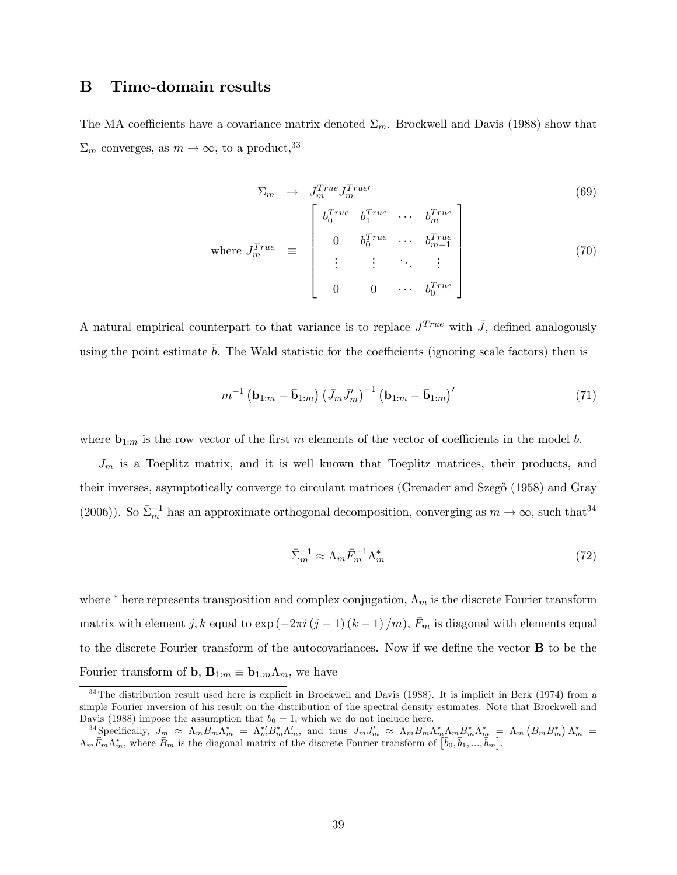# B Time-domain results

The MA coefficients have a covariance matrix denoted  $\Sigma_m$ . Brockwell and Davis (1988) show that  $\Sigma_m$  converges, as  $m \to \infty$ , to a product,<sup>33</sup>

$$
\Sigma_m \rightarrow J_m^{True} J_m^{True}
$$
\n
$$
\text{where } J_m^{True} \equiv \begin{bmatrix} b_0^{True} & b_1^{True} & \cdots & b_m^{True} \\ 0 & b_0^{True} & \cdots & b_{m-1}^{True} \\ \vdots & \vdots & \ddots & \vdots \\ 0 & 0 & \cdots & b_0^{True} \end{bmatrix}
$$
\n
$$
(69)
$$

A natural empirical counterpart to that variance is to replace  $J^{True}$  with  $\bar{J}$ , defined analogously using the point estimate  $\bar{b}$ . The Wald statistic for the coefficients (ignoring scale factors) then is

$$
m^{-1} \left( \mathbf{b}_{1:m} - \bar{\mathbf{b}}_{1:m} \right) \left( \bar{J}_m \bar{J}'_m \right)^{-1} \left( \mathbf{b}_{1:m} - \bar{\mathbf{b}}_{1:m} \right)'
$$
 (71)

where  $\mathbf{b}_{1:m}$  is the row vector of the first m elements of the vector of coefficients in the model b.

 $J_m$  is a Toeplitz matrix, and it is well known that Toeplitz matrices, their products, and their inverses, asymptotically converge to circulant matrices (Grenader and Szeg $\delta$  (1958) and Gray (2006)). So  $\bar{\Sigma}_m^{-1}$  has an approximate orthogonal decomposition, converging as  $m \to \infty$ , such that<sup>34</sup>

$$
\bar{\Sigma}_m^{-1} \approx \Lambda_m \bar{F}_m^{-1} \Lambda_m^* \tag{72}
$$

where  $*$  here represents transposition and complex conjugation,  $\Lambda_m$  is the discrete Fourier transform matrix with element j, k equal to  $\exp(-2\pi i(j-1)(k-1)/m)$ ,  $\bar{F}_m$  is diagonal with elements equal to the discrete Fourier transform of the autocovariances. Now if we define the vector  $\bf{B}$  to be the Fourier transform of **b**,  $\mathbf{B}_{1:m} \equiv \mathbf{b}_{1:m} \Lambda_m$ , we have

 $33$ The distribution result used here is explicit in Brockwell and Davis (1988). It is implicit in Berk (1974) from a simple Fourier inversion of his result on the distribution of the spectral density estimates. Note that Brockwell and Davis (1988) impose the assumption that  $b_0 = 1$ , which we do not include here.

<sup>&</sup>lt;sup>34</sup>Specifically,  $\bar{J}_m \approx \Lambda_m \bar{B}_m \bar{\Lambda}_m^* = \Lambda_m^{* \prime} \bar{B}_m^* \Lambda_m^{\prime}$ , and thus  $\bar{J}_m \bar{J}_m^{\prime} \approx \Lambda_m \bar{B}_m \Lambda_m^* \Lambda_m \bar{B}_m^* \Lambda_m^* = \Lambda_m (\bar{B}_m \bar{B}_m^*) \Lambda_m^* =$  $\Lambda_m \bar{F}_m \Lambda_m^*$ , where  $\bar{B}_m$  is the diagonal matrix of the discrete Fourier transform of  $[\bar{b}_0, \bar{b}_1, ..., \bar{b}_m]$ .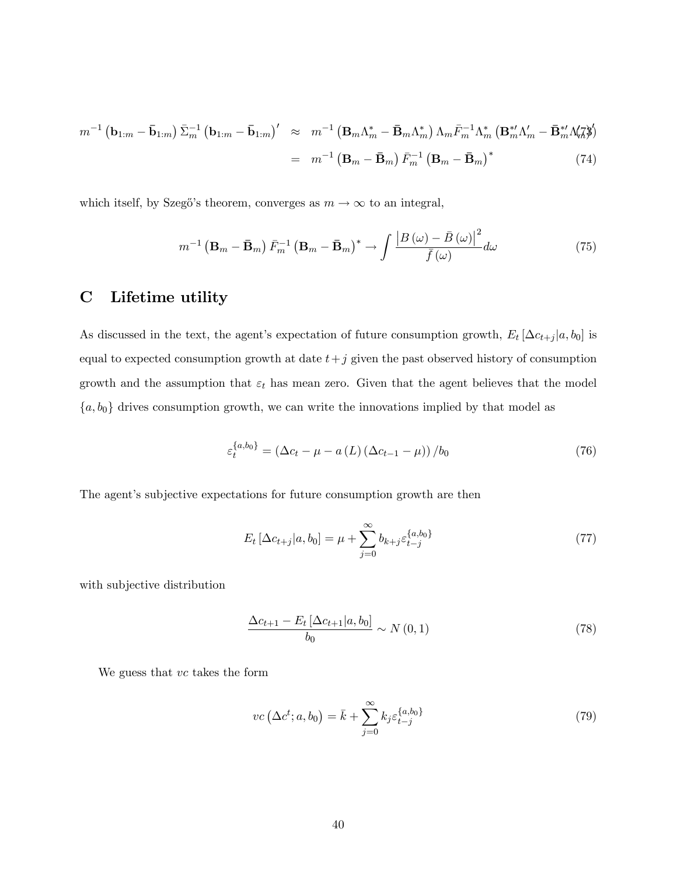$$
m^{-1} \left( \mathbf{b}_{1:m} - \bar{\mathbf{b}}_{1:m} \right) \bar{\Sigma}_m^{-1} \left( \mathbf{b}_{1:m} - \bar{\mathbf{b}}_{1:m} \right)' \approx m^{-1} \left( \mathbf{B}_m \Lambda_m^* - \bar{\mathbf{B}}_m \Lambda_m^* \right) \Lambda_m \bar{F}_m^{-1} \Lambda_m^* \left( \mathbf{B}_m^{* \prime} \Lambda_m' - \bar{\mathbf{B}}_m^{* \prime} \Lambda_m' \right)'
$$
  

$$
= m^{-1} \left( \mathbf{B}_m - \bar{\mathbf{B}}_m \right) \bar{F}_m^{-1} \left( \mathbf{B}_m - \bar{\mathbf{B}}_m \right)^* \tag{74}
$$

which itself, by Szegő's theorem, converges as  $m \to \infty$  to an integral,

$$
m^{-1} \left(\mathbf{B}_m - \bar{\mathbf{B}}_m\right) \bar{F}_m^{-1} \left(\mathbf{B}_m - \bar{\mathbf{B}}_m\right)^* \to \int \frac{\left|B\left(\omega\right) - \bar{B}\left(\omega\right)\right|^2}{\bar{f}\left(\omega\right)} d\omega \tag{75}
$$

# C Lifetime utility

As discussed in the text, the agent's expectation of future consumption growth,  $E_t [\Delta c_{t+j} | a, b_0]$  is equal to expected consumption growth at date  $t+j$  given the past observed history of consumption growth and the assumption that  $\varepsilon_t$  has mean zero. Given that the agent believes that the model  ${a, b_0}$  drives consumption growth, we can write the innovations implied by that model as

$$
\varepsilon_t^{\{a,b_0\}} = \left(\Delta c_t - \mu - a\left(L\right)\left(\Delta c_{t-1} - \mu\right)\right) / b_0 \tag{76}
$$

The agent's subjective expectations for future consumption growth are then

$$
E_t \left[ \Delta c_{t+j} | a, b_0 \right] = \mu + \sum_{j=0}^{\infty} b_{k+j} \varepsilon_{t-j}^{\{a, b_0\}} \tag{77}
$$

with subjective distribution

$$
\frac{\Delta c_{t+1} - E_t \left[ \Delta c_{t+1} | a, b_0 \right]}{b_0} \sim N(0, 1) \tag{78}
$$

We guess that  $vc$  takes the form

$$
vc\left(\Delta c^t; a, b_0\right) = \bar{k} + \sum_{j=0}^{\infty} k_j \varepsilon_{t-j}^{\{a, b_0\}} \tag{79}
$$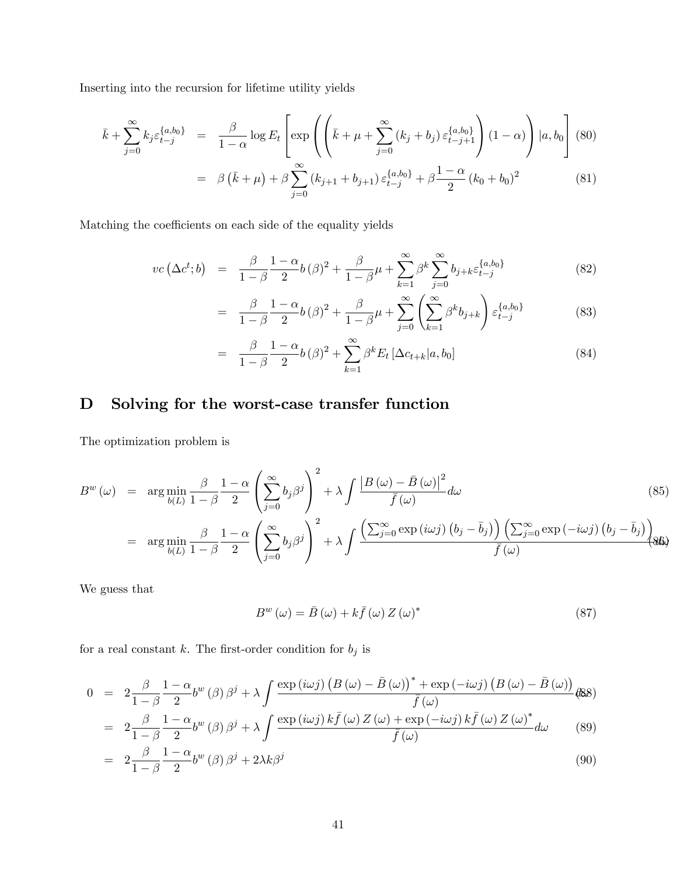Inserting into the recursion for lifetime utility yields

$$
\bar{k} + \sum_{j=0}^{\infty} k_j \varepsilon_{t-j}^{\{a,b_0\}} = \frac{\beta}{1-\alpha} \log E_t \left[ \exp \left( \left( \bar{k} + \mu + \sum_{j=0}^{\infty} \left( k_j + b_j \right) \varepsilon_{t-j+1}^{\{a,b_0\}} \right) (1-\alpha) \right) |a, b_0 \right] (80)
$$

$$
= \beta \left( \bar{k} + \mu \right) + \beta \sum_{j=0}^{\infty} \left( k_{j+1} + b_{j+1} \right) \varepsilon_{t-j}^{\{a, b_0\}} + \beta \frac{1-\alpha}{2} \left( k_0 + b_0 \right)^2 \tag{81}
$$

Matching the coefficients on each side of the equality yields

$$
vc\left(\Delta c^{t};b\right) = \frac{\beta}{1-\beta} \frac{1-\alpha}{2} b(\beta)^{2} + \frac{\beta}{1-\beta} \mu + \sum_{k=1}^{\infty} \beta^{k} \sum_{j=0}^{\infty} b_{j+k} \varepsilon_{t-j}^{\{a,b_{0}\}}
$$
(82)

$$
= \frac{\beta}{1-\beta} \frac{1-\alpha}{2} b(\beta)^2 + \frac{\beta}{1-\beta} \mu + \sum_{j=0}^{\infty} \left( \sum_{k=1}^{\infty} \beta^k b_{j+k} \right) \varepsilon_{t-j}^{\{a,b_0\}} \tag{83}
$$

$$
= \frac{\beta}{1-\beta} \frac{1-\alpha}{2} b(\beta)^2 + \sum_{k=1}^{\infty} \beta^k E_t [\Delta c_{t+k}|a, b_0]
$$
 (84)

# D Solving for the worst-case transfer function

The optimization problem is

$$
B^{w}(\omega) = \arg \min_{b(L)} \frac{\beta}{1-\beta} \frac{1-\alpha}{2} \left( \sum_{j=0}^{\infty} b_{j} \beta^{j} \right)^{2} + \lambda \int \frac{\left| B(\omega) - \bar{B}(\omega) \right|^{2}}{\bar{f}(\omega)} d\omega \qquad (85)
$$
  

$$
= \arg \min_{b(L)} \frac{\beta}{1-\beta} \frac{1-\alpha}{2} \left( \sum_{j=0}^{\infty} b_{j} \beta^{j} \right)^{2} + \lambda \int \frac{\left( \sum_{j=0}^{\infty} \exp(i\omega j) \left( b_{j} - \bar{b}_{j} \right) \right) \left( \sum_{j=0}^{\infty} \exp(-i\omega j) \left( b_{j} - \bar{b}_{j} \right) \right)}{\bar{f}(\omega)}
$$
(86)

We guess that

$$
B^{w}(\omega) = \bar{B}(\omega) + k\bar{f}(\omega) Z(\omega)^{*}
$$
\n(87)

for a real constant  $k.$  The first-order condition for  $b_j$  is

$$
0 = 2\frac{\beta}{1-\beta}\frac{1-\alpha}{2}b^{w}(\beta)\beta^{j} + \lambda \int \frac{\exp(i\omega j)\left(B(\omega)-\bar{B}(\omega)\right)^{*}+\exp(-i\omega j)\left(B(\omega)-\bar{B}(\omega)\right)}{\bar{f}(\omega)}
$$
  
\n
$$
= 2\frac{\beta}{1-\beta}\frac{1-\alpha}{2}b^{w}(\beta)\beta^{j} + \lambda \int \frac{\exp(i\omega j)k\bar{f}(\omega)Z(\omega)+\exp(-i\omega j)k\bar{f}(\omega)Z(\omega)^{*}}{\bar{f}(\omega)}d\omega \qquad (89)
$$

$$
= 2\frac{\beta}{1-\beta}\frac{1-\alpha}{2}b^{w}(\beta)\beta^{j} + 2\lambda k\beta^{j}
$$
\n(90)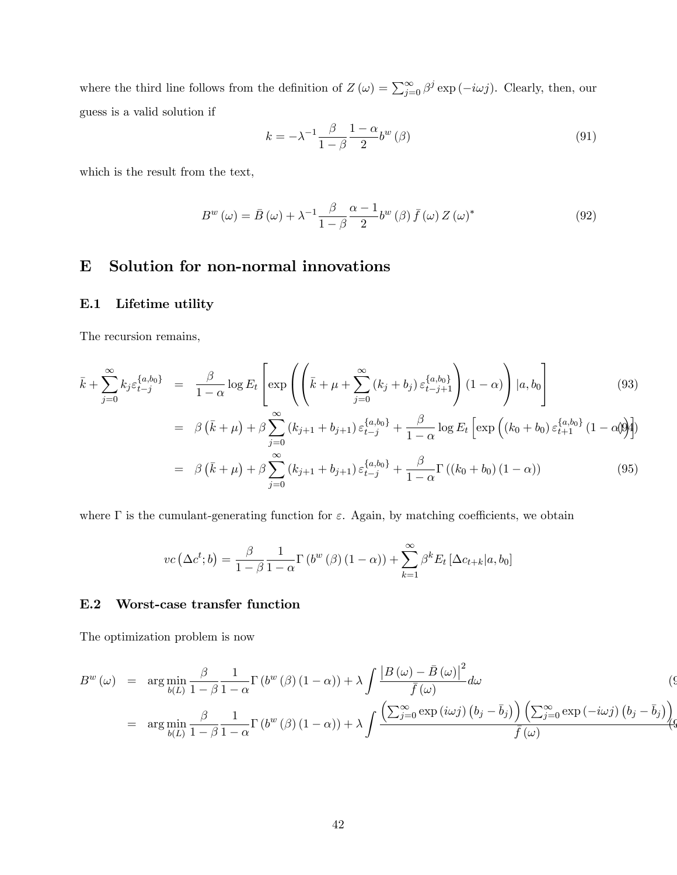where the third line follows from the definition of  $Z(\omega) = \sum_{j=0}^{\infty} \beta^j \exp(-i\omega j)$ . Clearly, then, our guess is a valid solution if

$$
k = -\lambda^{-1} \frac{\beta}{1 - \beta} \frac{1 - \alpha}{2} b^w (\beta)
$$
\n(91)

which is the result from the text,

$$
B^{w}(\omega) = \bar{B}(\omega) + \lambda^{-1} \frac{\beta}{1-\beta} \frac{\alpha-1}{2} b^{w}(\beta) \bar{f}(\omega) Z(\omega)^{*}
$$
\n(92)

# E Solution for non-normal innovations

### E.1 Lifetime utility

The recursion remains,

$$
\bar{k} + \sum_{j=0}^{\infty} k_j \varepsilon_{t-j}^{\{a,b_0\}} = \frac{\beta}{1-\alpha} \log E_t \left[ \exp \left( \left( \bar{k} + \mu + \sum_{j=0}^{\infty} (k_j + b_j) \varepsilon_{t-j+1}^{\{a,b_0\}} \right) (1-\alpha) \right) |a, b_0 \right]
$$
(93)

$$
= \beta (\bar{k} + \mu) + \beta \sum_{j=0}^{\infty} (k_{j+1} + b_{j+1}) \varepsilon_{t-j}^{\{a,b_0\}} + \frac{\beta}{1-\alpha} \log E_t \left[ \exp \left( (k_0 + b_0) \varepsilon_{t+1}^{\{a,b_0\}} (1-\alpha) \right) \right]
$$

$$
= \beta (\bar{k} + \mu) + \beta \sum_{j=0}^{\infty} (k_{j+1} + b_{j+1}) \varepsilon_{t-j}^{\{a, b_0\}} + \frac{\beta}{1 - \alpha} \Gamma((k_0 + b_0) (1 - \alpha)) \tag{95}
$$

where  $\Gamma$  is the cumulant-generating function for  $\varepsilon$ . Again, by matching coefficients, we obtain

$$
vc\left(\Delta c^t; b\right) = \frac{\beta}{1-\beta} \frac{1}{1-\alpha} \Gamma\left(b^w\left(\beta\right)\left(1-\alpha\right)\right) + \sum_{k=1}^{\infty} \beta^k E_t \left[\Delta c_{t+k} | a, b_0\right]
$$

#### E.2 Worst-case transfer function

The optimization problem is now

$$
B^{w}(\omega) = \arg \min_{b(L)} \frac{\beta}{1-\beta} \frac{1}{1-\alpha} \Gamma(b^{w}(\beta)(1-\alpha)) + \lambda \int \frac{\left|B(\omega) - \bar{B}(\omega)\right|^{2}}{\bar{f}(\omega)} d\omega
$$
\n
$$
= \arg \min_{b(L)} \frac{\beta}{1-\beta} \frac{1}{1-\alpha} \Gamma(b^{w}(\beta)(1-\alpha)) + \lambda \int \frac{\left(\sum_{j=0}^{\infty} \exp(i\omega j) \left(b_{j} - \bar{b}_{j}\right)\right) \left(\sum_{j=0}^{\infty} \exp(-i\omega j) \left(b_{j} - \bar{b}_{j}\right)\right)}{\bar{f}(\omega)}
$$
\n(9.10)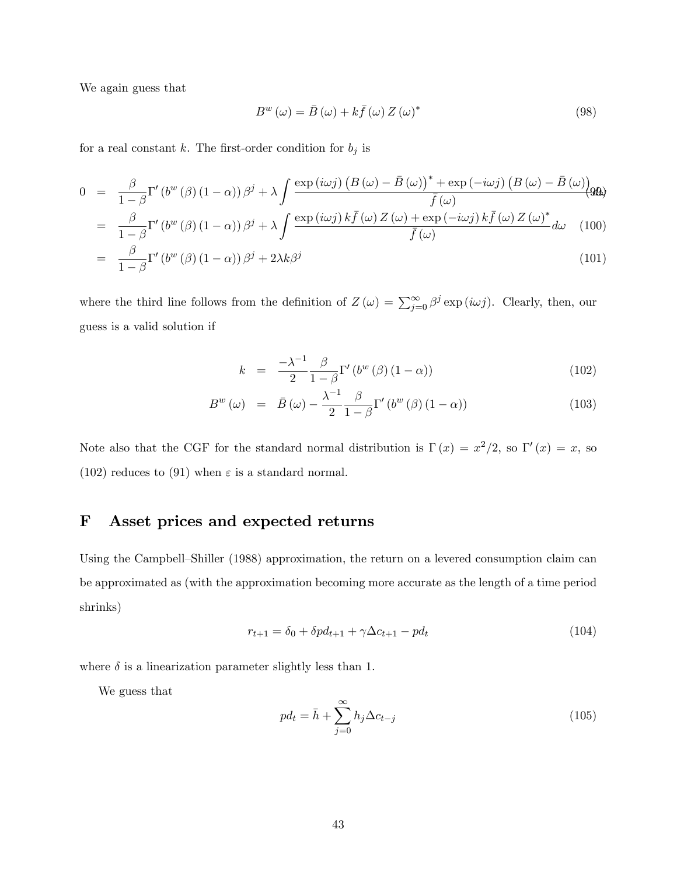We again guess that

$$
B^{w}(\omega) = \bar{B}(\omega) + k\bar{f}(\omega) Z(\omega)^{*}
$$
\n(98)

for a real constant  $k$ . The first-order condition for  $b_j$  is

$$
0 = \frac{\beta}{1-\beta} \Gamma'(b^w (\beta) (1-\alpha)) \beta^j + \lambda \int \frac{\exp(i\omega j) (B(\omega) - \bar{B}(\omega))^* + \exp(-i\omega j) (B(\omega) - \bar{B}(\omega))}{\bar{f}(\omega)}
$$
  
\n
$$
= \frac{\beta}{1-\beta} \Gamma'(b^w (\beta) (1-\alpha)) \beta^j + \lambda \int \frac{\exp(i\omega j) k \bar{f}(\omega) Z(\omega) + \exp(-i\omega j) k \bar{f}(\omega) Z(\omega)^*}{\bar{f}(\omega)} d\omega \quad (100)
$$
  
\n
$$
= \frac{\beta}{1-\beta} \Gamma'(b^w (\beta) (1-\alpha)) \beta^j + \lambda \int \frac{\exp(i\omega j) k \bar{f}(\omega) Z(\omega) + \exp(-i\omega j) k \bar{f}(\omega) Z(\omega)^*}{\bar{f}(\omega)} d\omega \quad (101)
$$

$$
= \frac{\beta}{1-\beta} \Gamma' \left( b^w \left( \beta \right) \left( 1 - \alpha \right) \right) \beta^j + 2\lambda k \beta^j \tag{101}
$$

where the third line follows from the definition of  $Z(\omega) = \sum_{j=0}^{\infty} \beta^j \exp(i\omega j)$ . Clearly, then, our guess is a valid solution if

$$
k = \frac{-\lambda^{-1}}{2} \frac{\beta}{1-\beta} \Gamma'(b^w(\beta)(1-\alpha)) \tag{102}
$$

$$
B^{w}(\omega) = \bar{B}(\omega) - \frac{\lambda^{-1}}{2} \frac{\beta}{1-\beta} \Gamma'(b^{w}(\beta)(1-\alpha)) \tag{103}
$$

Note also that the CGF for the standard normal distribution is  $\Gamma(x) = x^2/2$ , so  $\Gamma'(x) = x$ , so (102) reduces to (91) when  $\varepsilon$  is a standard normal.

# F Asset prices and expected returns

Using the Campbell–Shiller (1988) approximation, the return on a levered consumption claim can be approximated as (with the approximation becoming more accurate as the length of a time period shrinks)

$$
r_{t+1} = \delta_0 + \delta p d_{t+1} + \gamma \Delta c_{t+1} - p d_t \tag{104}
$$

where  $\delta$  is a linearization parameter slightly less than 1.

We guess that

$$
pd_t = \bar{h} + \sum_{j=0}^{\infty} h_j \Delta c_{t-j}
$$
\n(105)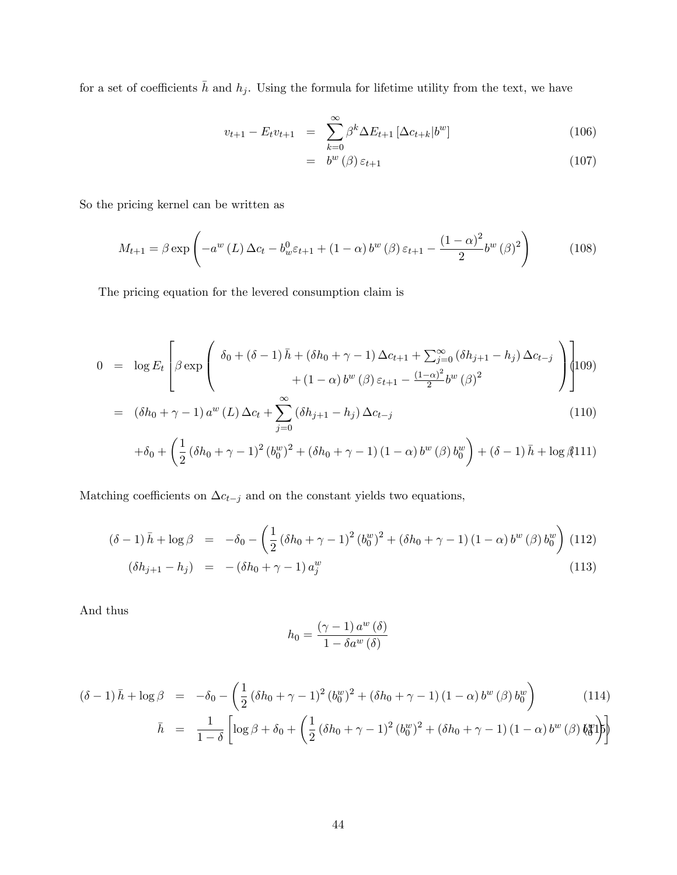for a set of coefficients  $\bar{h}$  and  $h_j$ . Using the formula for lifetime utility from the text, we have

$$
v_{t+1} - E_t v_{t+1} = \sum_{k=0}^{\infty} \beta^k \Delta E_{t+1} \left[ \Delta c_{t+k} | b^w \right]
$$
 (106)

$$
= b^w (\beta) \varepsilon_{t+1} \tag{107}
$$

So the pricing kernel can be written as

$$
M_{t+1} = \beta \exp\left(-a^w \left(L\right) \Delta c_t - b_w^0 \varepsilon_{t+1} + (1 - \alpha) b^w \left(\beta\right) \varepsilon_{t+1} - \frac{\left(1 - \alpha\right)^2}{2} b^w \left(\beta\right)^2\right) \tag{108}
$$

The pricing equation for the levered consumption claim is

$$
0 = \log E_t \left[ \beta \exp \left( \frac{\delta_0 + (\delta - 1) \bar{h} + (\delta h_0 + \gamma - 1) \Delta c_{t+1} + \sum_{j=0}^{\infty} (\delta h_{j+1} - h_j) \Delta c_{t-j}}{+ (1 - \alpha) b^{w} (\beta) \varepsilon_{t+1} - \frac{(1 - \alpha)^2}{2} b^{w} (\beta)^2} \right) \right]
$$

$$
= (\delta h_0 + \gamma - 1) a^w (L) \Delta c_t + \sum_{j=0}^{\infty} (\delta h_{j+1} - h_j) \Delta c_{t-j}
$$
\n(110)

$$
+\delta_0+\left(\frac{1}{2}\left(\delta h_0+\gamma-1\right)^2\left(b_0^w\right)^2+\left(\delta h_0+\gamma-1\right)\left(1-\alpha\right)b^w\left(\beta\right)b_0^w\right)+\left(\delta-1\right)\bar{h}+\log\left(\frac{1}{2}\right)
$$

Matching coefficients on  $\Delta c_{t-j}$  and on the constant yields two equations,

$$
(\delta - 1)\bar{h} + \log \beta = -\delta_0 - \left(\frac{1}{2}(\delta h_0 + \gamma - 1)^2 (b_0^w)^2 + (\delta h_0 + \gamma - 1)(1 - \alpha) b^w (\beta) b_0^w\right)
$$
(112)  

$$
(\delta h_{j+1} - h_j) = -(\delta h_0 + \gamma - 1) a_j^w
$$
(113)

And thus

$$
h_0 = \frac{(\gamma - 1) a^w (\delta)}{1 - \delta a^w (\delta)}
$$

$$
(\delta - 1)\bar{h} + \log \beta = -\delta_0 - \left(\frac{1}{2}(\delta h_0 + \gamma - 1)^2 (b_0^w)^2 + (\delta h_0 + \gamma - 1)(1 - \alpha) b^w (\beta) b_0^w\right)
$$
(114)

$$
\bar{h} = \frac{1}{1-\delta} \left[ \log \beta + \delta_0 + \left( \frac{1}{2} \left( \delta h_0 + \gamma - 1 \right)^2 \left( b_0^w \right)^2 + \left( \delta h_0 + \gamma - 1 \right) \left( 1 - \alpha \right) b^w \left( \beta \right) b_0^w \right] \right]
$$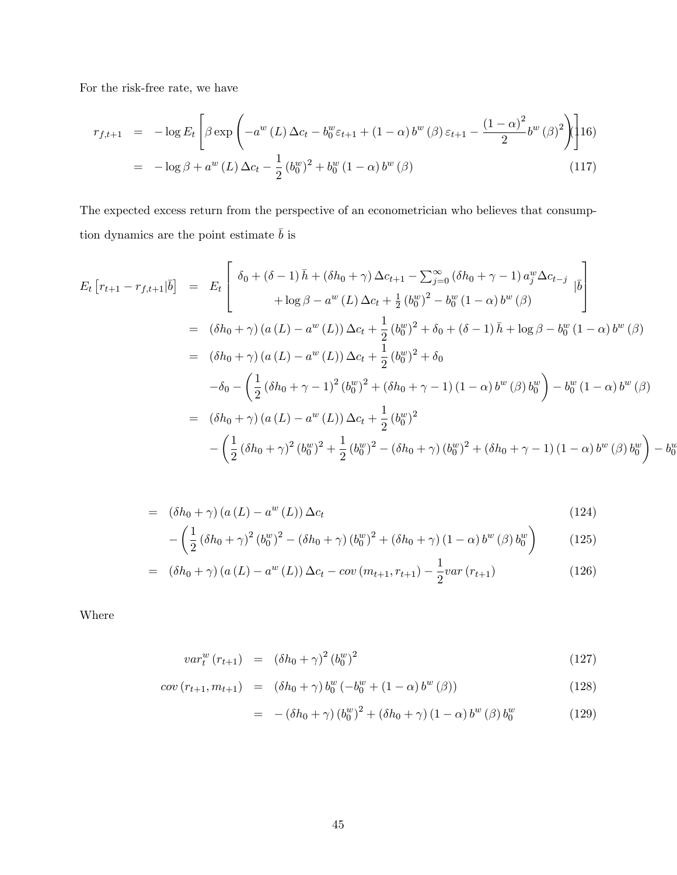For the risk-free rate, we have

$$
r_{f,t+1} = -\log E_t \left[ \beta \exp \left( -a^w \left( L \right) \Delta c_t - b_0^w \varepsilon_{t+1} + (1 - \alpha) b^w \left( \beta \right) \varepsilon_{t+1} - \frac{\left( 1 - \alpha \right)^2}{2} b^w \left( \beta \right)^2 \right) \right] \tag{16}
$$

$$
= -\log \beta + a^w \left( L \right) \Delta c_t - \frac{1}{2} \left( b_0^w \right)^2 + b_0^w \left( 1 - \alpha \right) b^w \left( \beta \right) \tag{117}
$$

The expected excess return from the perspective of an econometrician who believes that consumption dynamics are the point estimate  $\bar{b}$  is

$$
E_t \left[ r_{t+1} - r_{f,t+1} | \overline{b} \right] = E_t \left[ \begin{array}{cc} \delta_0 + (\delta - 1) \bar{h} + (\delta h_0 + \gamma) \Delta c_{t+1} - \sum_{j=0}^{\infty} (\delta h_0 + \gamma - 1) a_j^w \Delta c_{t-j} \\ + \log \beta - a^w (L) \Delta c_t + \frac{1}{2} (b_0^w)^2 - b_0^w (1 - \alpha) b^w (\beta) \end{array} \right]
$$
  
\n
$$
= (\delta h_0 + \gamma) (a (L) - a^w (L)) \Delta c_t + \frac{1}{2} (b_0^w)^2 + \delta_0 + (\delta - 1) \bar{h} + \log \beta - b_0^w (1 - \alpha) b^w (\beta)
$$
  
\n
$$
= (\delta h_0 + \gamma) (a (L) - a^w (L)) \Delta c_t + \frac{1}{2} (b_0^w)^2 + \delta_0
$$
  
\n
$$
- \delta_0 - \left( \frac{1}{2} (\delta h_0 + \gamma - 1)^2 (b_0^w)^2 + (\delta h_0 + \gamma - 1) (1 - \alpha) b^w (\beta) b_0^w \right) - b_0^w (1 - \alpha) b^w (\beta)
$$
  
\n
$$
= (\delta h_0 + \gamma) (a (L) - a^w (L)) \Delta c_t + \frac{1}{2} (b_0^w)^2
$$
  
\n
$$
- \left( \frac{1}{2} (\delta h_0 + \gamma)^2 (b_0^w)^2 + \frac{1}{2} (b_0^w)^2 - (\delta h_0 + \gamma) (b_0^w)^2 + (\delta h_0 + \gamma - 1) (1 - \alpha) b^w (\beta) b_0^w \right) - b_0^w (b_0^w)^2
$$

$$
= (\delta h_0 + \gamma) (a(L) - a^w(L)) \Delta c_t
$$
\n(124)

$$
-\left(\frac{1}{2}\left(\delta h_0 + \gamma\right)^2 \left(b_0^w\right)^2 - \left(\delta h_0 + \gamma\right) \left(b_0^w\right)^2 + \left(\delta h_0 + \gamma\right) \left(1 - \alpha\right) b^w \left(\beta\right) b_0^w\right) \tag{125}
$$

$$
= (\delta h_0 + \gamma) (a(L) - a^w(L)) \Delta c_t - cov(m_{t+1}, r_{t+1}) - \frac{1}{2} var(r_{t+1})
$$
\n(126)

Where

$$
var_{t}^{w}(r_{t+1}) = (\delta h_0 + \gamma)^2 (b_0^{w})^2 \tag{127}
$$

$$
cov(r_{t+1}, m_{t+1}) = (\delta h_0 + \gamma) b_0^w (-b_0^w + (1 - \alpha) b^w (\beta))
$$
\n(128)

$$
= -(\delta h_0 + \gamma) (b_0^w)^2 + (\delta h_0 + \gamma) (1 - \alpha) b^w (\beta) b_0^w \qquad (129)
$$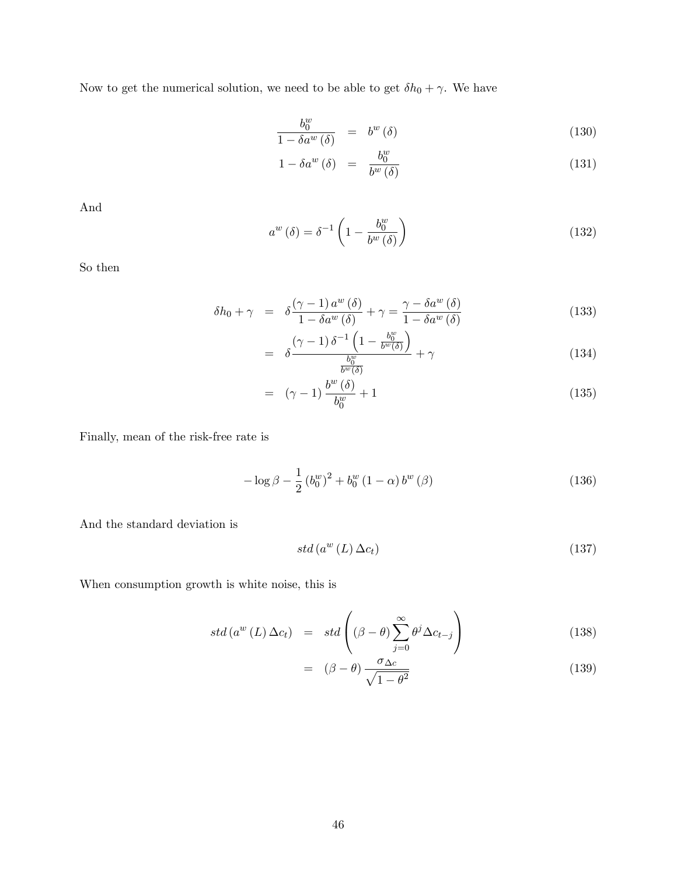Now to get the numerical solution, we need to be able to get  $\delta h_0 + \gamma$ . We have

$$
\frac{b_0^w}{1 - \delta a^w (\delta)} = b^w (\delta) \tag{130}
$$

$$
1 - \delta a^w \left( \delta \right) = \frac{b_0^w}{b^w \left( \delta \right)} \tag{131}
$$

And

$$
a^{w}(\delta) = \delta^{-1} \left( 1 - \frac{b_0^{w}}{b^{w}(\delta)} \right)
$$
 (132)

So then

$$
\delta h_0 + \gamma = \delta \frac{(\gamma - 1) a^w (\delta)}{1 - \delta a^w (\delta)} + \gamma = \frac{\gamma - \delta a^w (\delta)}{1 - \delta a^w (\delta)}
$$
(133)

$$
= \delta \frac{\left(\gamma - 1\right) \delta^{-1} \left(1 - \frac{b_0^w}{b^w(\delta)}\right)}{\frac{b_0^w}{b^w(\delta)}} + \gamma \tag{134}
$$

$$
= \quad (\gamma - 1) \frac{b^w (\delta)}{b_0^w} + 1 \tag{135}
$$

Finally, mean of the risk-free rate is

$$
-\log \beta - \frac{1}{2} (b_0^w)^2 + b_0^w (1 - \alpha) b^w (\beta)
$$
\n(136)

And the standard deviation is

$$
std\left(a^w\left(L\right)\Delta c_t\right) \tag{137}
$$

When consumption growth is white noise, this is

$$
std(a^{w}(L) \Delta c_{t}) = std\left((\beta - \theta) \sum_{j=0}^{\infty} \theta^{j} \Delta c_{t-j}\right)
$$
\n(138)

$$
= (\beta - \theta) \frac{\sigma_{\Delta c}}{\sqrt{1 - \theta^2}} \tag{139}
$$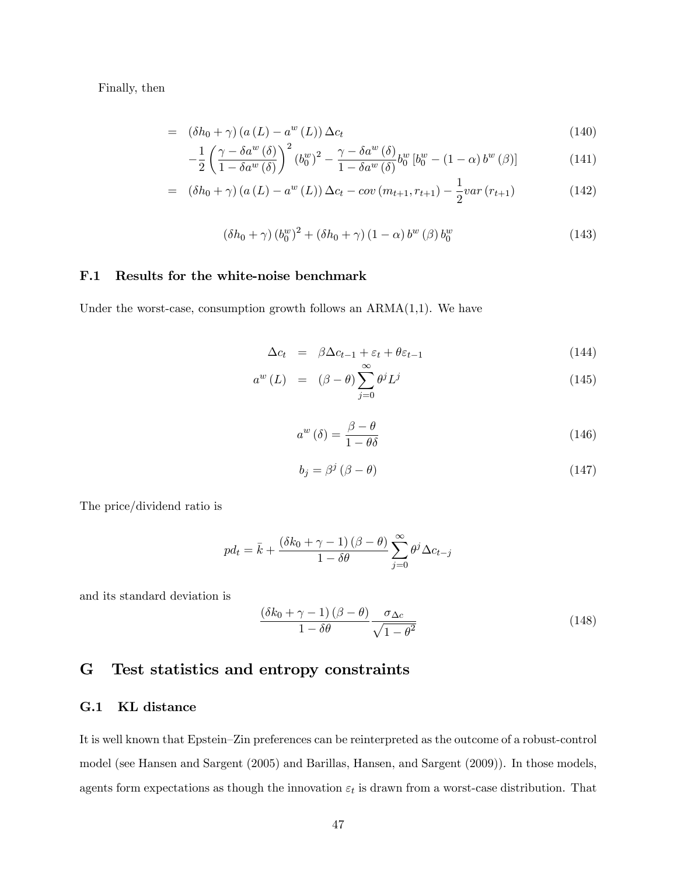Finally, then

$$
= (\delta h_0 + \gamma) (a (L) - a^w (L)) \Delta c_t
$$
\n
$$
(140)
$$

$$
-\frac{1}{2}\left(\frac{\gamma - \delta a^w(\delta)}{1 - \delta a^w(\delta)}\right)^2 (b_0^w)^2 - \frac{\gamma - \delta a^w(\delta)}{1 - \delta a^w(\delta)} b_0^w [b_0^w - (1 - \alpha) b^w(\beta)] \tag{141}
$$

$$
= (\delta h_0 + \gamma) (a(L) - a^w(L)) \Delta c_t - cov(m_{t+1}, r_{t+1}) - \frac{1}{2} var(r_{t+1})
$$
\n(142)

$$
\left(\delta h_0 + \gamma\right) \left(b_0^w\right)^2 + \left(\delta h_0 + \gamma\right) \left(1 - \alpha\right) b^w \left(\beta\right) b_0^w \tag{143}
$$

### F.1 Results for the white-noise benchmark

Under the worst-case, consumption growth follows an  $ARMA(1,1)$ . We have

$$
\Delta c_t = \beta \Delta c_{t-1} + \varepsilon_t + \theta \varepsilon_{t-1} \tag{144}
$$

$$
a^{w}(L) = (\beta - \theta) \sum_{j=0}^{\infty} \theta^{j} L^{j}
$$
 (145)

$$
a^w(\delta) = \frac{\beta - \theta}{1 - \theta\delta} \tag{146}
$$

$$
b_j = \beta^j \left(\beta - \theta\right) \tag{147}
$$

The price/dividend ratio is

$$
pd_{t} = \bar{k} + \frac{\left(\delta k_{0} + \gamma - 1\right)\left(\beta - \theta\right)}{1 - \delta\theta} \sum_{j=0}^{\infty} \theta^{j} \Delta c_{t-j}
$$

and its standard deviation is

$$
\frac{\left(\delta k_0 + \gamma - 1\right)\left(\beta - \theta\right)}{1 - \delta \theta} \frac{\sigma_{\Delta c}}{\sqrt{1 - \theta^2}}\tag{148}
$$

# G Test statistics and entropy constraints

### G.1 KL distance

It is well known that Epstein–Zin preferences can be reinterpreted as the outcome of a robust-control model (see Hansen and Sargent (2005) and Barillas, Hansen, and Sargent (2009)). In those models, agents form expectations as though the innovation  $\varepsilon_t$  is drawn from a worst-case distribution. That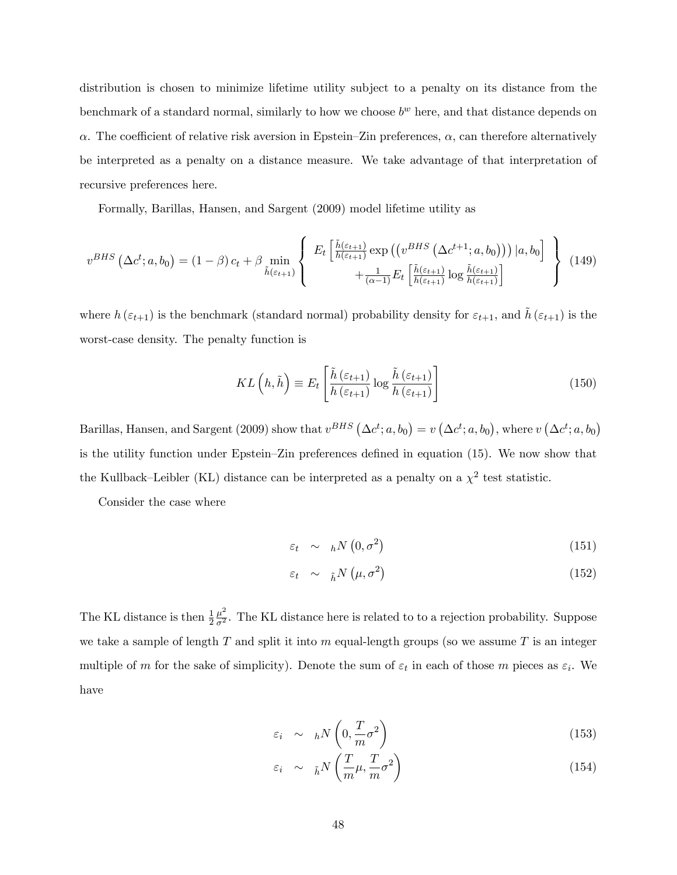distribution is chosen to minimize lifetime utility subject to a penalty on its distance from the benchmark of a standard normal, similarly to how we choose  $b^w$  here, and that distance depends on  $\alpha$ . The coefficient of relative risk aversion in Epstein–Zin preferences,  $\alpha$ , can therefore alternatively be interpreted as a penalty on a distance measure. We take advantage of that interpretation of recursive preferences here.

Formally, Barillas, Hansen, and Sargent (2009) model lifetime utility as

$$
v^{BHS}(\Delta c^t; a, b_0) = (1 - \beta) c_t + \beta \min_{\tilde{h}(\varepsilon_{t+1})} \left\{ E_t \left[ \frac{\tilde{h}(\varepsilon_{t+1})}{h(\varepsilon_{t+1})} \exp\left(\left(v^{BHS}\left(\Delta c^{t+1}; a, b_0\right)\right)\right) | a, b_0 \right] + \frac{1}{(\alpha - 1)} E_t \left[ \frac{\tilde{h}(\varepsilon_{t+1})}{h(\varepsilon_{t+1})} \log \frac{\tilde{h}(\varepsilon_{t+1})}{h(\varepsilon_{t+1})} \right] \right\} \tag{149}
$$

where  $h(\varepsilon_{t+1})$  is the benchmark (standard normal) probability density for  $\varepsilon_{t+1}$ , and  $\tilde{h}(\varepsilon_{t+1})$  is the worst-case density. The penalty function is

$$
KL\left(h,\tilde{h}\right) \equiv E_t \left[\frac{\tilde{h}\left(\varepsilon_{t+1}\right)}{h\left(\varepsilon_{t+1}\right)} \log \frac{\tilde{h}\left(\varepsilon_{t+1}\right)}{h\left(\varepsilon_{t+1}\right)}\right]
$$
(150)

Barillas, Hansen, and Sargent (2009) show that  $v^{BHS}(\Delta c^t; a, b_0) = v(\Delta c^t; a, b_0)$ , where  $v(\Delta c^t; a, b_0)$ is the utility function under Epstein–Zin preferences defined in equation  $(15)$ . We now show that the Kullback–Leibler (KL) distance can be interpreted as a penalty on a  $\chi^2$  test statistic.

Consider the case where

$$
\varepsilon_t \sim h N\left(0, \sigma^2\right) \tag{151}
$$

$$
\varepsilon_t \sim \frac{1}{\hbar} N\left(\mu, \sigma^2\right) \tag{152}
$$

The KL distance is then  $\frac{1}{2}$  $\frac{\mu^2}{\sigma^2}$ . The KL distance here is related to to a rejection probability. Suppose we take a sample of length  $T$  and split it into  $m$  equal-length groups (so we assume  $T$  is an integer multiple of m for the sake of simplicity). Denote the sum of  $\varepsilon_t$  in each of those m pieces as  $\varepsilon_i$ . We have

$$
\varepsilon_i \sim hN\left(0, \frac{T}{m}\sigma^2\right) \tag{153}
$$

$$
\varepsilon_i \sim \tilde{h}^N \left( \frac{T}{m} \mu, \frac{T}{m} \sigma^2 \right) \tag{154}
$$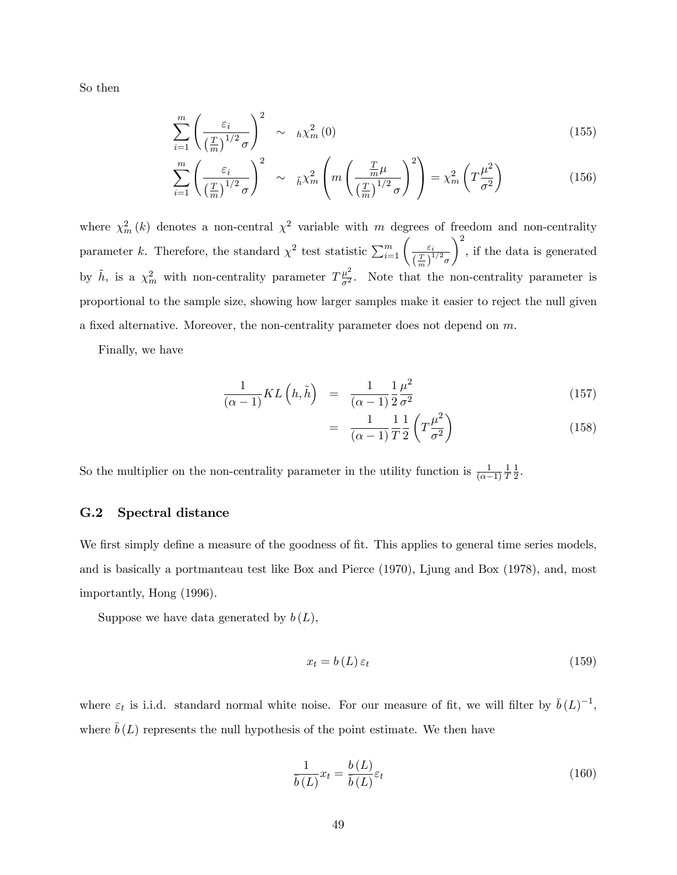So then

$$
\sum_{i=1}^{m} \left( \frac{\varepsilon_i}{\left(\frac{T}{m}\right)^{1/2} \sigma} \right)^2 \sim h \chi_m^2(0) \tag{155}
$$

$$
\sum_{i=1}^{m} \left( \frac{\varepsilon_i}{\left(\frac{T}{m}\right)^{1/2} \sigma} \right)^2 \sim \tilde{h} \chi_m^2 \left( m \left( \frac{\frac{T}{m} \mu}{\left(\frac{T}{m}\right)^{1/2} \sigma} \right)^2 \right) = \chi_m^2 \left( T \frac{\mu^2}{\sigma^2} \right) \tag{156}
$$

where  $\chi^2_m(k)$  denotes a non-central  $\chi^2$  variable with m degrees of freedom and non-centrality parameter k. Therefore, the standard  $\chi^2$  test statistic  $\sum_{i=1}^m \left( \frac{\varepsilon_i}{(T_i)^1} \right)$  $\left(\frac{T}{m}\right)^{1/2}$ o  $\setminus^2$ , if the data is generated by  $\tilde{h}$ , is a  $\chi^2_m$  with non-centrality parameter  $T\frac{\mu^2}{\sigma^2}$ . Note that the non-centrality parameter is 2 proportional to the sample size, showing how larger samples make it easier to reject the null given a fixed alternative. Moreover, the non-centrality parameter does not depend on  $m$ .

Finally, we have

$$
\frac{1}{(\alpha - 1)}KL\left(h, \tilde{h}\right) = \frac{1}{(\alpha - 1)}\frac{1}{2}\frac{\mu^2}{\sigma^2}
$$
\n(157)

$$
= \frac{1}{(\alpha - 1)} \frac{1}{T} \frac{1}{2} \left( T \frac{\mu^2}{\sigma^2} \right) \tag{158}
$$

So the multiplier on the non-centrality parameter in the utility function is  $\frac{1}{(\alpha-1)}$ 1 T 1  $\frac{1}{2}$ .

#### G.2 Spectral distance

We first simply define a measure of the goodness of fit. This applies to general time series models, and is basically a portmanteau test like Box and Pierce (1970), Ljung and Box (1978), and, most importantly, Hong (1996).

Suppose we have data generated by  $b(L)$ ,

$$
x_t = b(L)\,\varepsilon_t \tag{159}
$$

where  $\varepsilon_t$  is i.i.d. standard normal white noise. For our measure of fit, we will filter by  $\bar{b}(L)^{-1}$ , where  $\bar{b}(L)$  represents the null hypothesis of the point estimate. We then have

$$
\frac{1}{\bar{b}(L)}x_t = \frac{b(L)}{\bar{b}(L)}\varepsilon_t
$$
\n(160)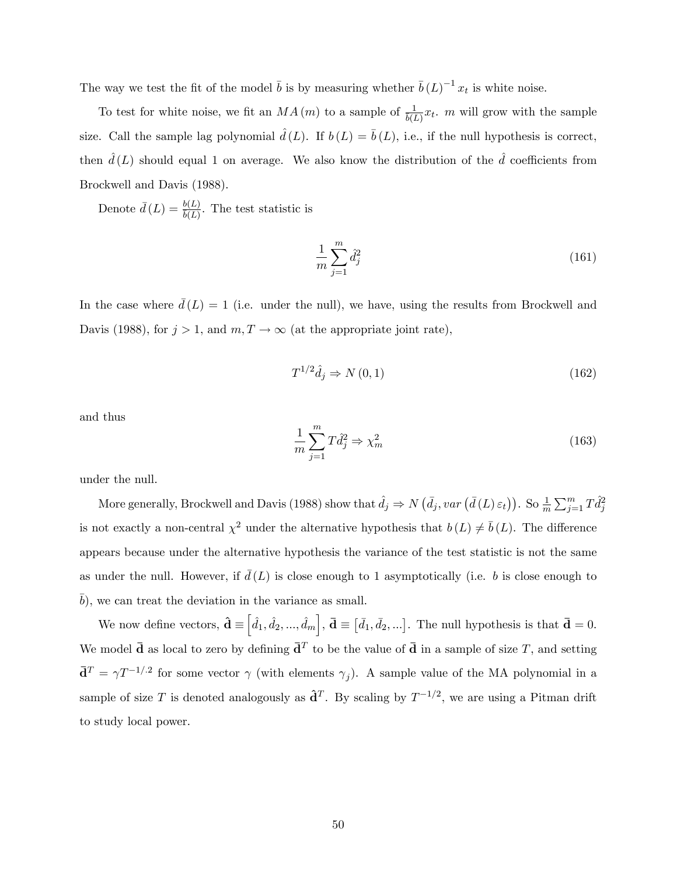The way we test the fit of the model  $\bar{b}$  is by measuring whether  $\bar{b}(L)^{-1}x_t$  is white noise.

To test for white noise, we fit an  $MA(m)$  to a sample of  $\frac{1}{b(L)}x_t$ . m will grow with the sample size. Call the sample lag polynomial  $\hat{d}(L)$ . If  $b (L) = \overline{b} (L)$ , i.e., if the null hypothesis is correct, then  $\hat{d}(L)$  should equal 1 on average. We also know the distribution of the  $\hat{d}$  coefficients from Brockwell and Davis (1988).

Denote  $\bar{d}(L) = \frac{b(L)}{b(L)}$ . The test statistic is

$$
\frac{1}{m} \sum_{j=1}^{m} \hat{d}_{j}^{2} \tag{161}
$$

In the case where  $\bar{d}(L) = 1$  (i.e. under the null), we have, using the results from Brockwell and Davis (1988), for  $j > 1$ , and  $m, T \rightarrow \infty$  (at the appropriate joint rate),

$$
T^{1/2}\hat{d}_j \Rightarrow N(0,1) \tag{162}
$$

and thus

$$
\frac{1}{m}\sum_{j=1}^{m}T\hat{d}_{j}^{2} \Rightarrow \chi_{m}^{2}
$$
\n(163)

under the null.

More generally, Brockwell and Davis (1988) show that  $\hat{d}_j \Rightarrow N\left(\bar{d}_j, var\left(\bar{d}\left(L\right) \varepsilon_t\right)\right)$ . So  $\frac{1}{m} \sum_{j=1}^m T \hat{d}_j^2$ is not exactly a non-central  $\chi^2$  under the alternative hypothesis that  $b(L) \neq \bar{b}(L)$ . The difference appears because under the alternative hypothesis the variance of the test statistic is not the same as under the null. However, if  $\bar{d}(L)$  is close enough to 1 asymptotically (i.e. b is close enough to  $\overline{b}$ ), we can treat the deviation in the variance as small.

We now define vectors,  $\hat{\mathbf{d}} \equiv \left[ \hat{d}_1, \hat{d}_2, ..., \hat{d}_m \right]$ ,  $\bar{\mathbf{d}} \equiv \left[ \bar{d}_1, \bar{d}_2, ...\right]$ . The null hypothesis is that  $\bar{\mathbf{d}} = 0$ . We model  $\bar{\mathbf{d}}$  as local to zero by defining  $\bar{\mathbf{d}}^T$  to be the value of  $\bar{\mathbf{d}}$  in a sample of size T, and setting  $\bar{\mathbf{d}}^T = \gamma T^{-1/2}$  for some vector  $\gamma$  (with elements  $\gamma_j$ ). A sample value of the MA polynomial in a sample of size T is denoted analogously as  $\hat{\mathbf{d}}^T$ . By scaling by  $T^{-1/2}$ , we are using a Pitman drift to study local power.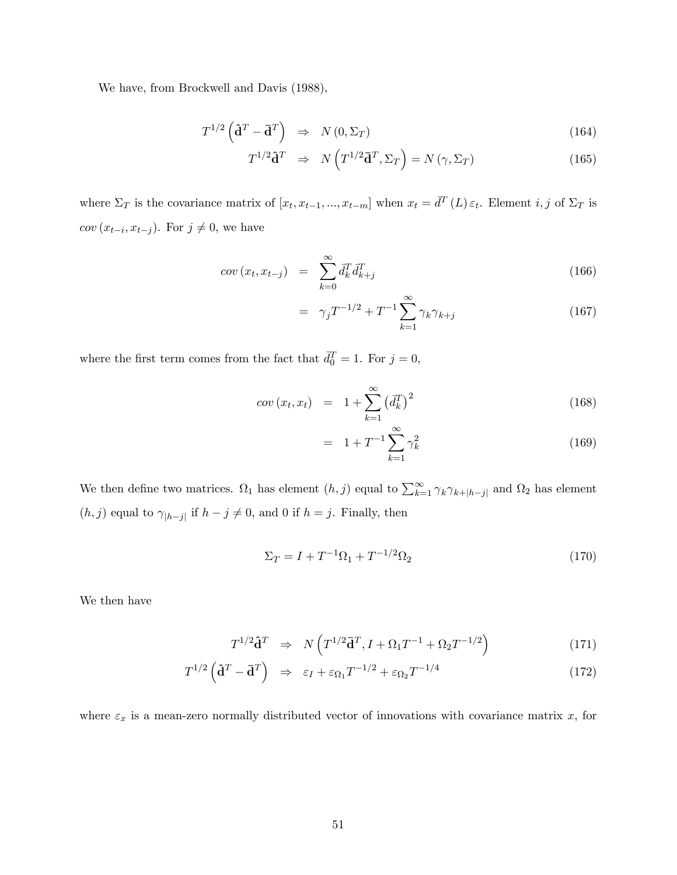We have, from Brockwell and Davis (1988),

$$
T^{1/2} \left( \hat{\mathbf{d}}^T - \bar{\mathbf{d}}^T \right) \Rightarrow N \left( 0, \Sigma_T \right) \tag{164}
$$

$$
T^{1/2}\hat{\mathbf{d}}^T \Rightarrow N\left(T^{1/2}\bar{\mathbf{d}}^T, \Sigma_T\right) = N\left(\gamma, \Sigma_T\right) \tag{165}
$$

where  $\Sigma_T$  is the covariance matrix of  $[x_t, x_{t-1}, ..., x_{t-m}]$  when  $x_t = \bar{d}^T(L) \varepsilon_t$ . Element  $i, j$  of  $\Sigma_T$  is  $cov(x_{t-i}, x_{t-j})$ . For  $j \neq 0$ , we have

$$
cov(x_t, x_{t-j}) = \sum_{k=0}^{\infty} \bar{d}_k^T \bar{d}_{k+j}^T
$$
\n(166)

$$
= \gamma_j T^{-1/2} + T^{-1} \sum_{k=1}^{\infty} \gamma_k \gamma_{k+j} \tag{167}
$$

where the first term comes from the fact that  $\bar{d}_0^T = 1$ . For  $j = 0$ ,

$$
cov(x_t, x_t) = 1 + \sum_{k=1}^{\infty} (\bar{d}_k^T)^2
$$
\n(168)

$$
= 1 + T^{-1} \sum_{k=1}^{\infty} \gamma_k^2 \tag{169}
$$

We then define two matrices.  $\Omega_1$  has element  $(h, j)$  equal to  $\sum_{k=1}^{\infty} \gamma_k \gamma_{k+|h-j|}$  and  $\Omega_2$  has element  $(h, j)$  equal to  $\gamma_{|h-j|}$  if  $h - j \neq 0$ , and 0 if  $h = j$ . Finally, then

$$
\Sigma_T = I + T^{-1} \Omega_1 + T^{-1/2} \Omega_2 \tag{170}
$$

We then have

$$
T^{1/2}\hat{\mathbf{d}}^T \Rightarrow N\left(T^{1/2}\bar{\mathbf{d}}^T, I + \Omega_1 T^{-1} + \Omega_2 T^{-1/2}\right) \tag{171}
$$

$$
T^{1/2} \left( \mathbf{\hat{d}}^T - \mathbf{\bar{d}}^T \right) \Rightarrow \varepsilon_I + \varepsilon_{\Omega_1} T^{-1/2} + \varepsilon_{\Omega_2} T^{-1/4} \tag{172}
$$

where  $\varepsilon_x$  is a mean-zero normally distributed vector of innovations with covariance matrix x, for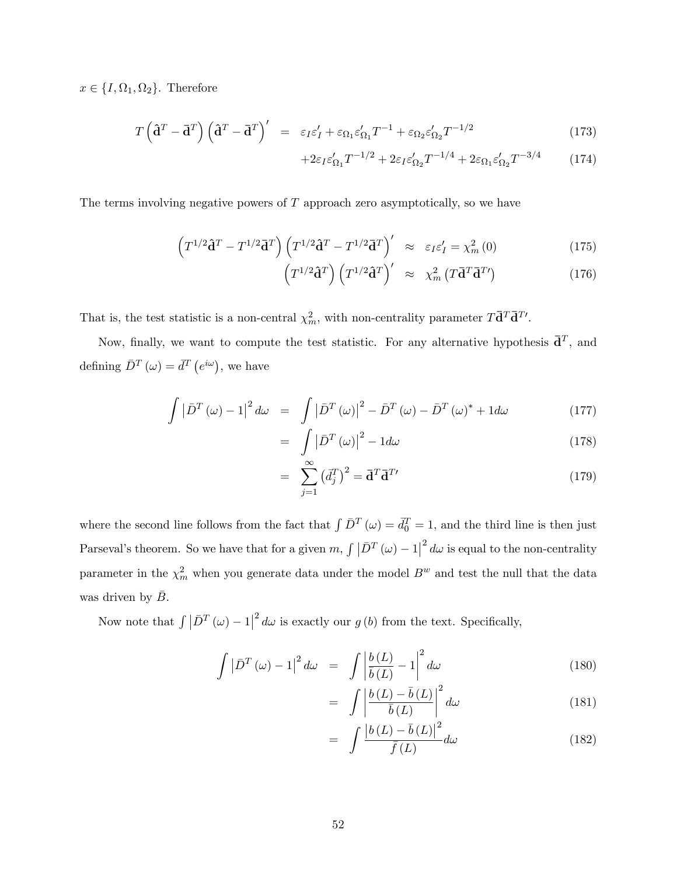$x \in \{I, \Omega_1, \Omega_2\}.$  Therefore

$$
T\left(\hat{\mathbf{d}}^T - \bar{\mathbf{d}}^T\right)\left(\hat{\mathbf{d}}^T - \bar{\mathbf{d}}^T\right)' = \varepsilon_I \varepsilon_I' + \varepsilon_{\Omega_1} \varepsilon_{\Omega_1}' T^{-1} + \varepsilon_{\Omega_2} \varepsilon_{\Omega_2}' T^{-1/2}
$$
\n(173)

$$
+2\varepsilon_I \varepsilon_{\Omega_1}' T^{-1/2} + 2\varepsilon_I \varepsilon_{\Omega_2}' T^{-1/4} + 2\varepsilon_{\Omega_1} \varepsilon_{\Omega_2}' T^{-3/4} \tag{174}
$$

The terms involving negative powers of  $T$  approach zero asymptotically, so we have

$$
\left(T^{1/2}\hat{\mathbf{d}}^T - T^{1/2}\bar{\mathbf{d}}^T\right)\left(T^{1/2}\hat{\mathbf{d}}^T - T^{1/2}\bar{\mathbf{d}}^T\right)' \approx \varepsilon_I \varepsilon_I' = \chi_m^2(0) \tag{175}
$$

$$
\left(T^{1/2}\mathbf{\hat{d}}^{T}\right)\left(T^{1/2}\mathbf{\hat{d}}^{T}\right)' \approx \chi_{m}^{2}\left(T\mathbf{\bar{d}}^{T}\mathbf{\bar{d}}^{T}\right) \tag{176}
$$

That is, the test statistic is a non-central  $\chi^2_m$ , with non-centrality parameter  $T\overline{d}^T\overline{d}^{T'}$ .

Now, finally, we want to compute the test statistic. For any alternative hypothesis  $\bar{\mathbf{d}}^T$ , and defining  $\bar{D}^T(\omega) = \bar{d}^T(e^{i\omega})$ , we have

$$
\int \left| \bar{D}^T \left( \omega \right) - 1 \right|^2 d\omega = \int \left| \bar{D}^T \left( \omega \right) \right|^2 - \bar{D}^T \left( \omega \right) - \bar{D}^T \left( \omega \right)^* + 1 d\omega \tag{177}
$$

$$
= \int |\bar{D}^T(\omega)|^2 - 1 d\omega \tag{178}
$$

$$
= \sum_{j=1}^{\infty} \left(\overline{d}_j^T\right)^2 = \overline{\mathbf{d}}^T \overline{\mathbf{d}}^{T} \tag{179}
$$

where the second line follows from the fact that  $\int \bar{D}^T (\omega) = \bar{d}_0^T = 1$ , and the third line is then just Parseval's theorem. So we have that for a given  $m, \int |\bar{D}^T(\omega) - 1|^2 d\omega$  is equal to the non-centrality parameter in the  $\chi^2_m$  when you generate data under the model  $B^w$  and test the null that the data was driven by  $\bar{B}$ .

Now note that  $\int |\bar{D}^T(\omega) - 1|^2 d\omega$  is exactly our  $g(b)$  from the text. Specifically,

$$
\int \left| \bar{D}^T \left( \omega \right) - 1 \right|^2 d\omega = \int \left| \frac{b(L)}{\bar{b}(L)} - 1 \right|^2 d\omega \tag{180}
$$

$$
= \int \left| \frac{b(L) - \bar{b}(L)}{\bar{b}(L)} \right|^2 d\omega \tag{181}
$$

$$
= \int \frac{\left|b\left(L\right) - \bar{b}\left(L\right)\right|^2}{\bar{f}\left(L\right)} d\omega \tag{182}
$$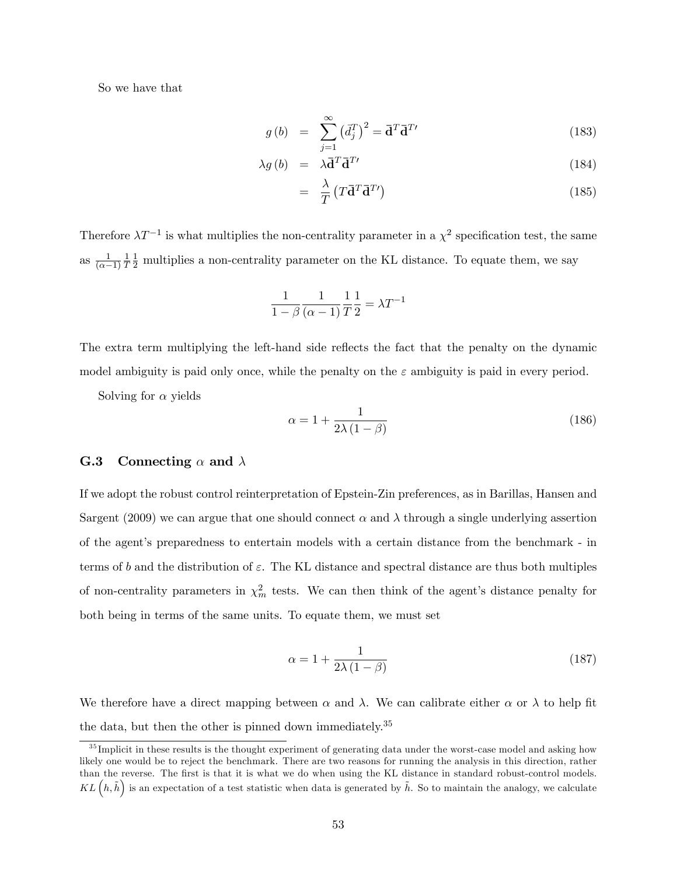So we have that

$$
g(b) = \sum_{j=1}^{\infty} \left(\vec{d}_j^T\right)^2 = \vec{\mathbf{d}}^T \vec{\mathbf{d}}^T
$$
\n(183)

$$
\lambda g\left(b\right) = \lambda \bar{\mathbf{d}}^T \bar{\mathbf{d}}^{T'} \tag{184}
$$

$$
= \frac{\lambda}{T} \left( T \overline{\mathbf{d}}^T \overline{\mathbf{d}}^T' \right) \tag{185}
$$

Therefore  $\lambda T^{-1}$  is what multiplies the non-centrality parameter in a  $\chi^2$  specification test, the same as  $\frac{1}{(\alpha - 1)}$ 1 T  $\frac{1}{2}$  multiplies a non-centrality parameter on the KL distance. To equate them, we say

$$
\frac{1}{1 - \beta} \frac{1}{(\alpha - 1)} \frac{1}{T} \frac{1}{2} = \lambda T^{-1}
$$

The extra term multiplying the left-hand side reflects the fact that the penalty on the dynamic model ambiguity is paid only once, while the penalty on the  $\varepsilon$  ambiguity is paid in every period.

Solving for  $\alpha$  yields

$$
\alpha = 1 + \frac{1}{2\lambda(1-\beta)}\tag{186}
$$

### G.3 Connecting  $\alpha$  and  $\lambda$

If we adopt the robust control reinterpretation of Epstein-Zin preferences, as in Barillas, Hansen and Sargent (2009) we can argue that one should connect  $\alpha$  and  $\lambda$  through a single underlying assertion of the agent's preparedness to entertain models with a certain distance from the benchmark - in terms of b and the distribution of  $\varepsilon$ . The KL distance and spectral distance are thus both multiples of non-centrality parameters in  $\chi^2_m$  tests. We can then think of the agent's distance penalty for both being in terms of the same units. To equate them, we must set

$$
\alpha = 1 + \frac{1}{2\lambda \left(1 - \beta\right)}\tag{187}
$$

We therefore have a direct mapping between  $\alpha$  and  $\lambda$ . We can calibrate either  $\alpha$  or  $\lambda$  to help fit the data, but then the other is pinned down immediately.<sup>35</sup>

 $35$  Implicit in these results is the thought experiment of generating data under the worst-case model and asking how likely one would be to reject the benchmark. There are two reasons for running the analysis in this direction, rather than the reverse. The first is that it is what we do when using the KL distance in standard robust-control models.  $KL(h,\tilde{h})$  is an expectation of a test statistic when data is generated by  $\tilde{h}$ . So to maintain the analogy, we calculate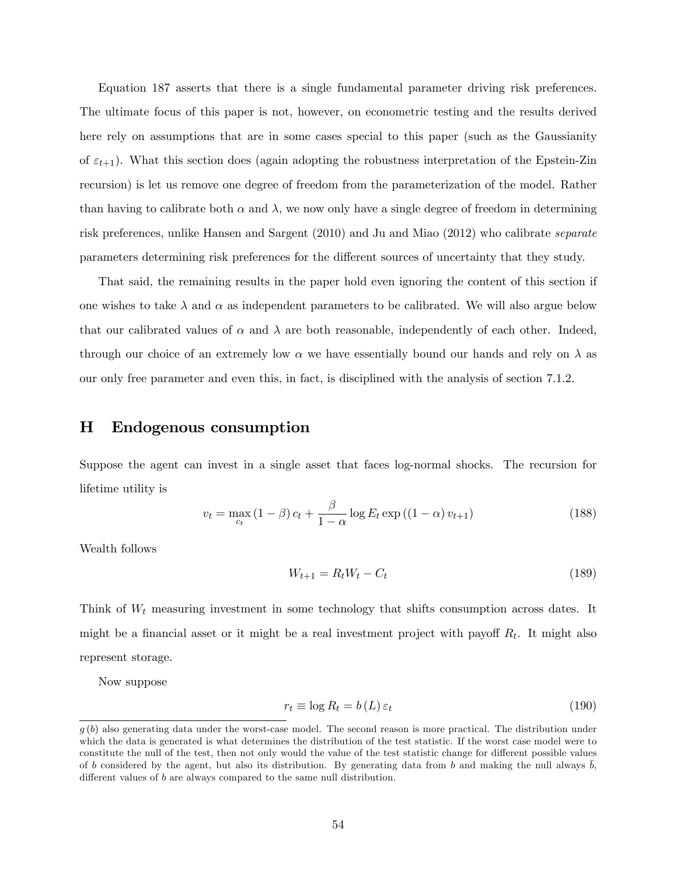Equation 187 asserts that there is a single fundamental parameter driving risk preferences. The ultimate focus of this paper is not, however, on econometric testing and the results derived here rely on assumptions that are in some cases special to this paper (such as the Gaussianity of  $\varepsilon_{t+1}$ ). What this section does (again adopting the robustness interpretation of the Epstein-Zin recursion) is let us remove one degree of freedom from the parameterization of the model. Rather than having to calibrate both  $\alpha$  and  $\lambda$ , we now only have a single degree of freedom in determining risk preferences, unlike Hansen and Sargent (2010) and Ju and Miao (2012) who calibrate separate parameters determining risk preferences for the different sources of uncertainty that they study.

That said, the remaining results in the paper hold even ignoring the content of this section if one wishes to take  $\lambda$  and  $\alpha$  as independent parameters to be calibrated. We will also argue below that our calibrated values of  $\alpha$  and  $\lambda$  are both reasonable, independently of each other. Indeed, through our choice of an extremely low  $\alpha$  we have essentially bound our hands and rely on  $\lambda$  as our only free parameter and even this, in fact, is disciplined with the analysis of section 7.1.2.

### H Endogenous consumption

Suppose the agent can invest in a single asset that faces log-normal shocks. The recursion for lifetime utility is

$$
v_t = \max_{c_t} (1 - \beta) c_t + \frac{\beta}{1 - \alpha} \log E_t \exp((1 - \alpha) v_{t+1})
$$
\n(188)

Wealth follows

$$
W_{t+1} = R_t W_t - C_t \tag{189}
$$

Think of  $W_t$  measuring investment in some technology that shifts consumption across dates. It might be a financial asset or it might be a real investment project with payoff  $R_t$ . It might also represent storage.

Now suppose

$$
r_t \equiv \log R_t = b(L)\,\varepsilon_t \tag{190}
$$

 $g(b)$  also generating data under the worst-case model. The second reason is more practical. The distribution under which the data is generated is what determines the distribution of the test statistic. If the worst case model were to constitute the null of the test, then not only would the value of the test statistic change for different possible values of b considered by the agent, but also its distribution. By generating data from b and making the null always  $b$ , different values of  $b$  are always compared to the same null distribution.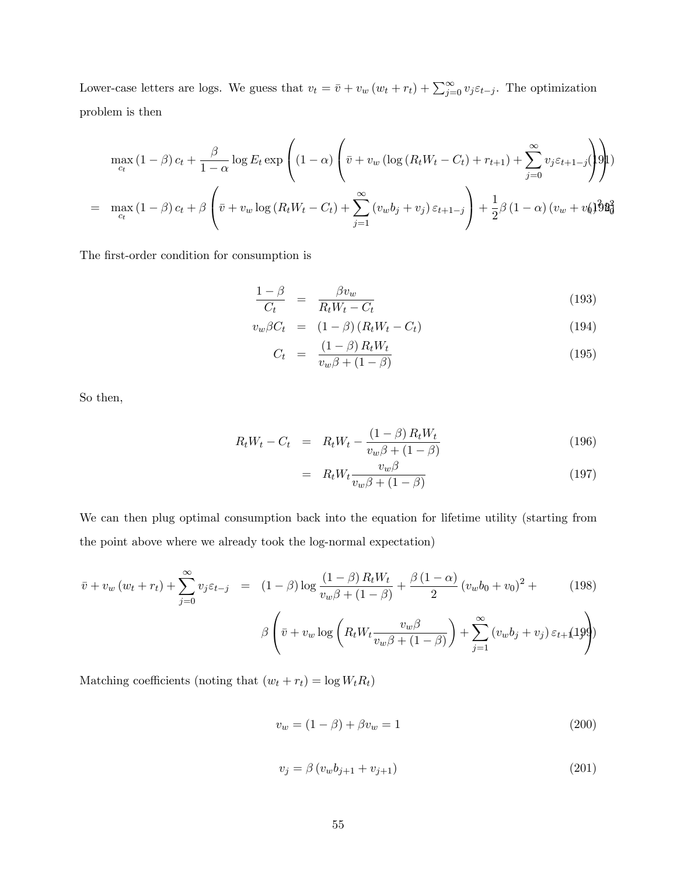Lower-case letters are logs. We guess that  $v_t = \bar{v} + v_w (w_t + r_t) + \sum_{j=0}^{\infty} v_j \varepsilon_{t-j}$ . The optimization problem is then

$$
\max_{c_t} (1 - \beta) c_t + \frac{\beta}{1 - \alpha} \log E_t \exp\left( (1 - \alpha) \left( \bar{v} + v_w \left( \log \left( R_t W_t - C_t \right) + r_{t+1} \right) + \sum_{j=0}^{\infty} v_j \varepsilon_{t+1-j} \right) \right)
$$
  
= 
$$
\max_{c_t} (1 - \beta) c_t + \beta \left( \bar{v} + v_w \log \left( R_t W_t - C_t \right) + \sum_{j=1}^{\infty} \left( v_w b_j + v_j \right) \varepsilon_{t+1-j} \right) + \frac{1}{2} \beta \left( 1 - \alpha \right) \left( v_w + v_0 \right) \frac{\partial \mathbf{g}}{\partial \mathbf{g}}
$$

The first-order condition for consumption is

$$
\frac{1-\beta}{C_t} = \frac{\beta v_w}{R_t W_t - C_t} \tag{193}
$$

$$
v_w \beta C_t = (1 - \beta) (R_t W_t - C_t)
$$
\n(194)

$$
C_t = \frac{(1-\beta) R_t W_t}{v_w \beta + (1-\beta)} \tag{195}
$$

So then,

$$
R_t W_t - C_t = R_t W_t - \frac{(1 - \beta) R_t W_t}{v_w \beta + (1 - \beta)}
$$
(196)

$$
= R_t W_t \frac{v_w \beta}{v_w \beta + (1 - \beta)} \tag{197}
$$

We can then plug optimal consumption back into the equation for lifetime utility (starting from the point above where we already took the log-normal expectation)

$$
\bar{v} + v_w (w_t + r_t) + \sum_{j=0}^{\infty} v_j \varepsilon_{t-j} = (1 - \beta) \log \frac{(1 - \beta) R_t W_t}{v_w \beta + (1 - \beta)} + \frac{\beta (1 - \alpha)}{2} (v_w b_0 + v_0)^2 + \tag{198}
$$

$$
\beta \left( \bar{v} + v_w \log \left( R_t W_t \frac{v_w \beta}{v_w \beta + (1 - \beta)} \right) + \sum_{j=1}^{\infty} \left( v_w b_j + v_j \right) \varepsilon_{t+1} (199) \right)
$$

Matching coefficients (noting that  $(w_t + r_t) = \log W_t R_t$ )

$$
v_w = (1 - \beta) + \beta v_w = 1 \tag{200}
$$

$$
v_j = \beta \left( v_w b_{j+1} + v_{j+1} \right) \tag{201}
$$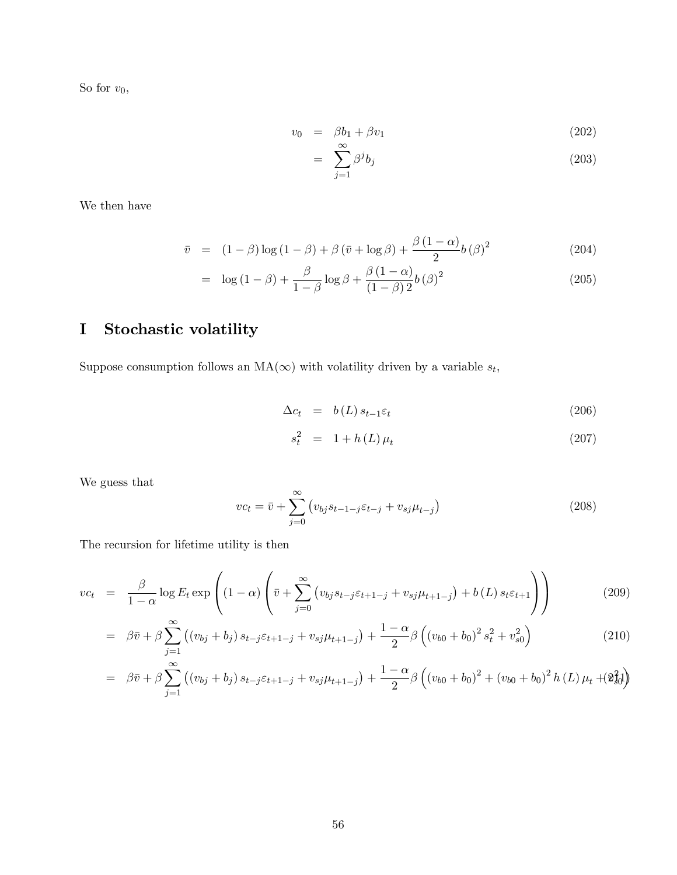So for  $v_0$ ,

$$
v_0 = \beta b_1 + \beta v_1 \tag{202}
$$

$$
= \sum_{j=1}^{\infty} \beta^j b_j \tag{203}
$$

We then have

$$
\bar{v} = (1 - \beta) \log \left(1 - \beta\right) + \beta \left(\bar{v} + \log \beta\right) + \frac{\beta \left(1 - \alpha\right)}{2} b \left(\beta\right)^2 \tag{204}
$$

$$
= \log(1 - \beta) + \frac{\beta}{1 - \beta} \log \beta + \frac{\beta (1 - \alpha)}{(1 - \beta)^2} b(\beta)^2 \tag{205}
$$

# I Stochastic volatility

Suppose consumption follows an  $MA(\infty)$  with volatility driven by a variable  $s_t$ ,

$$
\Delta c_t = b(L) s_{t-1} \varepsilon_t \tag{206}
$$

$$
s_t^2 = 1 + h(L)\,\mu_t \tag{207}
$$

We guess that

$$
vc_t = \bar{v} + \sum_{j=0}^{\infty} \left( v_{bj} s_{t-1-j} \varepsilon_{t-j} + v_{sj} \mu_{t-j} \right)
$$
 (208)

The recursion for lifetime utility is then

$$
v c_t = \frac{\beta}{1-\alpha} \log E_t \exp\left( (1-\alpha) \left( \bar{v} + \sum_{j=0}^{\infty} \left( v_{bj} s_{t-j} \varepsilon_{t+1-j} + v_{sj} \mu_{t+1-j} \right) + b(L) s_t \varepsilon_{t+1} \right) \right) \tag{209}
$$

$$
= \beta \bar{v} + \beta \sum_{j=1}^{\infty} \left( \left( v_{bj} + b_j \right) s_{t-j} \varepsilon_{t+1-j} + v_{sj} \mu_{t+1-j} \right) + \frac{1-\alpha}{2} \beta \left( \left( v_{b0} + b_0 \right)^2 s_t^2 + v_{s0}^2 \right) \tag{210}
$$

$$
= \beta \bar{v} + \beta \sum_{j=1}^{\infty} ((v_{bj} + b_j) s_{t-j} \varepsilon_{t+1-j} + v_{sj} \mu_{t+1-j}) + \frac{1-\alpha}{2} \beta ((v_{b0} + b_0)^2 + (v_{b0} + b_0)^2 h(L) \mu_t + (2\beta_0^2)
$$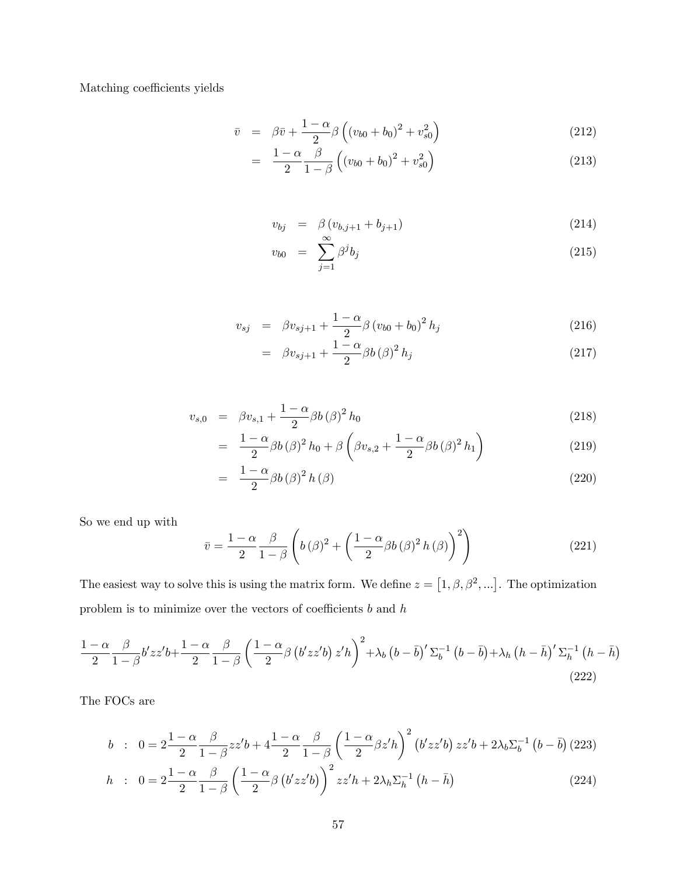Matching coefficients yields

$$
\bar{v} = \beta \bar{v} + \frac{1 - \alpha}{2} \beta \left( (v_{b0} + b_0)^2 + v_{s0}^2 \right)
$$
 (212)

$$
= \frac{1-\alpha}{2} \frac{\beta}{1-\beta} \left( (v_{b0} + b_0)^2 + v_{s0}^2 \right) \tag{213}
$$

$$
v_{bj} = \beta (v_{b,j+1} + b_{j+1}) \tag{214}
$$

$$
v_{b0} = \sum_{j=1}^{\infty} \beta^j b_j \tag{215}
$$

$$
v_{sj} = \beta v_{sj+1} + \frac{1-\alpha}{2} \beta (v_{b0} + b_0)^2 h_j \tag{216}
$$

$$
= \beta v_{sj+1} + \frac{1-\alpha}{2} \beta b (\beta)^2 h_j \qquad (217)
$$

$$
v_{s,0} = \beta v_{s,1} + \frac{1-\alpha}{2} \beta b (\beta)^2 h_0 \qquad (218)
$$

$$
= \frac{1-\alpha}{2}\beta b\left(\beta\right)^2 h_0 + \beta \left(\beta v_{s,2} + \frac{1-\alpha}{2}\beta b\left(\beta\right)^2 h_1\right) \tag{219}
$$

$$
= \frac{1-\alpha}{2}\beta b(\beta)^2 h(\beta) \tag{220}
$$

So we end up with

$$
\bar{v} = \frac{1 - \alpha}{2} \frac{\beta}{1 - \beta} \left( b \left( \beta \right)^2 + \left( \frac{1 - \alpha}{2} \beta b \left( \beta \right)^2 h \left( \beta \right) \right)^2 \right) \tag{221}
$$

The easiest way to solve this is using the matrix form. We define  $z = [1, \beta, \beta^2, \ldots]$ . The optimization problem is to minimize over the vectors of coefficients  $\boldsymbol{b}$  and  $\boldsymbol{h}$ 

$$
\frac{1-\alpha}{2} \frac{\beta}{1-\beta} b' z z' b + \frac{1-\alpha}{2} \frac{\beta}{1-\beta} \left( \frac{1-\alpha}{2} \beta \left( b' z z' b \right) z' h \right)^2 + \lambda_b \left( b - \bar{b} \right)' \Sigma_b^{-1} \left( b - \bar{b} \right) + \lambda_h \left( h - \bar{h} \right)' \Sigma_h^{-1} \left( h - \bar{h} \right)
$$
\n(222)

The FOCs are

$$
b : 0 = 2\frac{1-\alpha}{2} \frac{\beta}{1-\beta} z z' b + 4\frac{1-\alpha}{2} \frac{\beta}{1-\beta} \left(\frac{1-\alpha}{2} \beta z' h\right)^2 \left(b' z z' b\right) z z' b + 2\lambda_b \Sigma_b^{-1} \left(b - \overline{b}\right) (223)
$$
  

$$
h : 0 = 2\frac{1-\alpha}{2} \frac{\beta}{1-\beta} \left(\frac{1-\alpha}{2} \beta \left(b' z z' b\right)\right)^2 z z' h + 2\lambda_h \Sigma_h^{-1} \left(h - \overline{h}\right) \tag{224}
$$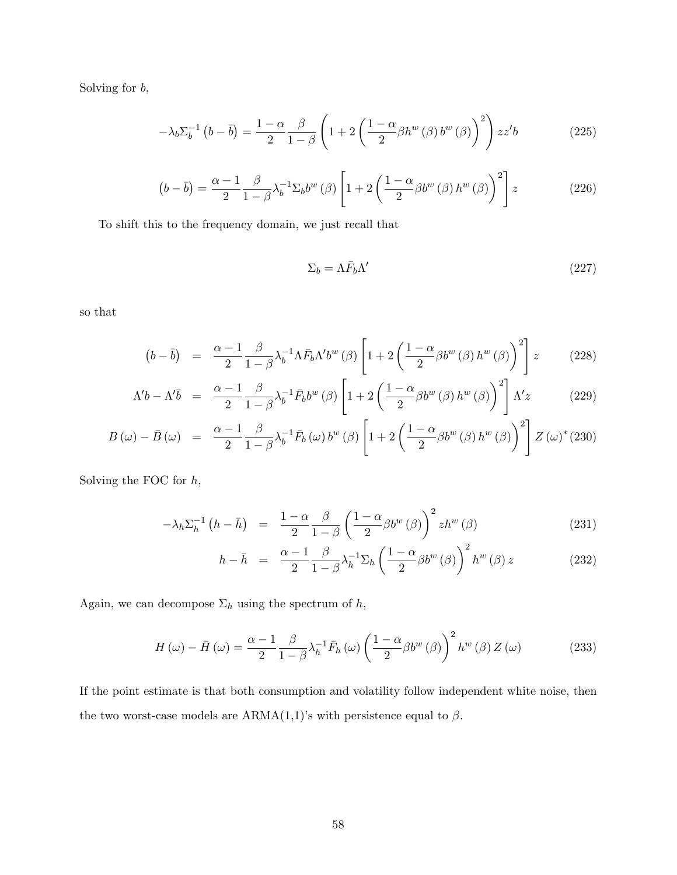Solving for b,

$$
-\lambda_b \Sigma_b^{-1} \left(b - \bar{b}\right) = \frac{1 - \alpha}{2} \frac{\beta}{1 - \beta} \left(1 + 2 \left(\frac{1 - \alpha}{2} \beta h^w \left(\beta\right) b^w \left(\beta\right)\right)^2\right) z z' b \tag{225}
$$

$$
\left(b-\overline{b}\right) = \frac{\alpha-1}{2} \frac{\beta}{1-\beta} \lambda_b^{-1} \Sigma_b b^w \left(\beta\right) \left[1+2\left(\frac{1-\alpha}{2}\beta b^w \left(\beta\right) h^w \left(\beta\right)\right)^2\right] z \tag{226}
$$

To shift this to the frequency domain, we just recall that

$$
\Sigma_b = \Lambda \bar{F}_b \Lambda' \tag{227}
$$

so that

$$
(b - \bar{b}) = \frac{\alpha - 1}{2} \frac{\beta}{1 - \beta} \lambda_b^{-1} \Lambda \bar{F}_b \Lambda' b^w (\beta) \left[ 1 + 2 \left( \frac{1 - \alpha}{2} \beta b^w (\beta) h^w (\beta) \right)^2 \right] z \tag{228}
$$

$$
\Lambda' b - \Lambda' \bar{b} = \frac{\alpha - 1}{2} \frac{\beta}{1 - \beta} \lambda_b^{-1} \bar{F}_b b^w (\beta) \left[ 1 + 2 \left( \frac{1 - \alpha}{2} \beta b^w (\beta) h^w (\beta) \right)^2 \right] \Lambda' z \tag{229}
$$

$$
B(\omega) - \bar{B}(\omega) = \frac{\alpha - 1}{2} \frac{\beta}{1 - \beta} \lambda_b^{-1} \bar{F}_b(\omega) b^w(\beta) \left[ 1 + 2 \left( \frac{1 - \alpha}{2} \beta b^w(\beta) h^w(\beta) \right)^2 \right] Z(\omega)^*(230)
$$

Solving the FOC for  $h$ ,

$$
-\lambda_h \Sigma_h^{-1} \left( h - \bar{h} \right) = \frac{1 - \alpha}{2} \frac{\beta}{1 - \beta} \left( \frac{1 - \alpha}{2} \beta b^w \left( \beta \right) \right)^2 z h^w \left( \beta \right) \tag{231}
$$

$$
h - \bar{h} = \frac{\alpha - 1}{2} \frac{\beta}{1 - \beta} \lambda_h^{-1} \Sigma_h \left( \frac{1 - \alpha}{2} \beta b^w \left( \beta \right) \right)^2 h^w \left( \beta \right) z \tag{232}
$$

Again, we can decompose  $\Sigma_h$  using the spectrum of  $h,$ 

$$
H(\omega) - \bar{H}(\omega) = \frac{\alpha - 1}{2} \frac{\beta}{1 - \beta} \lambda_h^{-1} \bar{F}_h(\omega) \left(\frac{1 - \alpha}{2} \beta b^w(\beta)\right)^2 h^w(\beta) Z(\omega)
$$
 (233)

If the point estimate is that both consumption and volatility follow independent white noise, then the two worst-case models are  $ARMA(1,1)$ 's with persistence equal to  $\beta$ .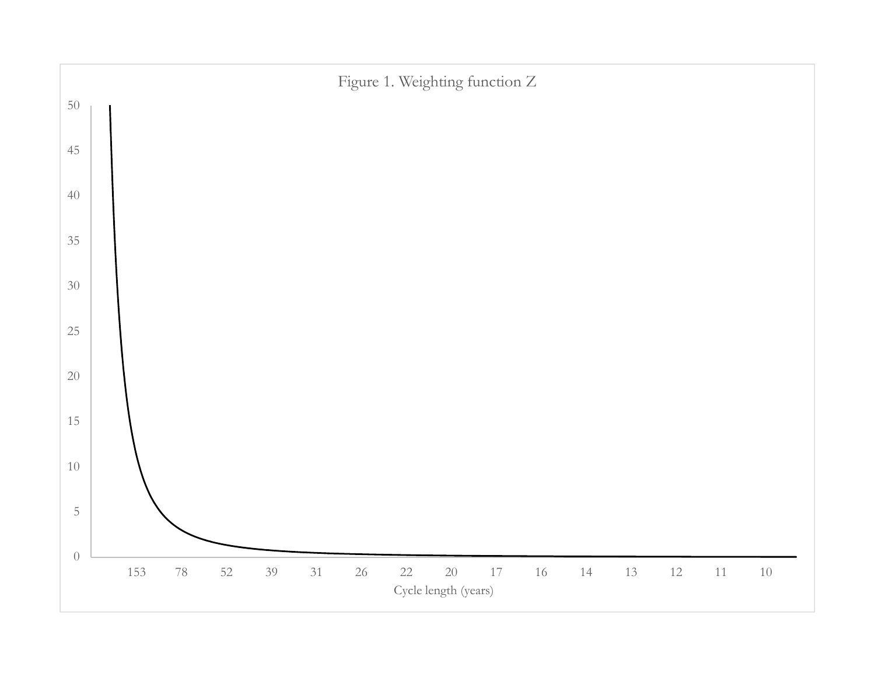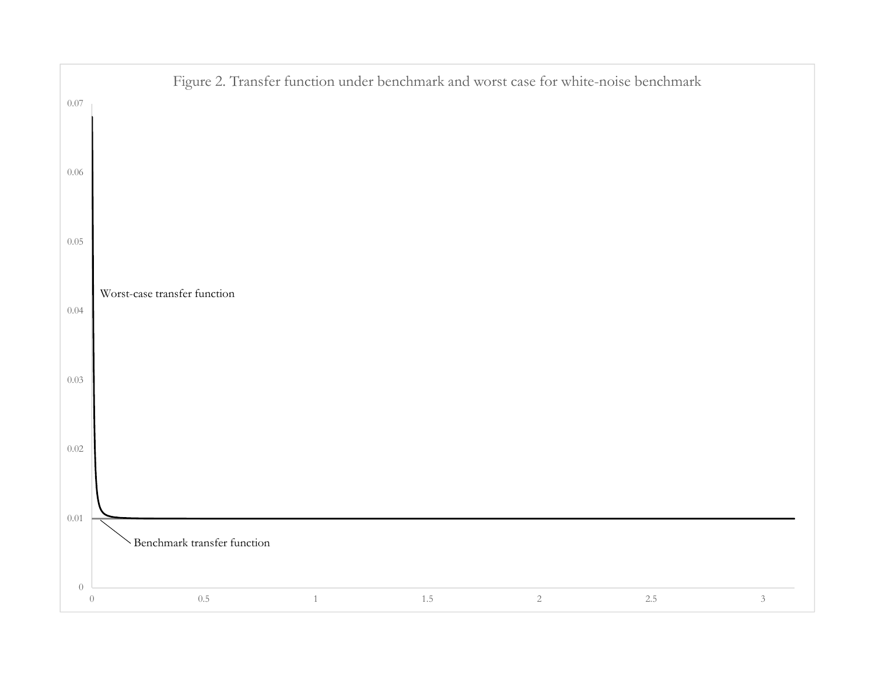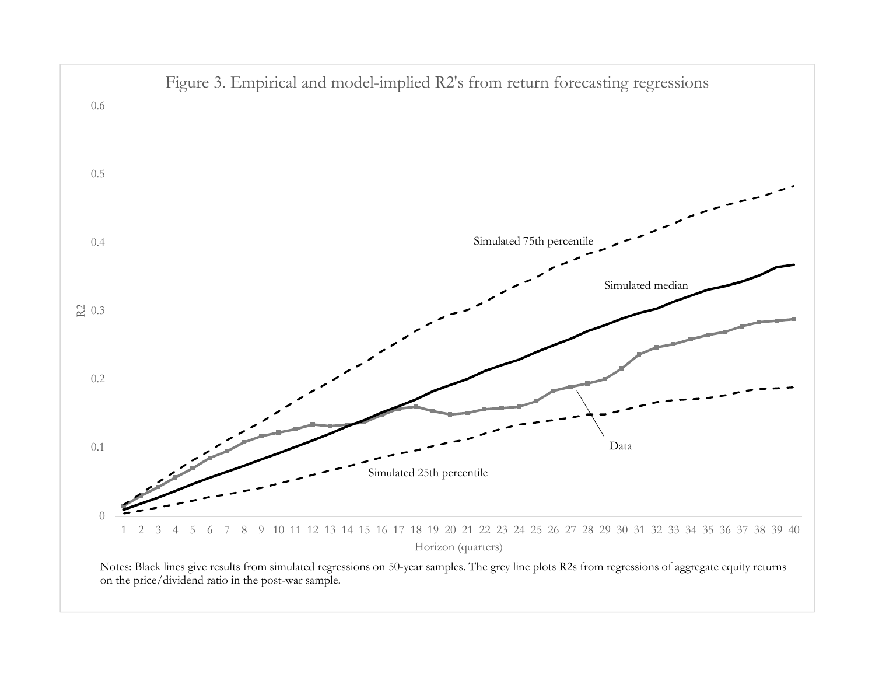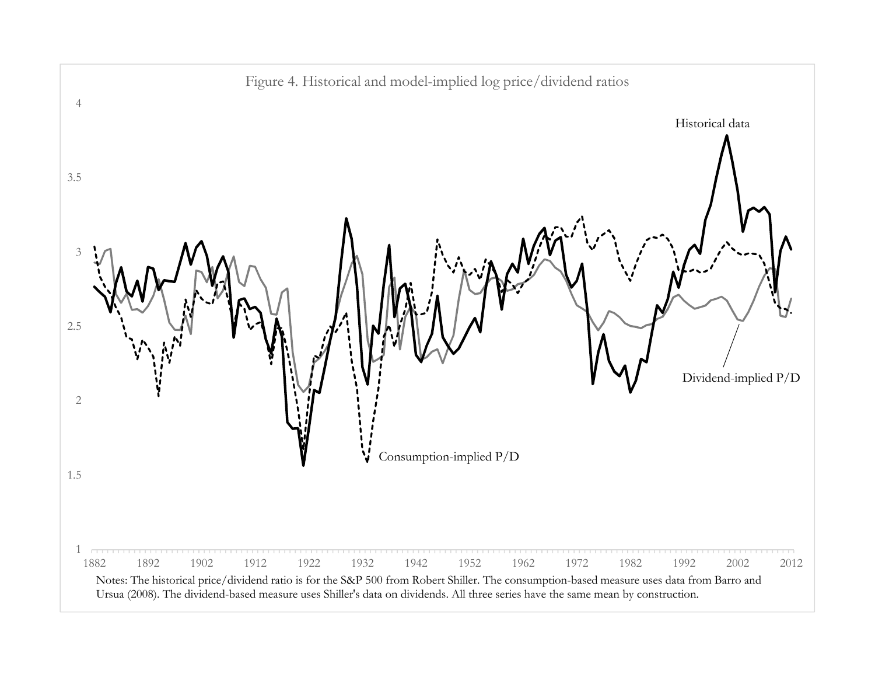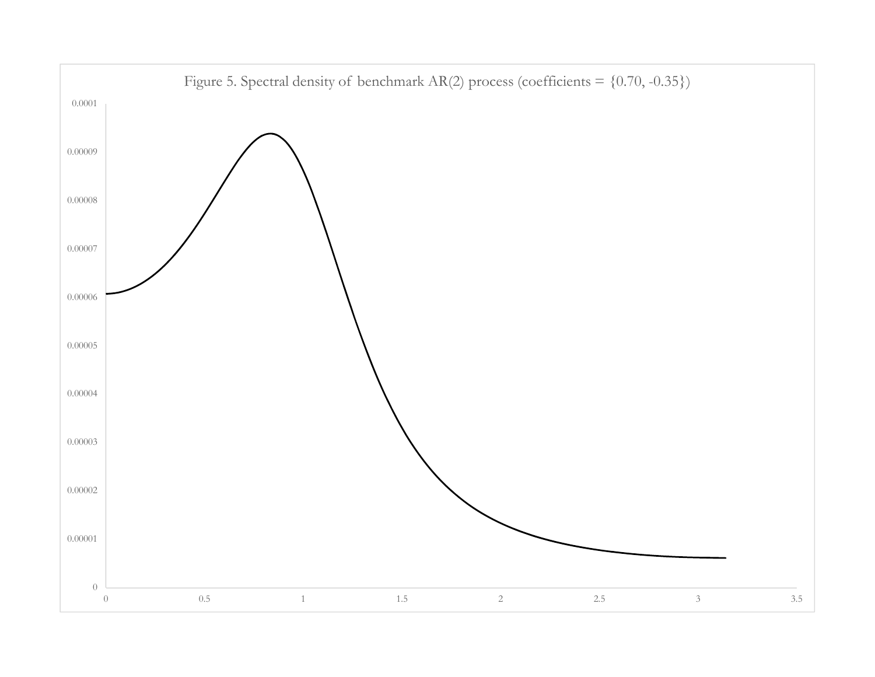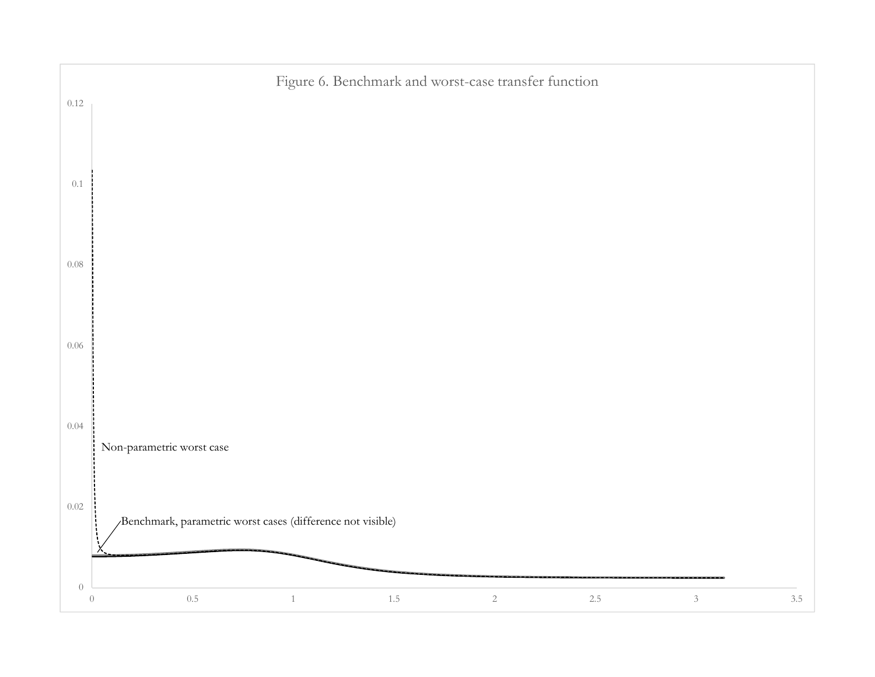